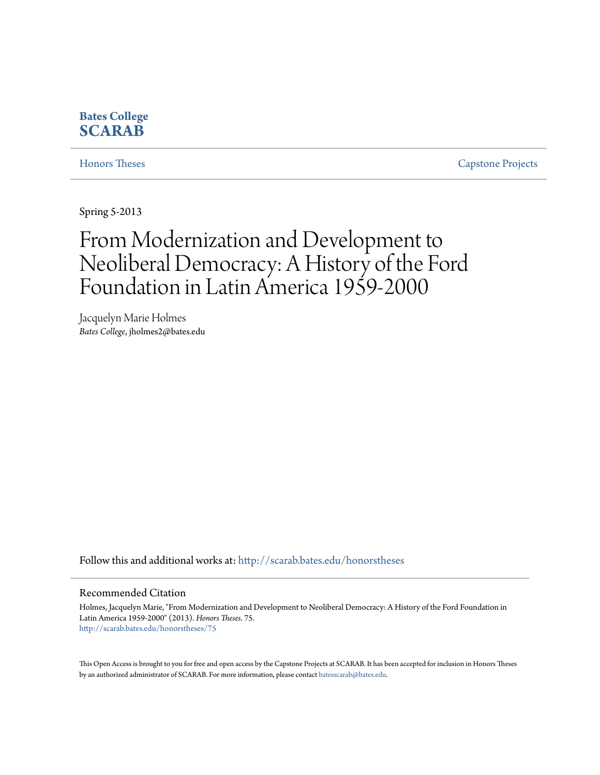#### **Bates College [SCARAB](http://scarab.bates.edu?utm_source=scarab.bates.edu%2Fhonorstheses%2F75&utm_medium=PDF&utm_campaign=PDFCoverPages)**

[Honors Theses](http://scarab.bates.edu/honorstheses?utm_source=scarab.bates.edu%2Fhonorstheses%2F75&utm_medium=PDF&utm_campaign=PDFCoverPages) [Capstone Projects](http://scarab.bates.edu/capstone?utm_source=scarab.bates.edu%2Fhonorstheses%2F75&utm_medium=PDF&utm_campaign=PDFCoverPages)

Spring 5-2013

# From Modernization and Development to Neoliberal Democracy: A History of the Ford Foundation in Latin America 1959-2000

Jacquelyn Marie Holmes *Bates College*, jholmes2@bates.edu

Follow this and additional works at: [http://scarab.bates.edu/honorstheses](http://scarab.bates.edu/honorstheses?utm_source=scarab.bates.edu%2Fhonorstheses%2F75&utm_medium=PDF&utm_campaign=PDFCoverPages)

#### Recommended Citation

Holmes, Jacquelyn Marie, "From Modernization and Development to Neoliberal Democracy: A History of the Ford Foundation in Latin America 1959-2000" (2013). *Honors Theses*. 75. [http://scarab.bates.edu/honorstheses/75](http://scarab.bates.edu/honorstheses/75?utm_source=scarab.bates.edu%2Fhonorstheses%2F75&utm_medium=PDF&utm_campaign=PDFCoverPages)

This Open Access is brought to you for free and open access by the Capstone Projects at SCARAB. It has been accepted for inclusion in Honors Theses by an authorized administrator of SCARAB. For more information, please contact [batesscarab@bates.edu](mailto:batesscarab@bates.edu).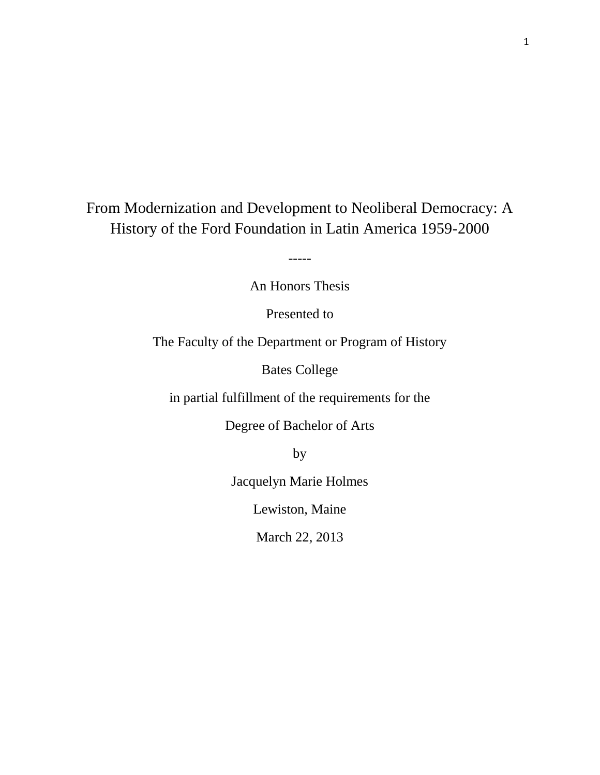From Modernization and Development to Neoliberal Democracy: A History of the Ford Foundation in Latin America 1959-2000

-----

An Honors Thesis

Presented to

The Faculty of the Department or Program of History

Bates College

in partial fulfillment of the requirements for the

Degree of Bachelor of Arts

by

Jacquelyn Marie Holmes

Lewiston, Maine

March 22, 2013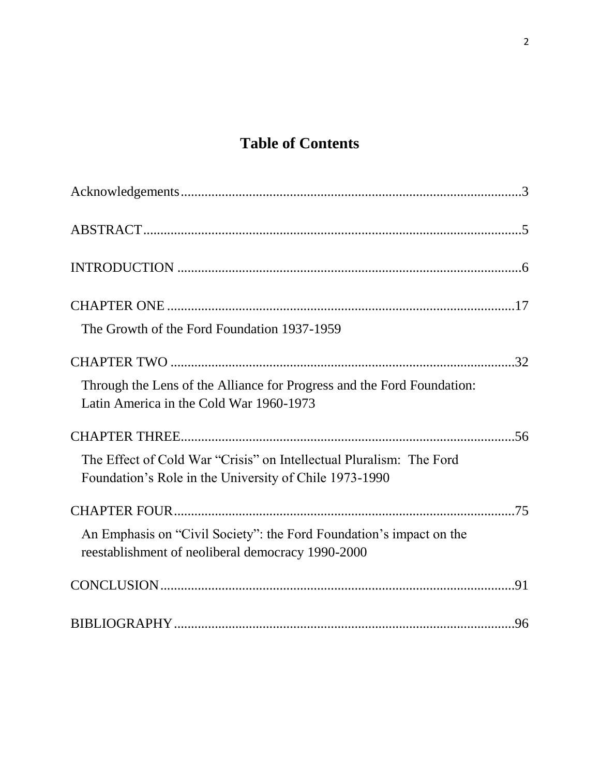## **Table of Contents**

| The Growth of the Ford Foundation 1937-1959                                                                                   |
|-------------------------------------------------------------------------------------------------------------------------------|
|                                                                                                                               |
| Through the Lens of the Alliance for Progress and the Ford Foundation:<br>Latin America in the Cold War 1960-1973             |
|                                                                                                                               |
| The Effect of Cold War "Crisis" on Intellectual Pluralism: The Ford<br>Foundation's Role in the University of Chile 1973-1990 |
|                                                                                                                               |
| An Emphasis on "Civil Society": the Ford Foundation's impact on the<br>reestablishment of neoliberal democracy 1990-2000      |
|                                                                                                                               |
|                                                                                                                               |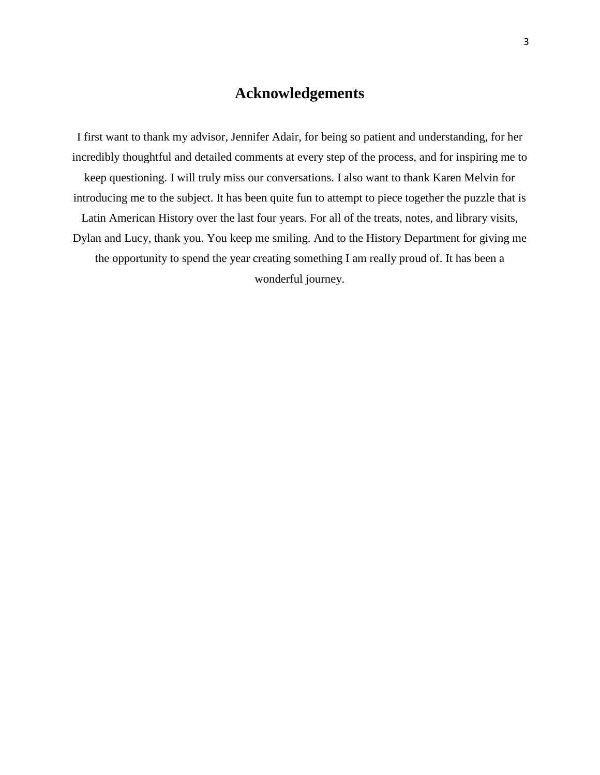### **Acknowledgements**

<span id="page-3-0"></span>I first want to thank my advisor, Jennifer Adair, for being so patient and understanding, for her incredibly thoughtful and detailed comments at every step of the process, and for inspiring me to keep questioning. I will truly miss our conversations. I also want to thank Karen Melvin for introducing me to the subject. It has been quite fun to attempt to piece together the puzzle that is Latin American History over the last four years. For all of the treats, notes, and library visits, Dylan and Lucy, thank you. You keep me smiling. And to the History Department for giving me the opportunity to spend the year creating something I am really proud of. It has been a wonderful journey.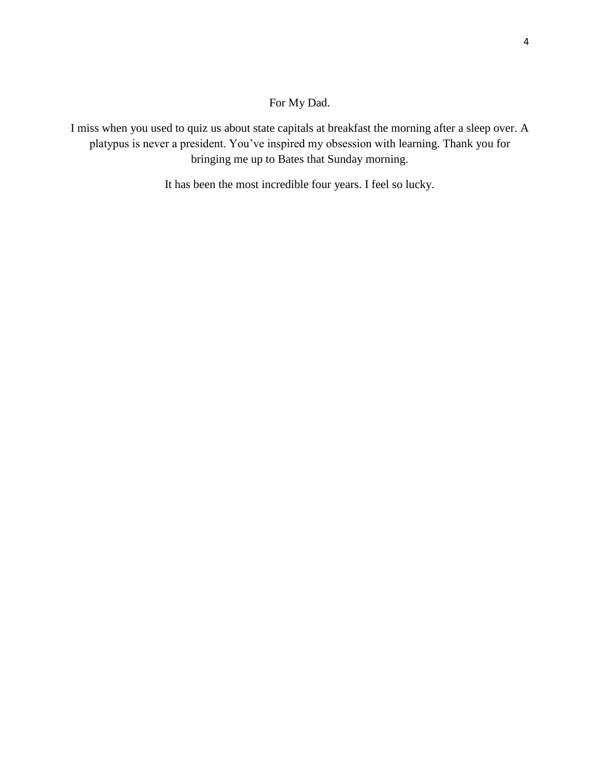#### For My Dad.

I miss when you used to quiz us about state capitals at breakfast the morning after a sleep over. A platypus is never a president. You've inspired my obsession with learning. Thank you for bringing me up to Bates that Sunday morning.

It has been the most incredible four years. I feel so lucky.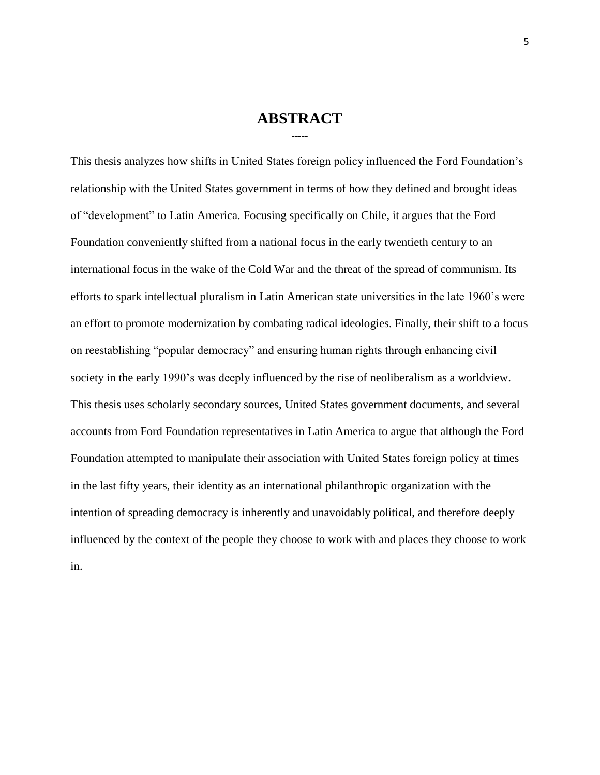#### **ABSTRACT -----**

<span id="page-5-0"></span>This thesis analyzes how shifts in United States foreign policy influenced the Ford Foundation's relationship with the United States government in terms of how they defined and brought ideas of "development" to Latin America. Focusing specifically on Chile, it argues that the Ford Foundation conveniently shifted from a national focus in the early twentieth century to an international focus in the wake of the Cold War and the threat of the spread of communism. Its efforts to spark intellectual pluralism in Latin American state universities in the late 1960's were an effort to promote modernization by combating radical ideologies. Finally, their shift to a focus on reestablishing "popular democracy" and ensuring human rights through enhancing civil society in the early 1990's was deeply influenced by the rise of neoliberalism as a worldview. This thesis uses scholarly secondary sources, United States government documents, and several accounts from Ford Foundation representatives in Latin America to argue that although the Ford Foundation attempted to manipulate their association with United States foreign policy at times in the last fifty years, their identity as an international philanthropic organization with the intention of spreading democracy is inherently and unavoidably political, and therefore deeply influenced by the context of the people they choose to work with and places they choose to work in.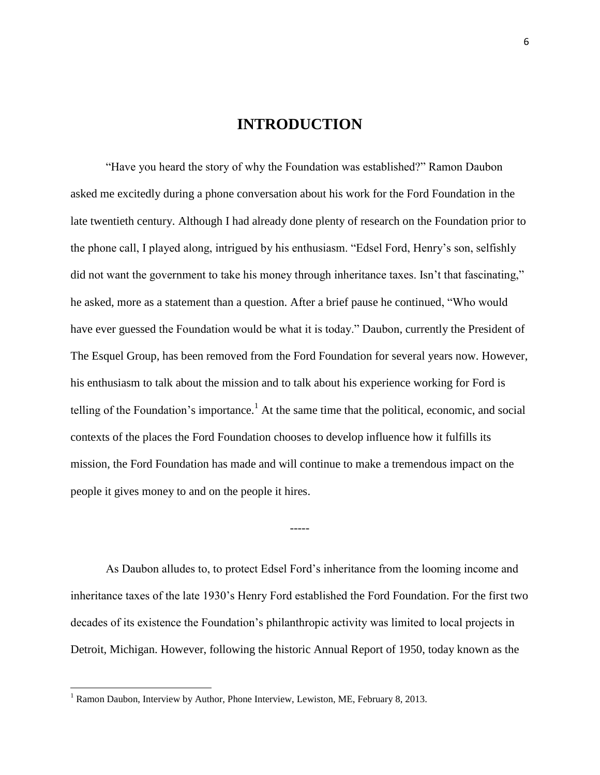#### **INTRODUCTION**

<span id="page-6-0"></span>"Have you heard the story of why the Foundation was established?" Ramon Daubon asked me excitedly during a phone conversation about his work for the Ford Foundation in the late twentieth century. Although I had already done plenty of research on the Foundation prior to the phone call, I played along, intrigued by his enthusiasm. "Edsel Ford, Henry's son, selfishly did not want the government to take his money through inheritance taxes. Isn't that fascinating," he asked, more as a statement than a question. After a brief pause he continued, "Who would have ever guessed the Foundation would be what it is today." Daubon, currently the President of The Esquel Group, has been removed from the Ford Foundation for several years now. However, his enthusiasm to talk about the mission and to talk about his experience working for Ford is telling of the Foundation's importance.<sup>1</sup> At the same time that the political, economic, and social contexts of the places the Ford Foundation chooses to develop influence how it fulfills its mission, the Ford Foundation has made and will continue to make a tremendous impact on the people it gives money to and on the people it hires.

As Daubon alludes to, to protect Edsel Ford's inheritance from the looming income and inheritance taxes of the late 1930's Henry Ford established the Ford Foundation. For the first two decades of its existence the Foundation's philanthropic activity was limited to local projects in Detroit, Michigan. However, following the historic Annual Report of 1950, today known as the

-----

 $1$  Ramon Daubon, Interview by Author, Phone Interview, Lewiston, ME, February 8, 2013.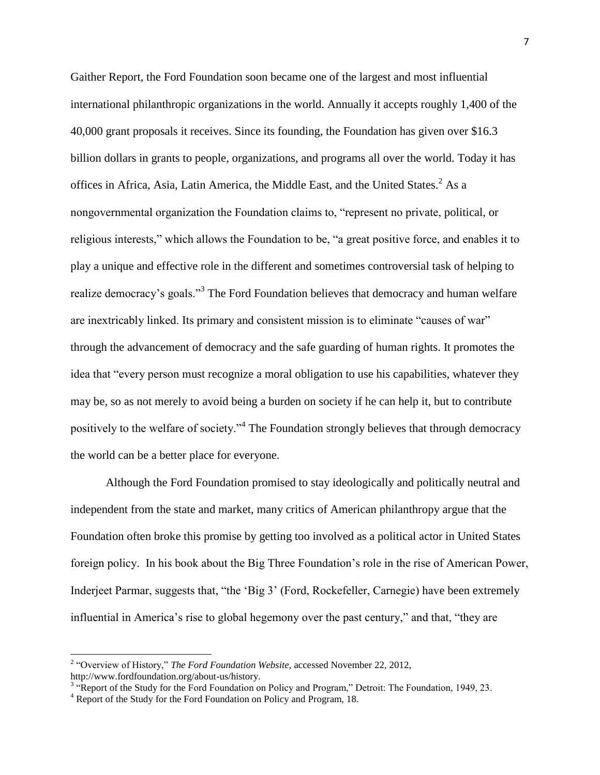Gaither Report, the Ford Foundation soon became one of the largest and most influential international philanthropic organizations in the world. Annually it accepts roughly 1,400 of the 40,000 grant proposals it receives. Since its founding, the Foundation has given over \$16.3 billion dollars in grants to people, organizations, and programs all over the world. Today it has offices in Africa, Asia, Latin America, the Middle East, and the United States. $<sup>2</sup>$  As a</sup> nongovernmental organization the Foundation claims to, "represent no private, political, or religious interests," which allows the Foundation to be, "a great positive force, and enables it to play a unique and effective role in the different and sometimes controversial task of helping to realize democracy's goals."<sup>3</sup> The Ford Foundation believes that democracy and human welfare are inextricably linked. Its primary and consistent mission is to eliminate "causes of war" through the advancement of democracy and the safe guarding of human rights. It promotes the idea that "every person must recognize a moral obligation to use his capabilities, whatever they may be, so as not merely to avoid being a burden on society if he can help it, but to contribute positively to the welfare of society."<sup>4</sup> The Foundation strongly believes that through democracy the world can be a better place for everyone.

Although the Ford Foundation promised to stay ideologically and politically neutral and independent from the state and market, many critics of American philanthropy argue that the Foundation often broke this promise by getting too involved as a political actor in United States foreign policy. In his book about the Big Three Foundation's role in the rise of American Power, Inderjeet Parmar, suggests that, "the 'Big 3' (Ford, Rockefeller, Carnegie) have been extremely influential in America's rise to global hegemony over the past century," and that, "they are

<sup>&</sup>lt;sup>2</sup> "Overview of History," *The Ford Foundation Website*, accessed November 22, 2012, http://www.fordfoundation.org/about-us/history.

<sup>&</sup>lt;sup>3</sup> "Report of the Study for the Ford Foundation on Policy and Program," Detroit: The Foundation, 1949, 23.

<sup>&</sup>lt;sup>4</sup> Report of the Study for the Ford Foundation on Policy and Program, 18.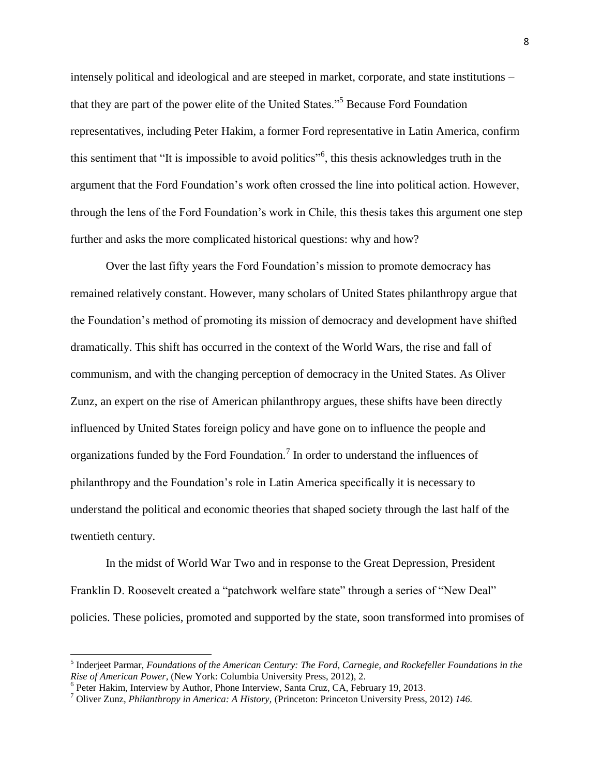intensely political and ideological and are steeped in market, corporate, and state institutions – that they are part of the power elite of the United States."<sup>5</sup> Because Ford Foundation representatives, including Peter Hakim, a former Ford representative in Latin America, confirm this sentiment that "It is impossible to avoid politics"<sup>6</sup>, this thesis acknowledges truth in the argument that the Ford Foundation's work often crossed the line into political action. However, through the lens of the Ford Foundation's work in Chile, this thesis takes this argument one step further and asks the more complicated historical questions: why and how?

Over the last fifty years the Ford Foundation's mission to promote democracy has remained relatively constant. However, many scholars of United States philanthropy argue that the Foundation's method of promoting its mission of democracy and development have shifted dramatically. This shift has occurred in the context of the World Wars, the rise and fall of communism, and with the changing perception of democracy in the United States. As Oliver Zunz, an expert on the rise of American philanthropy argues, these shifts have been directly influenced by United States foreign policy and have gone on to influence the people and organizations funded by the Ford Foundation.<sup>7</sup> In order to understand the influences of philanthropy and the Foundation's role in Latin America specifically it is necessary to understand the political and economic theories that shaped society through the last half of the twentieth century.

In the midst of World War Two and in response to the Great Depression, President Franklin D. Roosevelt created a "patchwork welfare state" through a series of "New Deal" policies. These policies, promoted and supported by the state, soon transformed into promises of

<sup>5</sup> Inderjeet Parmar, *Foundations of the American Century: The Ford, Carnegie, and Rockefeller Foundations in the Rise of American Power,* (New York: Columbia University Press, 2012), 2.

<sup>&</sup>lt;sup>6</sup> Peter Hakim, Interview by Author, Phone Interview, Santa Cruz, CA, February 19, 2013.

<sup>7</sup> Oliver Zunz, *Philanthropy in America: A History,* (Princeton: Princeton University Press, 2012) *146.*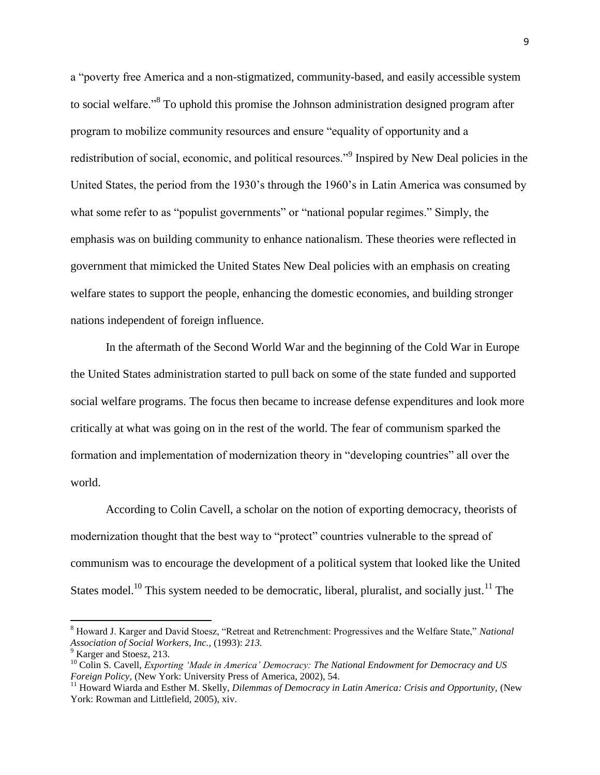a "poverty free America and a non-stigmatized, community-based, and easily accessible system to social welfare."<sup>8</sup> To uphold this promise the Johnson administration designed program after program to mobilize community resources and ensure "equality of opportunity and a redistribution of social, economic, and political resources."<sup>9</sup> Inspired by New Deal policies in the United States, the period from the 1930's through the 1960's in Latin America was consumed by what some refer to as "populist governments" or "national popular regimes." Simply, the emphasis was on building community to enhance nationalism. These theories were reflected in government that mimicked the United States New Deal policies with an emphasis on creating welfare states to support the people, enhancing the domestic economies, and building stronger nations independent of foreign influence.

In the aftermath of the Second World War and the beginning of the Cold War in Europe the United States administration started to pull back on some of the state funded and supported social welfare programs. The focus then became to increase defense expenditures and look more critically at what was going on in the rest of the world. The fear of communism sparked the formation and implementation of modernization theory in "developing countries" all over the world.

According to Colin Cavell, a scholar on the notion of exporting democracy, theorists of modernization thought that the best way to "protect" countries vulnerable to the spread of communism was to encourage the development of a political system that looked like the United States model.<sup>10</sup> This system needed to be democratic, liberal, pluralist, and socially just.<sup>11</sup> The

<sup>8</sup> Howard J. Karger and David Stoesz, "Retreat and Retrenchment: Progressives and the Welfare State," *National Association of Social Workers, Inc.,* (1993): *213.*

<sup>&</sup>lt;sup>9</sup> Karger and Stoesz, 213.

<sup>&</sup>lt;sup>10</sup> Colin S. Cavell, *Exporting 'Made in America' Democracy: The National Endowment for Democracy and US Foreign Policy,* (New York: University Press of America, 2002), 54.

<sup>&</sup>lt;sup>11</sup> Howard Wiarda and Esther M. Skelly, *Dilemmas of Democracy in Latin America: Crisis and Opportunity*, (New York: Rowman and Littlefield, 2005), xiv.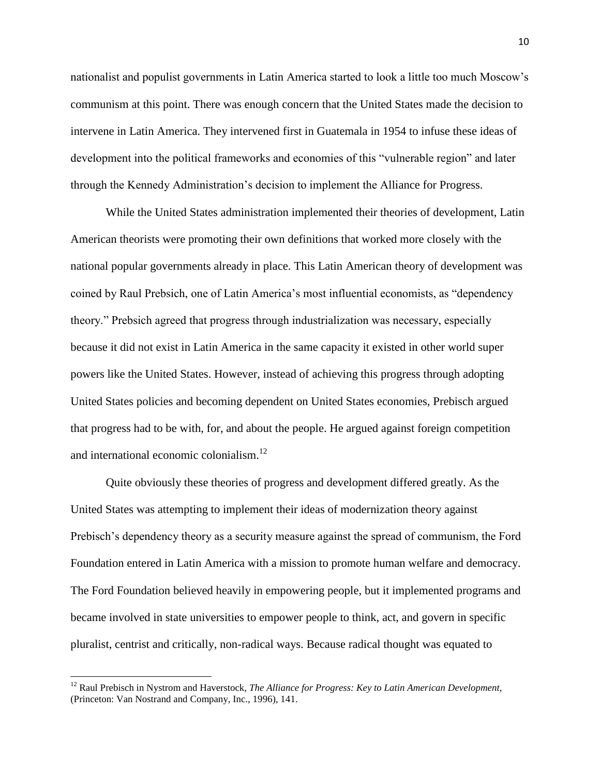nationalist and populist governments in Latin America started to look a little too much Moscow's communism at this point. There was enough concern that the United States made the decision to intervene in Latin America. They intervened first in Guatemala in 1954 to infuse these ideas of development into the political frameworks and economies of this "vulnerable region" and later through the Kennedy Administration's decision to implement the Alliance for Progress.

While the United States administration implemented their theories of development, Latin American theorists were promoting their own definitions that worked more closely with the national popular governments already in place. This Latin American theory of development was coined by Raul Prebsich, one of Latin America's most influential economists, as "dependency theory." Prebsich agreed that progress through industrialization was necessary, especially because it did not exist in Latin America in the same capacity it existed in other world super powers like the United States. However, instead of achieving this progress through adopting United States policies and becoming dependent on United States economies, Prebisch argued that progress had to be with, for, and about the people. He argued against foreign competition and international economic colonialism.<sup>12</sup>

Quite obviously these theories of progress and development differed greatly. As the United States was attempting to implement their ideas of modernization theory against Prebisch's dependency theory as a security measure against the spread of communism, the Ford Foundation entered in Latin America with a mission to promote human welfare and democracy. The Ford Foundation believed heavily in empowering people, but it implemented programs and became involved in state universities to empower people to think, act, and govern in specific pluralist, centrist and critically, non-radical ways. Because radical thought was equated to

<sup>&</sup>lt;sup>12</sup> Raul Prebisch in Nystrom and Haverstock, *The Alliance for Progress: Key to Latin American Development,* (Princeton: Van Nostrand and Company, Inc., 1996), 141.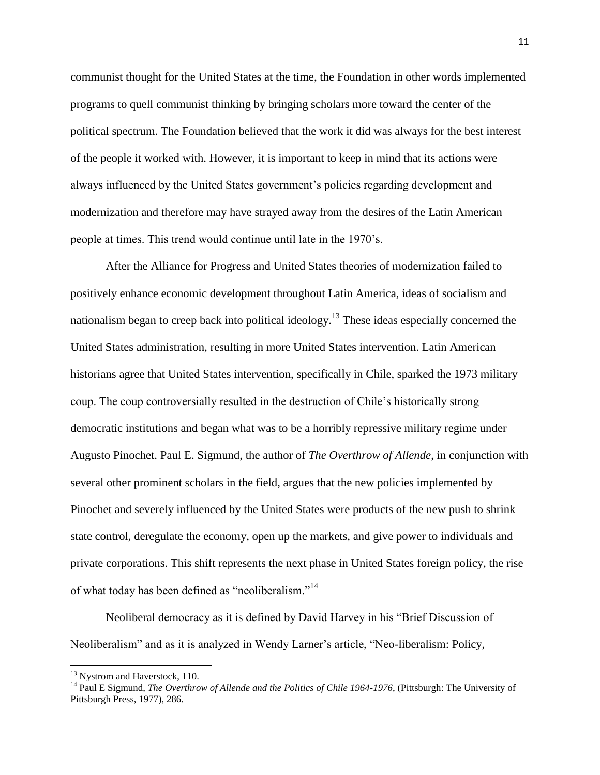communist thought for the United States at the time, the Foundation in other words implemented programs to quell communist thinking by bringing scholars more toward the center of the political spectrum. The Foundation believed that the work it did was always for the best interest of the people it worked with. However, it is important to keep in mind that its actions were always influenced by the United States government's policies regarding development and modernization and therefore may have strayed away from the desires of the Latin American people at times. This trend would continue until late in the 1970's.

After the Alliance for Progress and United States theories of modernization failed to positively enhance economic development throughout Latin America, ideas of socialism and nationalism began to creep back into political ideology.<sup>13</sup> These ideas especially concerned the United States administration, resulting in more United States intervention. Latin American historians agree that United States intervention, specifically in Chile, sparked the 1973 military coup. The coup controversially resulted in the destruction of Chile's historically strong democratic institutions and began what was to be a horribly repressive military regime under Augusto Pinochet. Paul E. Sigmund, the author of *The Overthrow of Allende*, in conjunction with several other prominent scholars in the field, argues that the new policies implemented by Pinochet and severely influenced by the United States were products of the new push to shrink state control, deregulate the economy, open up the markets, and give power to individuals and private corporations. This shift represents the next phase in United States foreign policy, the rise of what today has been defined as "neoliberalism."<sup>14</sup>

Neoliberal democracy as it is defined by David Harvey in his "Brief Discussion of Neoliberalism" and as it is analyzed in Wendy Larner's article, "Neo-liberalism: Policy,

<sup>&</sup>lt;sup>13</sup> Nystrom and Haverstock, 110.

<sup>&</sup>lt;sup>14</sup> Paul E Sigmund, *The Overthrow of Allende and the Politics of Chile 1964-1976*, (Pittsburgh: The University of Pittsburgh Press, 1977), 286.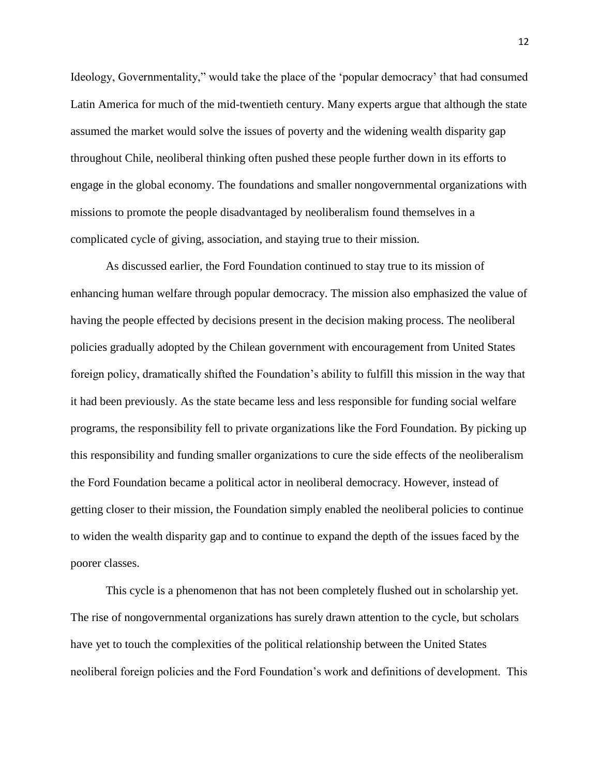Ideology, Governmentality," would take the place of the 'popular democracy' that had consumed Latin America for much of the mid-twentieth century. Many experts argue that although the state assumed the market would solve the issues of poverty and the widening wealth disparity gap throughout Chile, neoliberal thinking often pushed these people further down in its efforts to engage in the global economy. The foundations and smaller nongovernmental organizations with missions to promote the people disadvantaged by neoliberalism found themselves in a complicated cycle of giving, association, and staying true to their mission.

As discussed earlier, the Ford Foundation continued to stay true to its mission of enhancing human welfare through popular democracy. The mission also emphasized the value of having the people effected by decisions present in the decision making process. The neoliberal policies gradually adopted by the Chilean government with encouragement from United States foreign policy, dramatically shifted the Foundation's ability to fulfill this mission in the way that it had been previously. As the state became less and less responsible for funding social welfare programs, the responsibility fell to private organizations like the Ford Foundation. By picking up this responsibility and funding smaller organizations to cure the side effects of the neoliberalism the Ford Foundation became a political actor in neoliberal democracy. However, instead of getting closer to their mission, the Foundation simply enabled the neoliberal policies to continue to widen the wealth disparity gap and to continue to expand the depth of the issues faced by the poorer classes.

This cycle is a phenomenon that has not been completely flushed out in scholarship yet. The rise of nongovernmental organizations has surely drawn attention to the cycle, but scholars have yet to touch the complexities of the political relationship between the United States neoliberal foreign policies and the Ford Foundation's work and definitions of development. This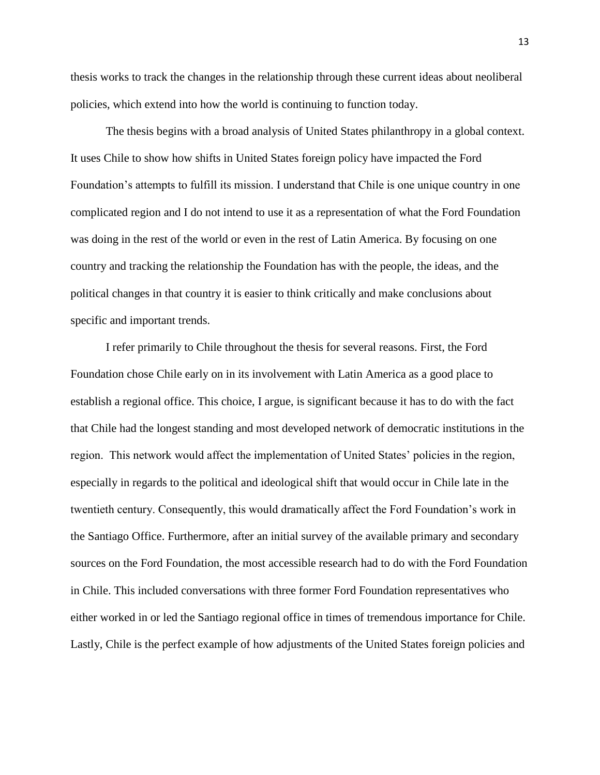thesis works to track the changes in the relationship through these current ideas about neoliberal policies, which extend into how the world is continuing to function today.

The thesis begins with a broad analysis of United States philanthropy in a global context. It uses Chile to show how shifts in United States foreign policy have impacted the Ford Foundation's attempts to fulfill its mission. I understand that Chile is one unique country in one complicated region and I do not intend to use it as a representation of what the Ford Foundation was doing in the rest of the world or even in the rest of Latin America. By focusing on one country and tracking the relationship the Foundation has with the people, the ideas, and the political changes in that country it is easier to think critically and make conclusions about specific and important trends.

I refer primarily to Chile throughout the thesis for several reasons. First, the Ford Foundation chose Chile early on in its involvement with Latin America as a good place to establish a regional office. This choice, I argue, is significant because it has to do with the fact that Chile had the longest standing and most developed network of democratic institutions in the region. This network would affect the implementation of United States' policies in the region, especially in regards to the political and ideological shift that would occur in Chile late in the twentieth century. Consequently, this would dramatically affect the Ford Foundation's work in the Santiago Office. Furthermore, after an initial survey of the available primary and secondary sources on the Ford Foundation, the most accessible research had to do with the Ford Foundation in Chile. This included conversations with three former Ford Foundation representatives who either worked in or led the Santiago regional office in times of tremendous importance for Chile. Lastly, Chile is the perfect example of how adjustments of the United States foreign policies and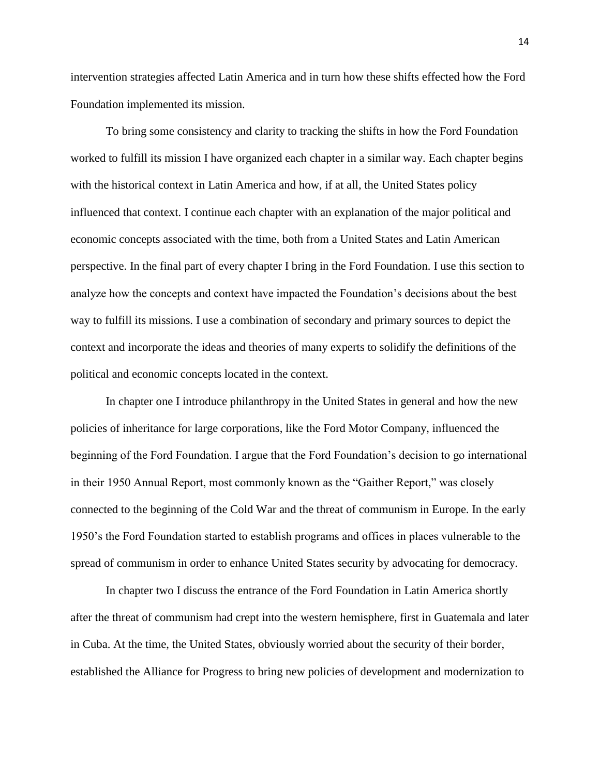intervention strategies affected Latin America and in turn how these shifts effected how the Ford Foundation implemented its mission.

To bring some consistency and clarity to tracking the shifts in how the Ford Foundation worked to fulfill its mission I have organized each chapter in a similar way. Each chapter begins with the historical context in Latin America and how, if at all, the United States policy influenced that context. I continue each chapter with an explanation of the major political and economic concepts associated with the time, both from a United States and Latin American perspective. In the final part of every chapter I bring in the Ford Foundation. I use this section to analyze how the concepts and context have impacted the Foundation's decisions about the best way to fulfill its missions. I use a combination of secondary and primary sources to depict the context and incorporate the ideas and theories of many experts to solidify the definitions of the political and economic concepts located in the context.

In chapter one I introduce philanthropy in the United States in general and how the new policies of inheritance for large corporations, like the Ford Motor Company, influenced the beginning of the Ford Foundation. I argue that the Ford Foundation's decision to go international in their 1950 Annual Report, most commonly known as the "Gaither Report," was closely connected to the beginning of the Cold War and the threat of communism in Europe. In the early 1950's the Ford Foundation started to establish programs and offices in places vulnerable to the spread of communism in order to enhance United States security by advocating for democracy.

In chapter two I discuss the entrance of the Ford Foundation in Latin America shortly after the threat of communism had crept into the western hemisphere, first in Guatemala and later in Cuba. At the time, the United States, obviously worried about the security of their border, established the Alliance for Progress to bring new policies of development and modernization to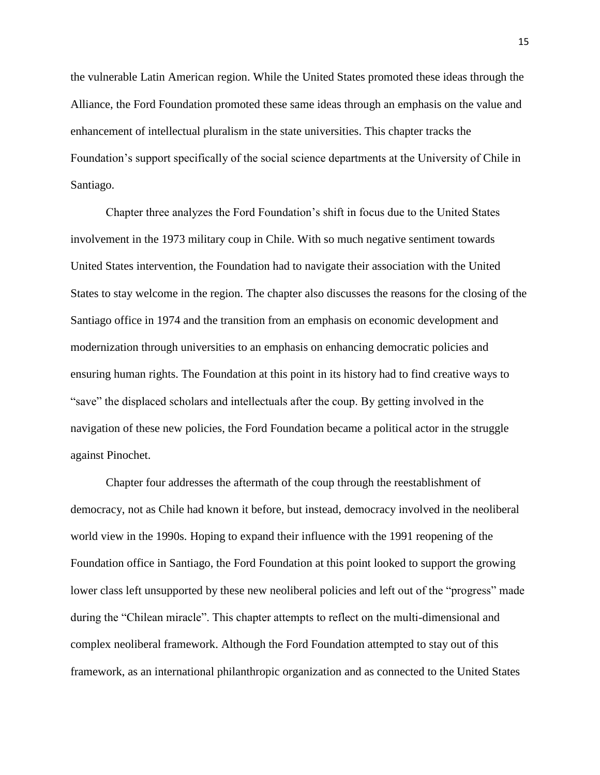the vulnerable Latin American region. While the United States promoted these ideas through the Alliance, the Ford Foundation promoted these same ideas through an emphasis on the value and enhancement of intellectual pluralism in the state universities. This chapter tracks the Foundation's support specifically of the social science departments at the University of Chile in Santiago.

Chapter three analyzes the Ford Foundation's shift in focus due to the United States involvement in the 1973 military coup in Chile. With so much negative sentiment towards United States intervention, the Foundation had to navigate their association with the United States to stay welcome in the region. The chapter also discusses the reasons for the closing of the Santiago office in 1974 and the transition from an emphasis on economic development and modernization through universities to an emphasis on enhancing democratic policies and ensuring human rights. The Foundation at this point in its history had to find creative ways to "save" the displaced scholars and intellectuals after the coup. By getting involved in the navigation of these new policies, the Ford Foundation became a political actor in the struggle against Pinochet.

Chapter four addresses the aftermath of the coup through the reestablishment of democracy, not as Chile had known it before, but instead, democracy involved in the neoliberal world view in the 1990s. Hoping to expand their influence with the 1991 reopening of the Foundation office in Santiago, the Ford Foundation at this point looked to support the growing lower class left unsupported by these new neoliberal policies and left out of the "progress" made during the "Chilean miracle". This chapter attempts to reflect on the multi-dimensional and complex neoliberal framework. Although the Ford Foundation attempted to stay out of this framework, as an international philanthropic organization and as connected to the United States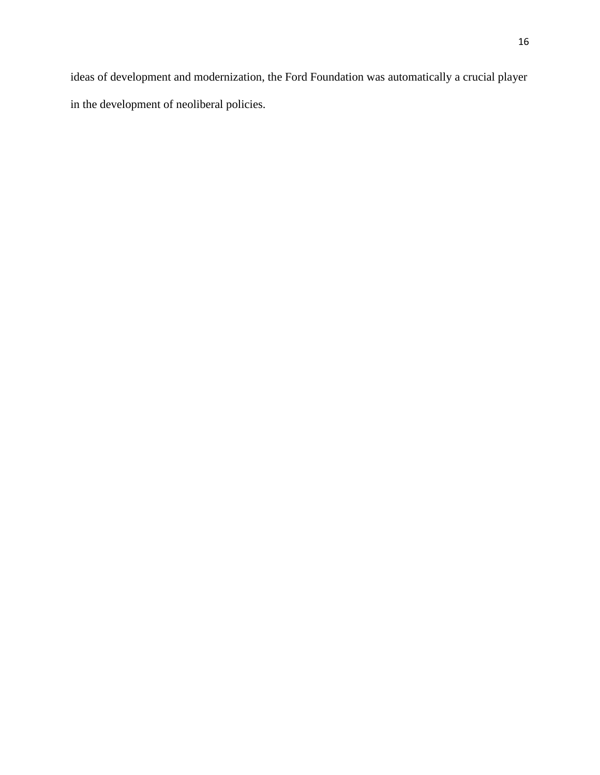ideas of development and modernization, the Ford Foundation was automatically a crucial player in the development of neoliberal policies.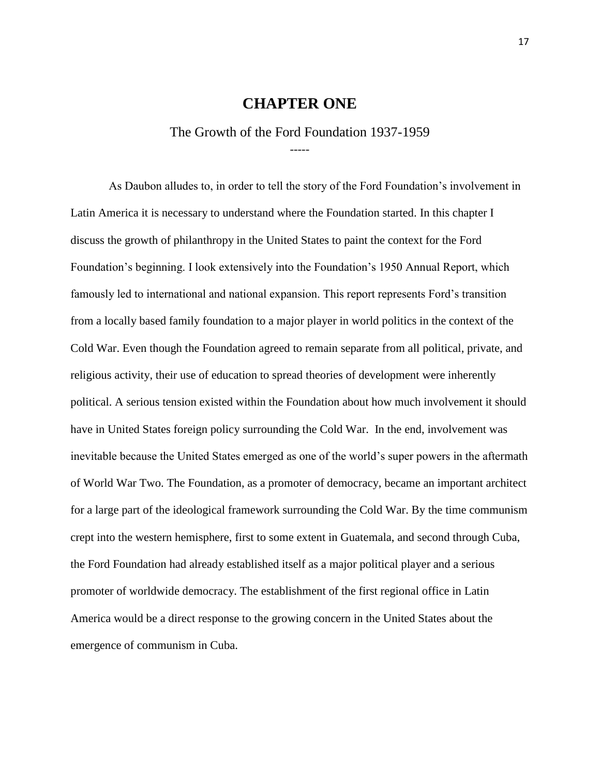#### **CHAPTER ONE**

The Growth of the Ford Foundation 1937-1959 -----

<span id="page-17-1"></span><span id="page-17-0"></span>As Daubon alludes to, in order to tell the story of the Ford Foundation's involvement in Latin America it is necessary to understand where the Foundation started. In this chapter I discuss the growth of philanthropy in the United States to paint the context for the Ford Foundation's beginning. I look extensively into the Foundation's 1950 Annual Report, which famously led to international and national expansion. This report represents Ford's transition from a locally based family foundation to a major player in world politics in the context of the Cold War. Even though the Foundation agreed to remain separate from all political, private, and religious activity, their use of education to spread theories of development were inherently political. A serious tension existed within the Foundation about how much involvement it should have in United States foreign policy surrounding the Cold War. In the end, involvement was inevitable because the United States emerged as one of the world's super powers in the aftermath of World War Two. The Foundation, as a promoter of democracy, became an important architect for a large part of the ideological framework surrounding the Cold War. By the time communism crept into the western hemisphere, first to some extent in Guatemala, and second through Cuba, the Ford Foundation had already established itself as a major political player and a serious promoter of worldwide democracy. The establishment of the first regional office in Latin America would be a direct response to the growing concern in the United States about the emergence of communism in Cuba.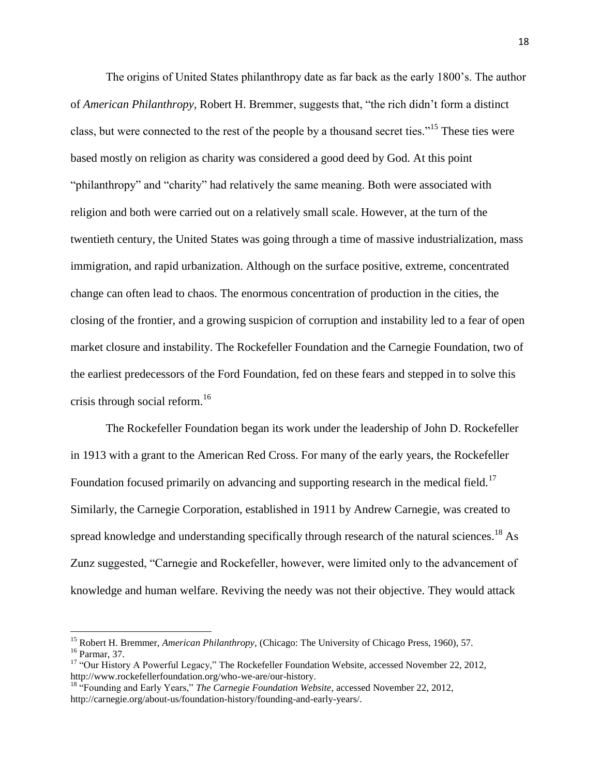The origins of United States philanthropy date as far back as the early 1800's. The author of *American Philanthropy,* Robert H. Bremmer, suggests that, "the rich didn't form a distinct class, but were connected to the rest of the people by a thousand secret ties."<sup>15</sup> These ties were based mostly on religion as charity was considered a good deed by God. At this point "philanthropy" and "charity" had relatively the same meaning. Both were associated with religion and both were carried out on a relatively small scale. However, at the turn of the twentieth century, the United States was going through a time of massive industrialization, mass immigration, and rapid urbanization. Although on the surface positive, extreme, concentrated change can often lead to chaos. The enormous concentration of production in the cities, the closing of the frontier, and a growing suspicion of corruption and instability led to a fear of open market closure and instability. The Rockefeller Foundation and the Carnegie Foundation, two of the earliest predecessors of the Ford Foundation, fed on these fears and stepped in to solve this crisis through social reform.<sup>16</sup>

The Rockefeller Foundation began its work under the leadership of John D. Rockefeller in 1913 with a grant to the American Red Cross. For many of the early years, the Rockefeller Foundation focused primarily on advancing and supporting research in the medical field.<sup>17</sup> Similarly, the Carnegie Corporation, established in 1911 by Andrew Carnegie, was created to spread knowledge and understanding specifically through research of the natural sciences.<sup>18</sup> As Zunz suggested, "Carnegie and Rockefeller, however, were limited only to the advancement of knowledge and human welfare. Reviving the needy was not their objective. They would attack

l

<sup>15</sup> Robert H. Bremmer, *American Philanthropy,* (Chicago: The University of Chicago Press, 1960), 57. <sup>16</sup> Parmar, 37.

<sup>17</sup> "Our History A Powerful Legacy," The Rockefeller Foundation Website*,* accessed November 22, 2012, http://www.rockefellerfoundation.org/who-we-are/our-history.

<sup>18</sup> "Founding and Early Years," *The Carnegie Foundation Website,* accessed November 22, 2012, http://carnegie.org/about-us/foundation-history/founding-and-early-years/.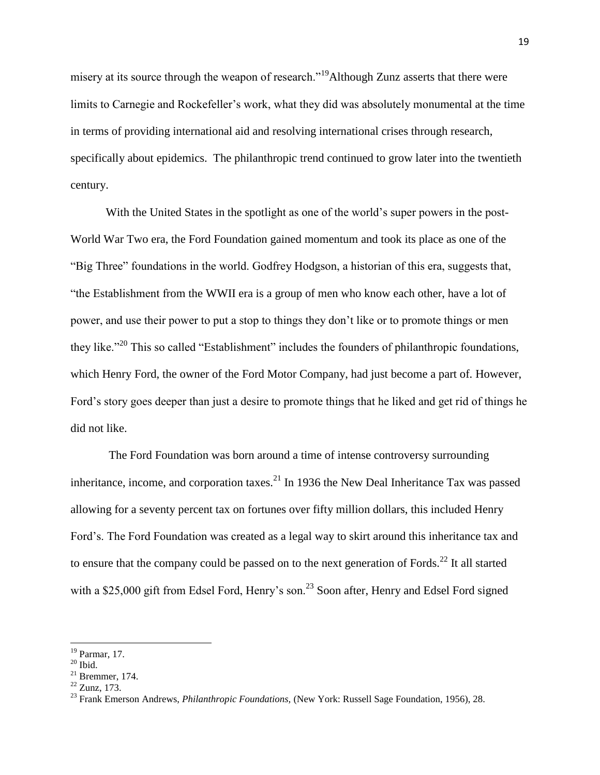misery at its source through the weapon of research."<sup>19</sup>Although Zunz asserts that there were limits to Carnegie and Rockefeller's work, what they did was absolutely monumental at the time in terms of providing international aid and resolving international crises through research, specifically about epidemics. The philanthropic trend continued to grow later into the twentieth century.

With the United States in the spotlight as one of the world's super powers in the post-World War Two era, the Ford Foundation gained momentum and took its place as one of the "Big Three" foundations in the world. Godfrey Hodgson, a historian of this era, suggests that, "the Establishment from the WWII era is a group of men who know each other, have a lot of power, and use their power to put a stop to things they don't like or to promote things or men they like."<sup>20</sup> This so called "Establishment" includes the founders of philanthropic foundations, which Henry Ford, the owner of the Ford Motor Company, had just become a part of. However, Ford's story goes deeper than just a desire to promote things that he liked and get rid of things he did not like.

The Ford Foundation was born around a time of intense controversy surrounding inheritance, income, and corporation taxes.<sup>21</sup> In 1936 the New Deal Inheritance Tax was passed allowing for a seventy percent tax on fortunes over fifty million dollars, this included Henry Ford's. The Ford Foundation was created as a legal way to skirt around this inheritance tax and to ensure that the company could be passed on to the next generation of Fords.<sup>22</sup> It all started with a \$25,000 gift from Edsel Ford, Henry's son.<sup>23</sup> Soon after, Henry and Edsel Ford signed

 $\overline{a}$ 

<sup>19</sup> Parmar, 17.

 $20$  Ibid.

 $21$  Bremmer, 174.

 $^{22}$  Zunz, 173.

<sup>23</sup> Frank Emerson Andrews, *Philanthropic Foundations,* (New York: Russell Sage Foundation, 1956), 28.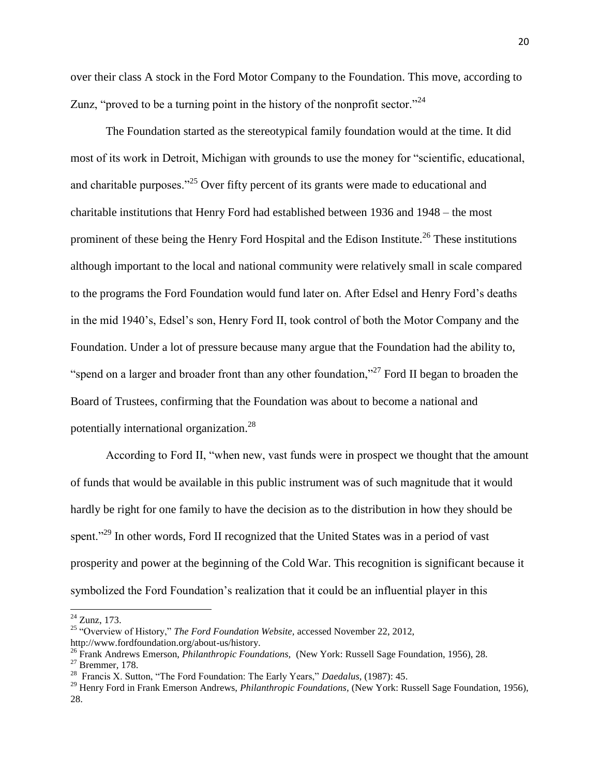over their class A stock in the Ford Motor Company to the Foundation. This move, according to Zunz, "proved to be a turning point in the history of the nonprofit sector."<sup>24</sup>

The Foundation started as the stereotypical family foundation would at the time. It did most of its work in Detroit, Michigan with grounds to use the money for "scientific, educational, and charitable purposes."<sup>25</sup> Over fifty percent of its grants were made to educational and charitable institutions that Henry Ford had established between 1936 and 1948 – the most prominent of these being the Henry Ford Hospital and the Edison Institute.<sup>26</sup> These institutions although important to the local and national community were relatively small in scale compared to the programs the Ford Foundation would fund later on. After Edsel and Henry Ford's deaths in the mid 1940's, Edsel's son, Henry Ford II, took control of both the Motor Company and the Foundation. Under a lot of pressure because many argue that the Foundation had the ability to, "spend on a larger and broader front than any other foundation,"<sup>27</sup> Ford II began to broaden the Board of Trustees, confirming that the Foundation was about to become a national and potentially international organization.<sup>28</sup>

According to Ford II, "when new, vast funds were in prospect we thought that the amount of funds that would be available in this public instrument was of such magnitude that it would hardly be right for one family to have the decision as to the distribution in how they should be spent."<sup>29</sup> In other words, Ford II recognized that the United States was in a period of vast prosperity and power at the beginning of the Cold War. This recognition is significant because it symbolized the Ford Foundation's realization that it could be an influential player in this

 $\overline{a}$ 

 $24$  Zunz, 173.

<sup>25</sup> "Overview of History," *The Ford Foundation Website,* accessed November 22, 2012,

http://www.fordfoundation.org/about-us/history.

<sup>26</sup> Frank Andrews Emerson, *Philanthropic Foundations,* (New York: Russell Sage Foundation, 1956), 28.

 $27$  Bremmer, 178.

<sup>28</sup> Francis X. Sutton, "The Ford Foundation: The Early Years," *Daedalus,* (1987): 45.

<sup>29</sup> Henry Ford in Frank Emerson Andrews, *Philanthropic Foundations,* (New York: Russell Sage Foundation, 1956), 28.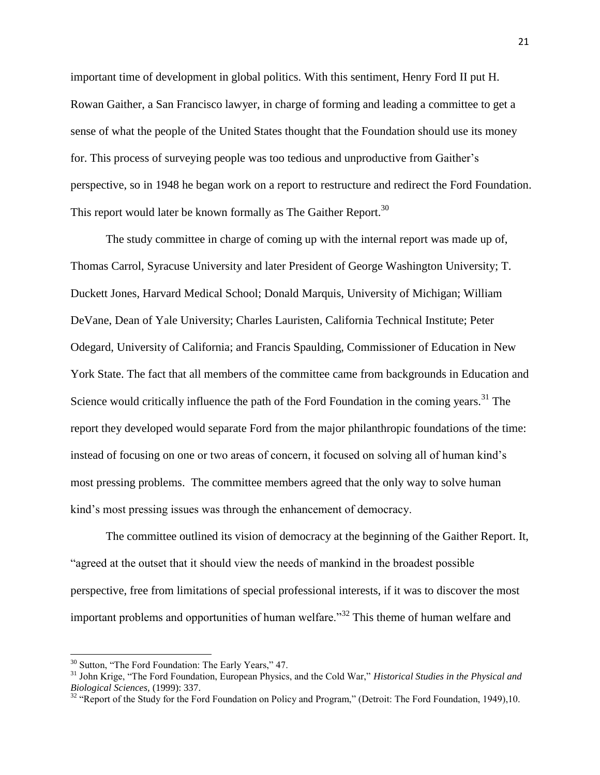important time of development in global politics. With this sentiment, Henry Ford II put H. Rowan Gaither, a San Francisco lawyer, in charge of forming and leading a committee to get a sense of what the people of the United States thought that the Foundation should use its money for. This process of surveying people was too tedious and unproductive from Gaither's perspective, so in 1948 he began work on a report to restructure and redirect the Ford Foundation. This report would later be known formally as The Gaither Report.<sup>30</sup>

The study committee in charge of coming up with the internal report was made up of, Thomas Carrol, Syracuse University and later President of George Washington University; T. Duckett Jones, Harvard Medical School; Donald Marquis, University of Michigan; William DeVane, Dean of Yale University; Charles Lauristen, California Technical Institute; Peter Odegard, University of California; and Francis Spaulding, Commissioner of Education in New York State. The fact that all members of the committee came from backgrounds in Education and Science would critically influence the path of the Ford Foundation in the coming years.<sup>31</sup> The report they developed would separate Ford from the major philanthropic foundations of the time: instead of focusing on one or two areas of concern, it focused on solving all of human kind's most pressing problems. The committee members agreed that the only way to solve human kind's most pressing issues was through the enhancement of democracy.

The committee outlined its vision of democracy at the beginning of the Gaither Report. It, "agreed at the outset that it should view the needs of mankind in the broadest possible perspective, free from limitations of special professional interests, if it was to discover the most important problems and opportunities of human welfare.<sup>32</sup> This theme of human welfare and

<sup>&</sup>lt;sup>30</sup> Sutton, "The Ford Foundation: The Early Years," 47.

<sup>31</sup> John Krige, "The Ford Foundation, European Physics, and the Cold War," *Historical Studies in the Physical and Biological Sciences,* (1999): 337.

<sup>&</sup>lt;sup>32</sup> "Report of the Study for the Ford Foundation on Policy and Program," (Detroit: The Ford Foundation, 1949),10.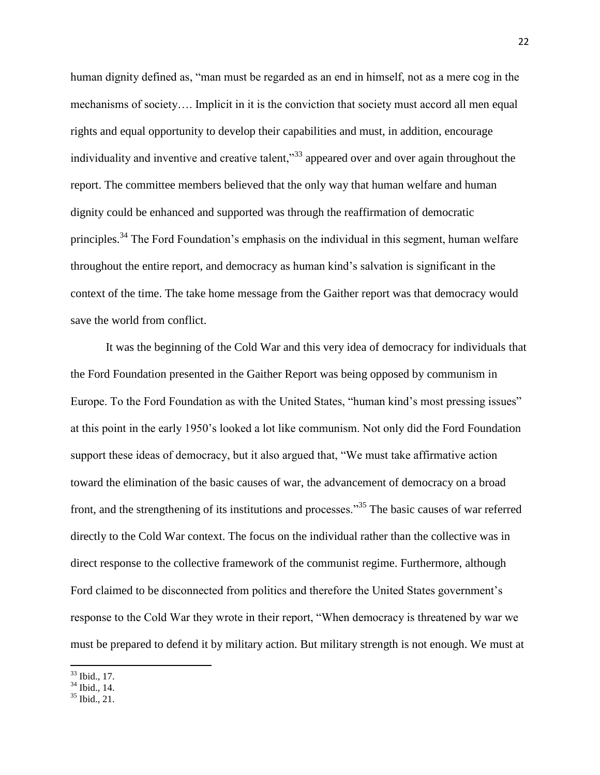human dignity defined as, "man must be regarded as an end in himself, not as a mere cog in the mechanisms of society…. Implicit in it is the conviction that society must accord all men equal rights and equal opportunity to develop their capabilities and must, in addition, encourage individuality and inventive and creative talent,<sup>33</sup> appeared over and over again throughout the report. The committee members believed that the only way that human welfare and human dignity could be enhanced and supported was through the reaffirmation of democratic principles.<sup>34</sup> The Ford Foundation's emphasis on the individual in this segment, human welfare throughout the entire report, and democracy as human kind's salvation is significant in the context of the time. The take home message from the Gaither report was that democracy would save the world from conflict.

It was the beginning of the Cold War and this very idea of democracy for individuals that the Ford Foundation presented in the Gaither Report was being opposed by communism in Europe. To the Ford Foundation as with the United States, "human kind's most pressing issues" at this point in the early 1950's looked a lot like communism. Not only did the Ford Foundation support these ideas of democracy, but it also argued that, "We must take affirmative action toward the elimination of the basic causes of war, the advancement of democracy on a broad front, and the strengthening of its institutions and processes."<sup>35</sup> The basic causes of war referred directly to the Cold War context. The focus on the individual rather than the collective was in direct response to the collective framework of the communist regime. Furthermore, although Ford claimed to be disconnected from politics and therefore the United States government's response to the Cold War they wrote in their report, "When democracy is threatened by war we must be prepared to defend it by military action. But military strength is not enough. We must at

 $\overline{\phantom{a}}$ <sup>33</sup> Ibid., 17.

 $34$  Ibid., 14.

 $35$  Ibid., 21.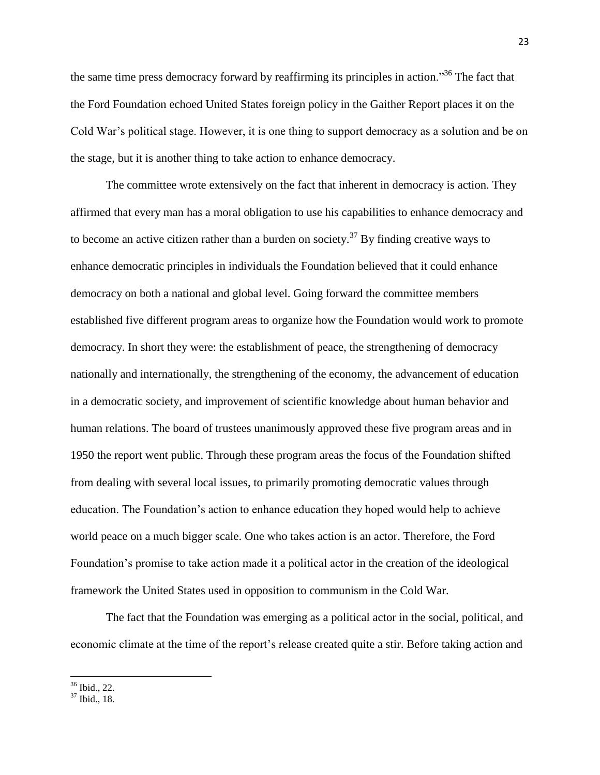the same time press democracy forward by reaffirming its principles in action."<sup>36</sup> The fact that the Ford Foundation echoed United States foreign policy in the Gaither Report places it on the Cold War's political stage. However, it is one thing to support democracy as a solution and be on the stage, but it is another thing to take action to enhance democracy.

The committee wrote extensively on the fact that inherent in democracy is action. They affirmed that every man has a moral obligation to use his capabilities to enhance democracy and to become an active citizen rather than a burden on society.<sup>37</sup> By finding creative ways to enhance democratic principles in individuals the Foundation believed that it could enhance democracy on both a national and global level. Going forward the committee members established five different program areas to organize how the Foundation would work to promote democracy. In short they were: the establishment of peace, the strengthening of democracy nationally and internationally, the strengthening of the economy, the advancement of education in a democratic society, and improvement of scientific knowledge about human behavior and human relations. The board of trustees unanimously approved these five program areas and in 1950 the report went public. Through these program areas the focus of the Foundation shifted from dealing with several local issues, to primarily promoting democratic values through education. The Foundation's action to enhance education they hoped would help to achieve world peace on a much bigger scale. One who takes action is an actor. Therefore, the Ford Foundation's promise to take action made it a political actor in the creation of the ideological framework the United States used in opposition to communism in the Cold War.

The fact that the Foundation was emerging as a political actor in the social, political, and economic climate at the time of the report's release created quite a stir. Before taking action and

<sup>36</sup> Ibid., 22.

<sup>37</sup> Ibid., 18.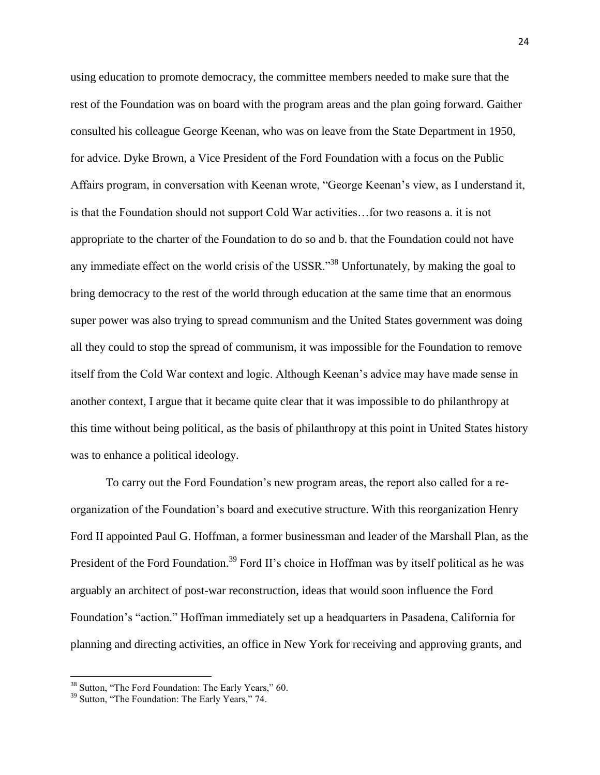using education to promote democracy, the committee members needed to make sure that the rest of the Foundation was on board with the program areas and the plan going forward. Gaither consulted his colleague George Keenan, who was on leave from the State Department in 1950, for advice. Dyke Brown, a Vice President of the Ford Foundation with a focus on the Public Affairs program, in conversation with Keenan wrote, "George Keenan's view, as I understand it, is that the Foundation should not support Cold War activities…for two reasons a. it is not appropriate to the charter of the Foundation to do so and b. that the Foundation could not have any immediate effect on the world crisis of the USSR.<sup>338</sup> Unfortunately, by making the goal to bring democracy to the rest of the world through education at the same time that an enormous super power was also trying to spread communism and the United States government was doing all they could to stop the spread of communism, it was impossible for the Foundation to remove itself from the Cold War context and logic. Although Keenan's advice may have made sense in another context, I argue that it became quite clear that it was impossible to do philanthropy at this time without being political, as the basis of philanthropy at this point in United States history was to enhance a political ideology.

To carry out the Ford Foundation's new program areas, the report also called for a reorganization of the Foundation's board and executive structure. With this reorganization Henry Ford II appointed Paul G. Hoffman, a former businessman and leader of the Marshall Plan, as the President of the Ford Foundation.<sup>39</sup> Ford II's choice in Hoffman was by itself political as he was arguably an architect of post-war reconstruction, ideas that would soon influence the Ford Foundation's "action." Hoffman immediately set up a headquarters in Pasadena, California for planning and directing activities, an office in New York for receiving and approving grants, and

<sup>&</sup>lt;sup>38</sup> Sutton, "The Ford Foundation: The Early Years," 60.

<sup>&</sup>lt;sup>39</sup> Sutton, "The Foundation: The Early Years," 74.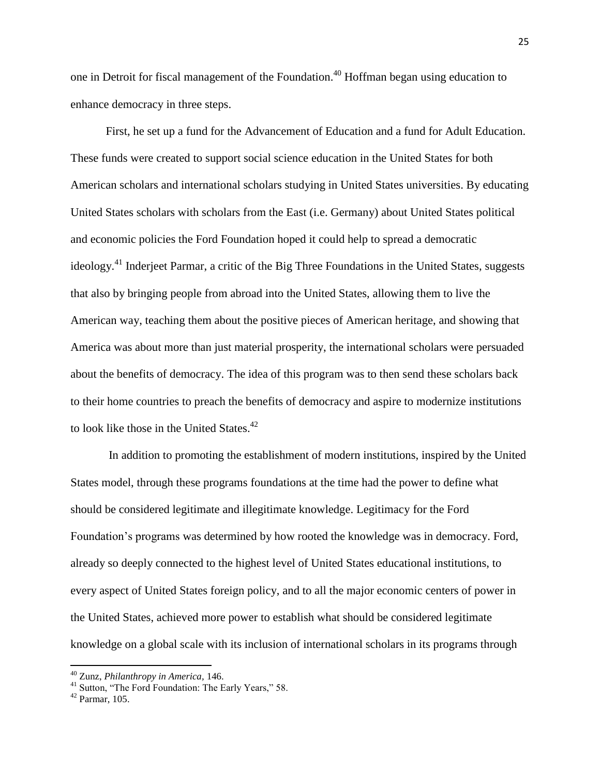one in Detroit for fiscal management of the Foundation. <sup>40</sup> Hoffman began using education to enhance democracy in three steps.

First, he set up a fund for the Advancement of Education and a fund for Adult Education. These funds were created to support social science education in the United States for both American scholars and international scholars studying in United States universities. By educating United States scholars with scholars from the East (i.e. Germany) about United States political and economic policies the Ford Foundation hoped it could help to spread a democratic ideology.<sup>41</sup> Inderjeet Parmar, a critic of the Big Three Foundations in the United States, suggests that also by bringing people from abroad into the United States, allowing them to live the American way, teaching them about the positive pieces of American heritage, and showing that America was about more than just material prosperity, the international scholars were persuaded about the benefits of democracy. The idea of this program was to then send these scholars back to their home countries to preach the benefits of democracy and aspire to modernize institutions to look like those in the United States.<sup>42</sup>

In addition to promoting the establishment of modern institutions, inspired by the United States model, through these programs foundations at the time had the power to define what should be considered legitimate and illegitimate knowledge. Legitimacy for the Ford Foundation's programs was determined by how rooted the knowledge was in democracy. Ford, already so deeply connected to the highest level of United States educational institutions, to every aspect of United States foreign policy, and to all the major economic centers of power in the United States, achieved more power to establish what should be considered legitimate knowledge on a global scale with its inclusion of international scholars in its programs through

<sup>40</sup> Zunz, *Philanthropy in America,* 146.

<sup>&</sup>lt;sup>41</sup> Sutton, "The Ford Foundation: The Early Years," 58.

<sup>42</sup> Parmar, 105.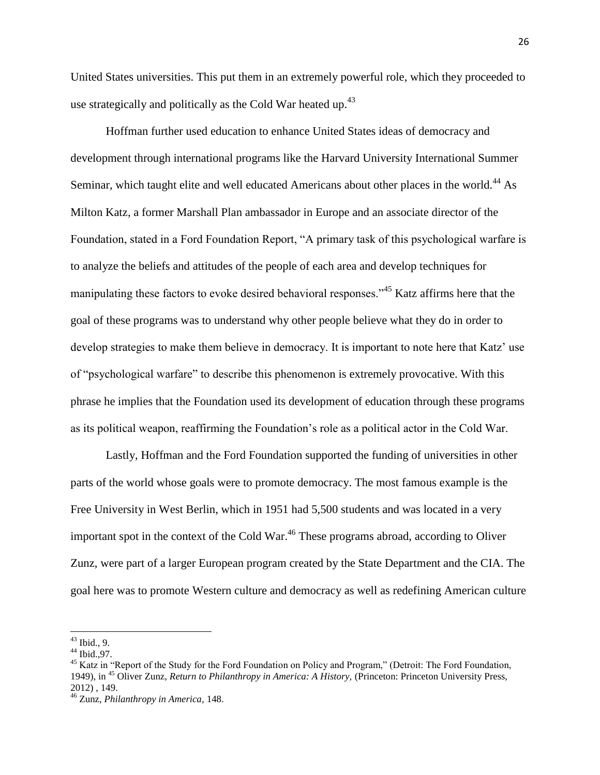United States universities. This put them in an extremely powerful role, which they proceeded to use strategically and politically as the Cold War heated up. $43$ 

Hoffman further used education to enhance United States ideas of democracy and development through international programs like the Harvard University International Summer Seminar, which taught elite and well educated Americans about other places in the world.<sup>44</sup> As Milton Katz, a former Marshall Plan ambassador in Europe and an associate director of the Foundation, stated in a Ford Foundation Report, "A primary task of this psychological warfare is to analyze the beliefs and attitudes of the people of each area and develop techniques for manipulating these factors to evoke desired behavioral responses.<sup>345</sup> Katz affirms here that the goal of these programs was to understand why other people believe what they do in order to develop strategies to make them believe in democracy. It is important to note here that Katz' use of "psychological warfare" to describe this phenomenon is extremely provocative. With this phrase he implies that the Foundation used its development of education through these programs as its political weapon, reaffirming the Foundation's role as a political actor in the Cold War.

Lastly, Hoffman and the Ford Foundation supported the funding of universities in other parts of the world whose goals were to promote democracy. The most famous example is the Free University in West Berlin, which in 1951 had 5,500 students and was located in a very important spot in the context of the Cold War.<sup>46</sup> These programs abroad, according to Oliver Zunz, were part of a larger European program created by the State Department and the CIA. The goal here was to promote Western culture and democracy as well as redefining American culture

l

 $43$  Ibid., 9.

 $44$  Ibid., 97.

<sup>&</sup>lt;sup>45</sup> Katz in "Report of the Study for the Ford Foundation on Policy and Program," (Detroit: The Ford Foundation, 1949), in <sup>45</sup> Oliver Zunz, *Return to Philanthropy in America: A History,* (Princeton: Princeton University Press, 2012) , 149.

<sup>46</sup> Zunz, *Philanthropy in America,* 148.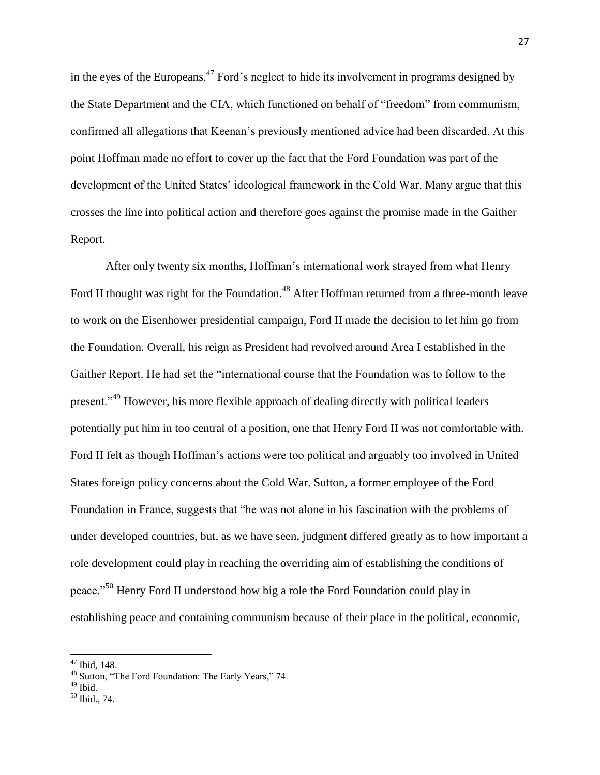in the eyes of the Europeans.<sup>47</sup> Ford's neglect to hide its involvement in programs designed by the State Department and the CIA, which functioned on behalf of "freedom" from communism, confirmed all allegations that Keenan's previously mentioned advice had been discarded. At this point Hoffman made no effort to cover up the fact that the Ford Foundation was part of the development of the United States' ideological framework in the Cold War. Many argue that this crosses the line into political action and therefore goes against the promise made in the Gaither Report.

After only twenty six months, Hoffman's international work strayed from what Henry Ford II thought was right for the Foundation.<sup>48</sup> After Hoffman returned from a three-month leave to work on the Eisenhower presidential campaign, Ford II made the decision to let him go from the Foundation. Overall, his reign as President had revolved around Area I established in the Gaither Report. He had set the "international course that the Foundation was to follow to the present."<sup>49</sup> However, his more flexible approach of dealing directly with political leaders potentially put him in too central of a position, one that Henry Ford II was not comfortable with. Ford II felt as though Hoffman's actions were too political and arguably too involved in United States foreign policy concerns about the Cold War. Sutton, a former employee of the Ford Foundation in France, suggests that "he was not alone in his fascination with the problems of under developed countries, but, as we have seen, judgment differed greatly as to how important a role development could play in reaching the overriding aim of establishing the conditions of peace."<sup>50</sup> Henry Ford II understood how big a role the Ford Foundation could play in establishing peace and containing communism because of their place in the political, economic,

<sup>47</sup> Ibid*,* 148.

<sup>&</sup>lt;sup>48</sup> Sutton, "The Ford Foundation: The Early Years," 74.

<sup>&</sup>lt;sup>49</sup> Ibid.

<sup>50</sup> Ibid., 74.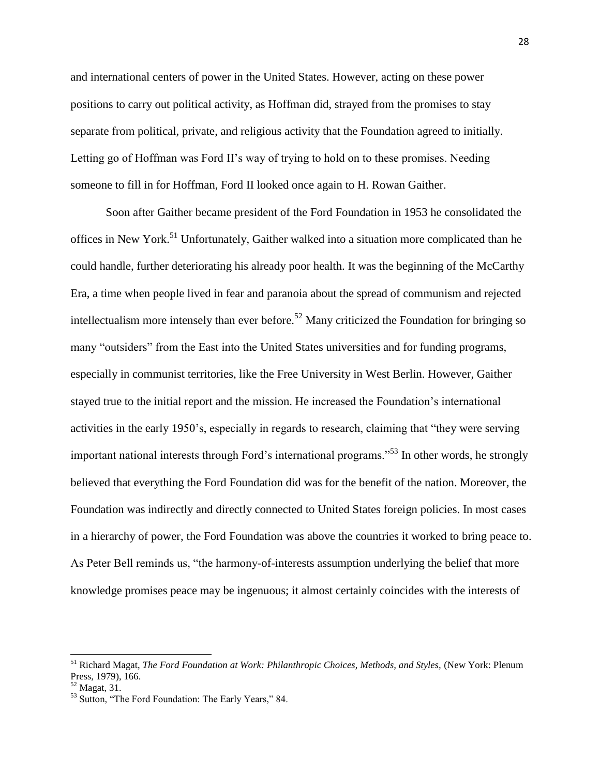and international centers of power in the United States. However, acting on these power positions to carry out political activity, as Hoffman did, strayed from the promises to stay separate from political, private, and religious activity that the Foundation agreed to initially. Letting go of Hoffman was Ford II's way of trying to hold on to these promises. Needing someone to fill in for Hoffman, Ford II looked once again to H. Rowan Gaither.

Soon after Gaither became president of the Ford Foundation in 1953 he consolidated the offices in New York.<sup>51</sup> Unfortunately, Gaither walked into a situation more complicated than he could handle, further deteriorating his already poor health. It was the beginning of the McCarthy Era, a time when people lived in fear and paranoia about the spread of communism and rejected intellectualism more intensely than ever before.<sup>52</sup> Many criticized the Foundation for bringing so many "outsiders" from the East into the United States universities and for funding programs, especially in communist territories, like the Free University in West Berlin. However, Gaither stayed true to the initial report and the mission. He increased the Foundation's international activities in the early 1950's, especially in regards to research, claiming that "they were serving important national interests through Ford's international programs."<sup>53</sup> In other words, he strongly believed that everything the Ford Foundation did was for the benefit of the nation. Moreover, the Foundation was indirectly and directly connected to United States foreign policies. In most cases in a hierarchy of power, the Ford Foundation was above the countries it worked to bring peace to. As Peter Bell reminds us, "the harmony-of-interests assumption underlying the belief that more knowledge promises peace may be ingenuous; it almost certainly coincides with the interests of

<sup>51</sup> Richard Magat, *The Ford Foundation at Work: Philanthropic Choices, Methods, and Styles,* (New York: Plenum Press, 1979), 166.

 $52$  Magat, 31.

<sup>53</sup> Sutton, "The Ford Foundation: The Early Years," 84.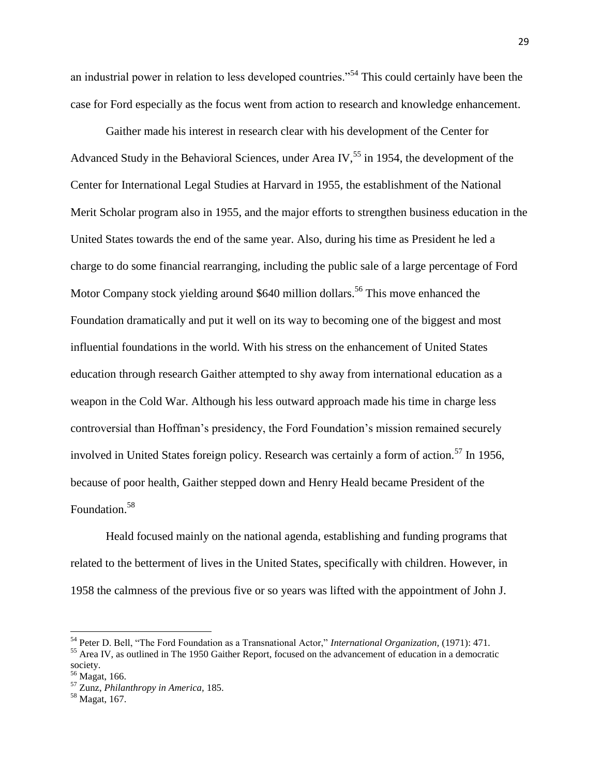an industrial power in relation to less developed countries."<sup>54</sup> This could certainly have been the case for Ford especially as the focus went from action to research and knowledge enhancement.

Gaither made his interest in research clear with his development of the Center for Advanced Study in the Behavioral Sciences, under Area IV,  $55$  in 1954, the development of the Center for International Legal Studies at Harvard in 1955, the establishment of the National Merit Scholar program also in 1955, and the major efforts to strengthen business education in the United States towards the end of the same year. Also, during his time as President he led a charge to do some financial rearranging, including the public sale of a large percentage of Ford Motor Company stock yielding around \$640 million dollars.<sup>56</sup> This move enhanced the Foundation dramatically and put it well on its way to becoming one of the biggest and most influential foundations in the world. With his stress on the enhancement of United States education through research Gaither attempted to shy away from international education as a weapon in the Cold War. Although his less outward approach made his time in charge less controversial than Hoffman's presidency, the Ford Foundation's mission remained securely involved in United States foreign policy. Research was certainly a form of action.<sup>57</sup> In 1956, because of poor health, Gaither stepped down and Henry Heald became President of the Foundation.<sup>58</sup>

Heald focused mainly on the national agenda, establishing and funding programs that related to the betterment of lives in the United States, specifically with children. However, in 1958 the calmness of the previous five or so years was lifted with the appointment of John J.

l

<sup>54</sup> Peter D. Bell, "The Ford Foundation as a Transnational Actor," *International Organization,* (1971): 471.

<sup>&</sup>lt;sup>55</sup> Area IV, as outlined in The 1950 Gaither Report, focused on the advancement of education in a democratic society.

<sup>56</sup> Magat, 166.

<sup>57</sup> Zunz, *Philanthropy in America,* 185.

<sup>58</sup> Magat, 167.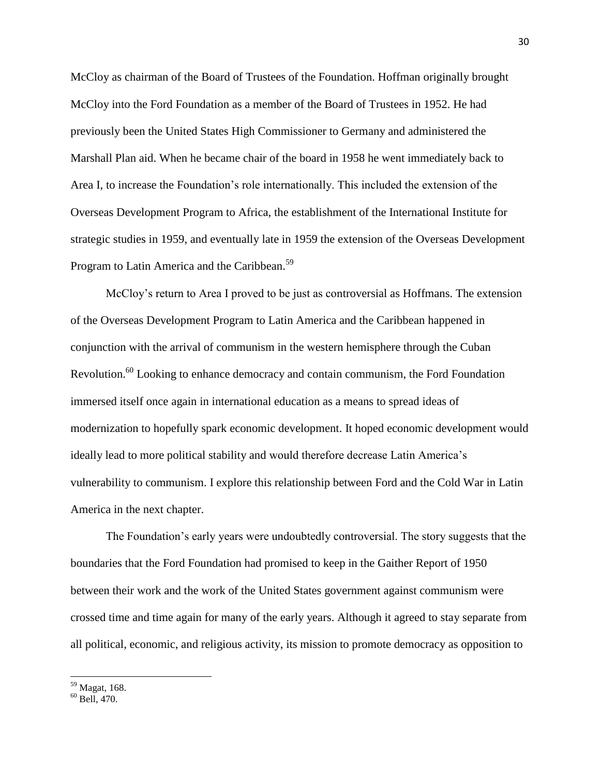McCloy as chairman of the Board of Trustees of the Foundation. Hoffman originally brought McCloy into the Ford Foundation as a member of the Board of Trustees in 1952. He had previously been the United States High Commissioner to Germany and administered the Marshall Plan aid. When he became chair of the board in 1958 he went immediately back to Area I, to increase the Foundation's role internationally. This included the extension of the Overseas Development Program to Africa, the establishment of the International Institute for strategic studies in 1959, and eventually late in 1959 the extension of the Overseas Development Program to Latin America and the Caribbean.<sup>59</sup>

McCloy's return to Area I proved to be just as controversial as Hoffmans. The extension of the Overseas Development Program to Latin America and the Caribbean happened in conjunction with the arrival of communism in the western hemisphere through the Cuban Revolution.<sup>60</sup> Looking to enhance democracy and contain communism, the Ford Foundation immersed itself once again in international education as a means to spread ideas of modernization to hopefully spark economic development. It hoped economic development would ideally lead to more political stability and would therefore decrease Latin America's vulnerability to communism. I explore this relationship between Ford and the Cold War in Latin America in the next chapter.

The Foundation's early years were undoubtedly controversial. The story suggests that the boundaries that the Ford Foundation had promised to keep in the Gaither Report of 1950 between their work and the work of the United States government against communism were crossed time and time again for many of the early years. Although it agreed to stay separate from all political, economic, and religious activity, its mission to promote democracy as opposition to

<sup>&</sup>lt;sup>59</sup> Magat, 168.

<sup>60</sup> Bell, 470.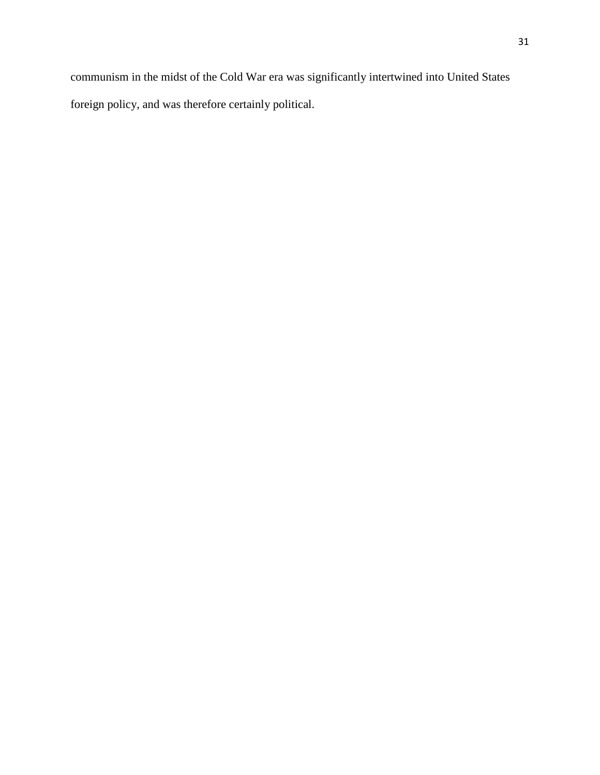communism in the midst of the Cold War era was significantly intertwined into United States foreign policy, and was therefore certainly political.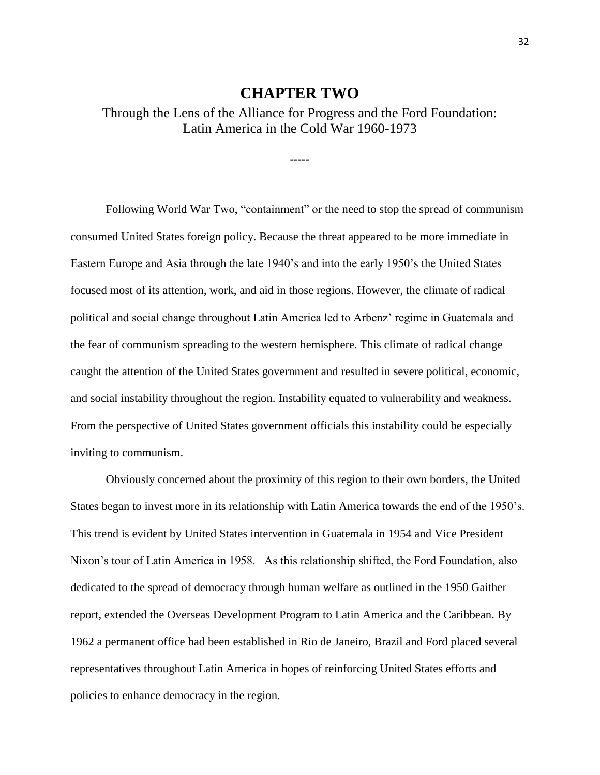#### **CHAPTER TWO**

#### <span id="page-32-2"></span><span id="page-32-1"></span><span id="page-32-0"></span>Through the Lens of the Alliance for Progress and the Ford Foundation: Latin America in the Cold War 1960-1973

**-----**

Following World War Two, "containment" or the need to stop the spread of communism consumed United States foreign policy. Because the threat appeared to be more immediate in Eastern Europe and Asia through the late 1940's and into the early 1950's the United States focused most of its attention, work, and aid in those regions. However, the climate of radical political and social change throughout Latin America led to Arbenz' regime in Guatemala and the fear of communism spreading to the western hemisphere. This climate of radical change caught the attention of the United States government and resulted in severe political, economic, and social instability throughout the region. Instability equated to vulnerability and weakness. From the perspective of United States government officials this instability could be especially inviting to communism.

Obviously concerned about the proximity of this region to their own borders, the United States began to invest more in its relationship with Latin America towards the end of the 1950's. This trend is evident by United States intervention in Guatemala in 1954 and Vice President Nixon's tour of Latin America in 1958. As this relationship shifted, the Ford Foundation, also dedicated to the spread of democracy through human welfare as outlined in the 1950 Gaither report, extended the Overseas Development Program to Latin America and the Caribbean. By 1962 a permanent office had been established in Rio de Janeiro, Brazil and Ford placed several representatives throughout Latin America in hopes of reinforcing United States efforts and policies to enhance democracy in the region.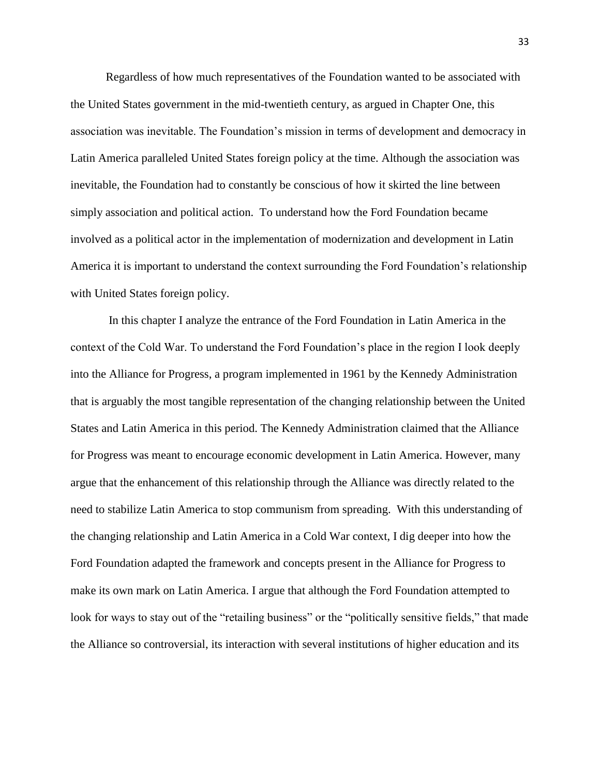Regardless of how much representatives of the Foundation wanted to be associated with the United States government in the mid-twentieth century, as argued in Chapter One, this association was inevitable. The Foundation's mission in terms of development and democracy in Latin America paralleled United States foreign policy at the time. Although the association was inevitable, the Foundation had to constantly be conscious of how it skirted the line between simply association and political action. To understand how the Ford Foundation became involved as a political actor in the implementation of modernization and development in Latin America it is important to understand the context surrounding the Ford Foundation's relationship with United States foreign policy.

In this chapter I analyze the entrance of the Ford Foundation in Latin America in the context of the Cold War. To understand the Ford Foundation's place in the region I look deeply into the Alliance for Progress, a program implemented in 1961 by the Kennedy Administration that is arguably the most tangible representation of the changing relationship between the United States and Latin America in this period. The Kennedy Administration claimed that the Alliance for Progress was meant to encourage economic development in Latin America. However, many argue that the enhancement of this relationship through the Alliance was directly related to the need to stabilize Latin America to stop communism from spreading. With this understanding of the changing relationship and Latin America in a Cold War context, I dig deeper into how the Ford Foundation adapted the framework and concepts present in the Alliance for Progress to make its own mark on Latin America. I argue that although the Ford Foundation attempted to look for ways to stay out of the "retailing business" or the "politically sensitive fields," that made the Alliance so controversial, its interaction with several institutions of higher education and its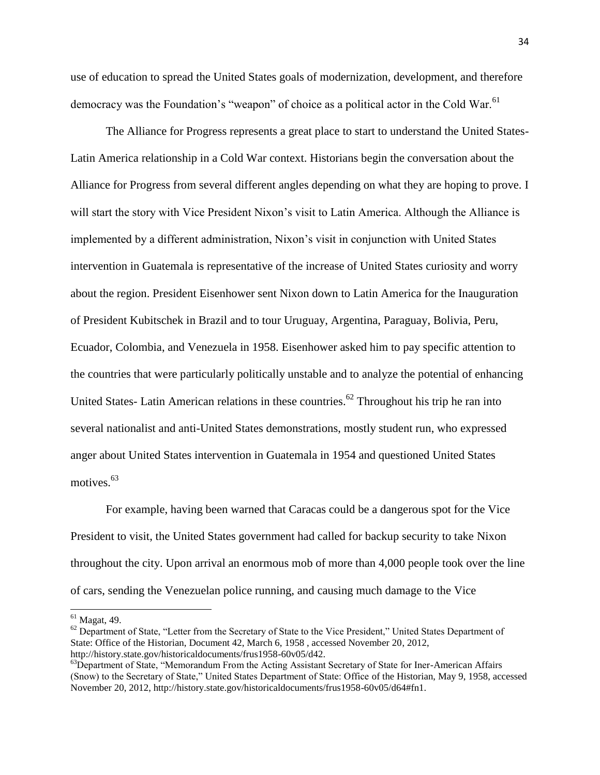use of education to spread the United States goals of modernization, development, and therefore democracy was the Foundation's "weapon" of choice as a political actor in the Cold War.<sup>61</sup>

The Alliance for Progress represents a great place to start to understand the United States-Latin America relationship in a Cold War context. Historians begin the conversation about the Alliance for Progress from several different angles depending on what they are hoping to prove. I will start the story with Vice President Nixon's visit to Latin America. Although the Alliance is implemented by a different administration, Nixon's visit in conjunction with United States intervention in Guatemala is representative of the increase of United States curiosity and worry about the region. President Eisenhower sent Nixon down to Latin America for the Inauguration of President Kubitschek in Brazil and to tour Uruguay, Argentina, Paraguay, Bolivia, Peru, Ecuador, Colombia, and Venezuela in 1958. Eisenhower asked him to pay specific attention to the countries that were particularly politically unstable and to analyze the potential of enhancing United States- Latin American relations in these countries.<sup>62</sup> Throughout his trip he ran into several nationalist and anti-United States demonstrations, mostly student run, who expressed anger about United States intervention in Guatemala in 1954 and questioned United States motives.<sup>63</sup>

For example, having been warned that Caracas could be a dangerous spot for the Vice President to visit, the United States government had called for backup security to take Nixon throughout the city. Upon arrival an enormous mob of more than 4,000 people took over the line of cars, sending the Venezuelan police running, and causing much damage to the Vice

 $\overline{a}$ 

 $61$  Magat, 49.

<sup>&</sup>lt;sup>62</sup> Department of State, "Letter from the Secretary of State to the Vice President," United States Department of State: Office of the Historian, Document 42, March 6, 1958 , accessed November 20, 2012, http://history.state.gov/historicaldocuments/frus1958-60v05/d42.

<sup>&</sup>lt;sup>63</sup>Department of State, "Memorandum From the Acting Assistant Secretary of State for Iner-American Affairs (Snow) to the Secretary of State," United States Department of State: Office of the Historian, May 9, 1958, accessed November 20, 2012, http://history.state.gov/historicaldocuments/frus1958-60v05/d64#fn1.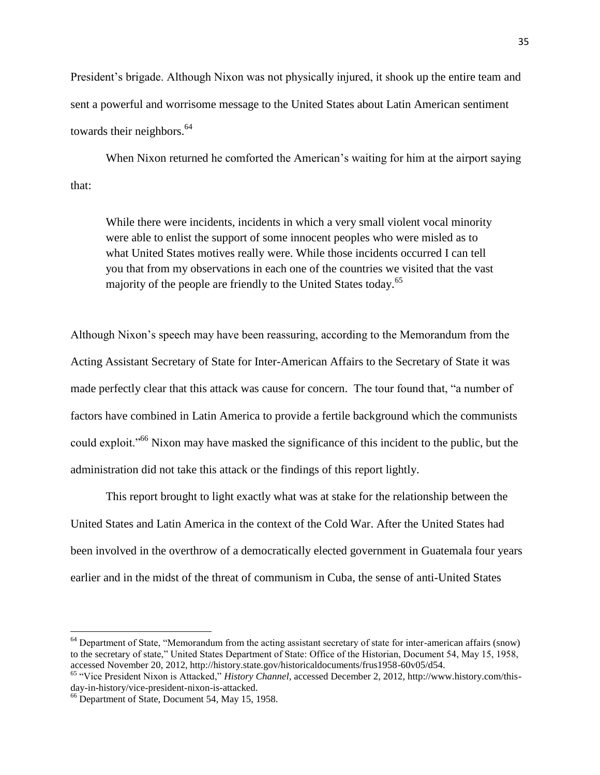President's brigade. Although Nixon was not physically injured, it shook up the entire team and sent a powerful and worrisome message to the United States about Latin American sentiment towards their neighbors.<sup>64</sup>

When Nixon returned he comforted the American's waiting for him at the airport saying that:

While there were incidents, incidents in which a very small violent vocal minority were able to enlist the support of some innocent peoples who were misled as to what United States motives really were. While those incidents occurred I can tell you that from my observations in each one of the countries we visited that the vast majority of the people are friendly to the United States today.<sup>65</sup>

Although Nixon's speech may have been reassuring, according to the Memorandum from the Acting Assistant Secretary of State for Inter-American Affairs to the Secretary of State it was made perfectly clear that this attack was cause for concern. The tour found that, "a number of factors have combined in Latin America to provide a fertile background which the communists could exploit."<sup>66</sup> Nixon may have masked the significance of this incident to the public, but the administration did not take this attack or the findings of this report lightly.

This report brought to light exactly what was at stake for the relationship between the United States and Latin America in the context of the Cold War. After the United States had been involved in the overthrow of a democratically elected government in Guatemala four years earlier and in the midst of the threat of communism in Cuba, the sense of anti-United States

l

<sup>&</sup>lt;sup>64</sup> Department of State, "Memorandum from the acting assistant secretary of state for inter-american affairs (snow) to the secretary of state," United States Department of State: Office of the Historian, Document 54, May 15, 1958, accessed November 20, 2012, http://history.state.gov/historicaldocuments/frus1958-60v05/d54.

<sup>65</sup> "Vice President Nixon is Attacked," *History Channel*, accessed December 2, 2012, http://www.history.com/thisday-in-history/vice-president-nixon-is-attacked.

<sup>66</sup> Department of State, Document 54, May 15, 1958.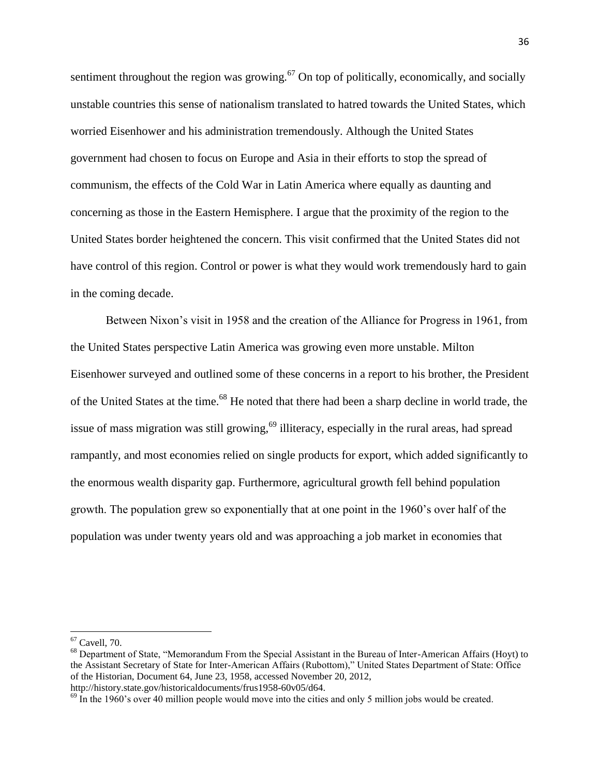sentiment throughout the region was growing.<sup>67</sup> On top of politically, economically, and socially unstable countries this sense of nationalism translated to hatred towards the United States, which worried Eisenhower and his administration tremendously. Although the United States government had chosen to focus on Europe and Asia in their efforts to stop the spread of communism, the effects of the Cold War in Latin America where equally as daunting and concerning as those in the Eastern Hemisphere. I argue that the proximity of the region to the United States border heightened the concern. This visit confirmed that the United States did not have control of this region. Control or power is what they would work tremendously hard to gain in the coming decade.

Between Nixon's visit in 1958 and the creation of the Alliance for Progress in 1961, from the United States perspective Latin America was growing even more unstable. Milton Eisenhower surveyed and outlined some of these concerns in a report to his brother, the President of the United States at the time.<sup>68</sup> He noted that there had been a sharp decline in world trade, the issue of mass migration was still growing,  $69$  illiteracy, especially in the rural areas, had spread rampantly, and most economies relied on single products for export, which added significantly to the enormous wealth disparity gap. Furthermore, agricultural growth fell behind population growth. The population grew so exponentially that at one point in the 1960's over half of the population was under twenty years old and was approaching a job market in economies that

 $67$  Cavell, 70.

<sup>&</sup>lt;sup>68</sup> Department of State, "Memorandum From the Special Assistant in the Bureau of Inter-American Affairs (Hoyt) to the Assistant Secretary of State for Inter-American Affairs (Rubottom)," United States Department of State: Office of the Historian, Document 64, June 23, 1958, accessed November 20, 2012, http://history.state.gov/historicaldocuments/frus1958-60v05/d64.

 $^{69}$  In the 1960's over 40 million people would move into the cities and only 5 million jobs would be created.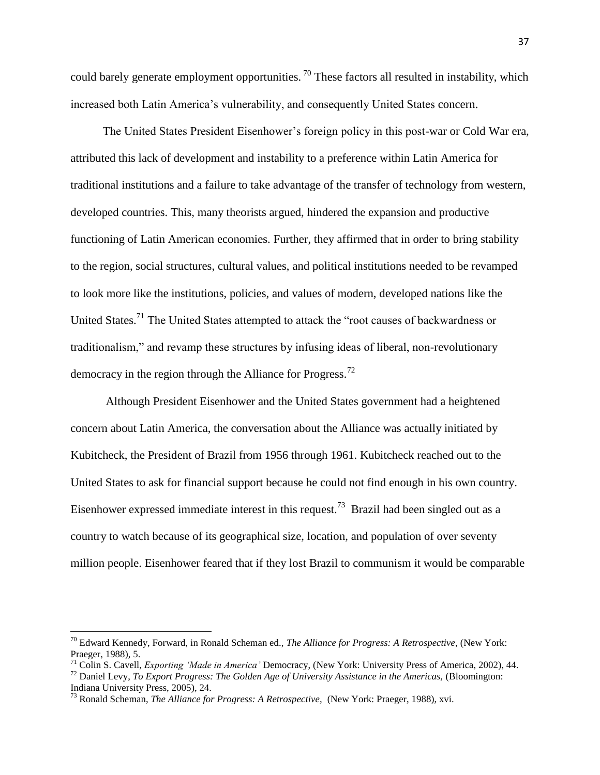could barely generate employment opportunities.<sup>70</sup> These factors all resulted in instability, which increased both Latin America's vulnerability, and consequently United States concern.

The United States President Eisenhower's foreign policy in this post-war or Cold War era, attributed this lack of development and instability to a preference within Latin America for traditional institutions and a failure to take advantage of the transfer of technology from western, developed countries. This, many theorists argued, hindered the expansion and productive functioning of Latin American economies. Further, they affirmed that in order to bring stability to the region, social structures, cultural values, and political institutions needed to be revamped to look more like the institutions, policies, and values of modern, developed nations like the United States.<sup>71</sup> The United States attempted to attack the "root causes of backwardness or traditionalism," and revamp these structures by infusing ideas of liberal, non-revolutionary democracy in the region through the Alliance for Progress.<sup>72</sup>

Although President Eisenhower and the United States government had a heightened concern about Latin America, the conversation about the Alliance was actually initiated by Kubitcheck, the President of Brazil from 1956 through 1961. Kubitcheck reached out to the United States to ask for financial support because he could not find enough in his own country. Eisenhower expressed immediate interest in this request.<sup>73</sup> Brazil had been singled out as a country to watch because of its geographical size, location, and population of over seventy million people. Eisenhower feared that if they lost Brazil to communism it would be comparable

<sup>70</sup> Edward Kennedy, Forward, in Ronald Scheman ed., *The Alliance for Progress: A Retrospective*, (New York: Praeger, 1988), 5.

<sup>71</sup> Colin S. Cavell, *Exporting 'Made in America'* Democracy, (New York: University Press of America, 2002), 44.

<sup>72</sup> Daniel Levy, *To Export Progress: The Golden Age of University Assistance in the Americas,* (Bloomington: Indiana University Press, 2005), 24.

<sup>73</sup> Ronald Scheman, *The Alliance for Progress: A Retrospective,* (New York: Praeger, 1988), xvi.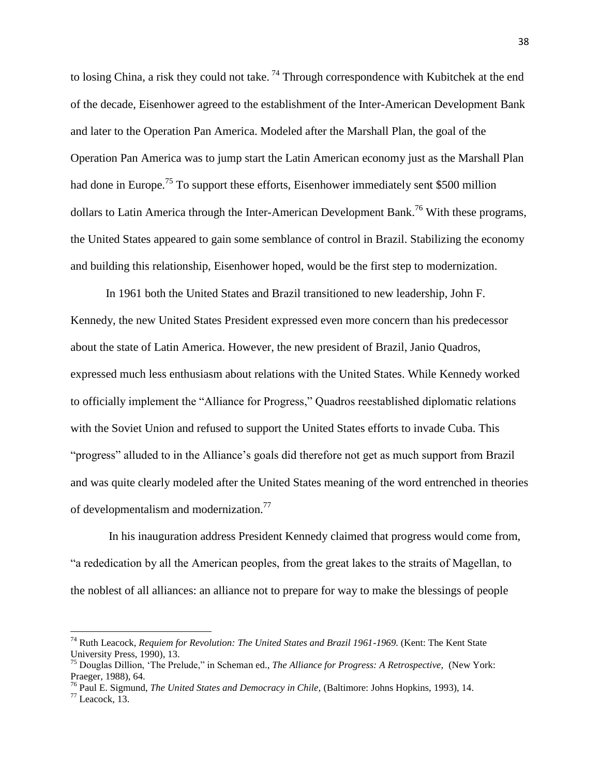to losing China, a risk they could not take.<sup>74</sup> Through correspondence with Kubitchek at the end of the decade, Eisenhower agreed to the establishment of the Inter-American Development Bank and later to the Operation Pan America. Modeled after the Marshall Plan, the goal of the Operation Pan America was to jump start the Latin American economy just as the Marshall Plan had done in Europe.<sup>75</sup> To support these efforts, Eisenhower immediately sent \$500 million dollars to Latin America through the Inter-American Development Bank.<sup>76</sup> With these programs, the United States appeared to gain some semblance of control in Brazil. Stabilizing the economy and building this relationship, Eisenhower hoped, would be the first step to modernization.

In 1961 both the United States and Brazil transitioned to new leadership, John F. Kennedy, the new United States President expressed even more concern than his predecessor about the state of Latin America. However, the new president of Brazil, Janio Quadros, expressed much less enthusiasm about relations with the United States. While Kennedy worked to officially implement the "Alliance for Progress," Quadros reestablished diplomatic relations with the Soviet Union and refused to support the United States efforts to invade Cuba. This "progress" alluded to in the Alliance's goals did therefore not get as much support from Brazil and was quite clearly modeled after the United States meaning of the word entrenched in theories of developmentalism and modernization.<sup>77</sup>

In his inauguration address President Kennedy claimed that progress would come from, "a rededication by all the American peoples, from the great lakes to the straits of Magellan, to the noblest of all alliances: an alliance not to prepare for way to make the blessings of people

<sup>&</sup>lt;sup>74</sup> Ruth Leacock, *Requiem for Revolution: The United States and Brazil 1961-1969*. (Kent: The Kent State University Press, 1990), 13.

<sup>75</sup> Douglas Dillion, 'The Prelude," in Scheman ed., *The Alliance for Progress: A Retrospective,* (New York: Praeger, 1988), 64.

<sup>76</sup> Paul E. Sigmund, *The United States and Democracy in Chile,* (Baltimore: Johns Hopkins, 1993), 14.

 $77$  Leacock, 13.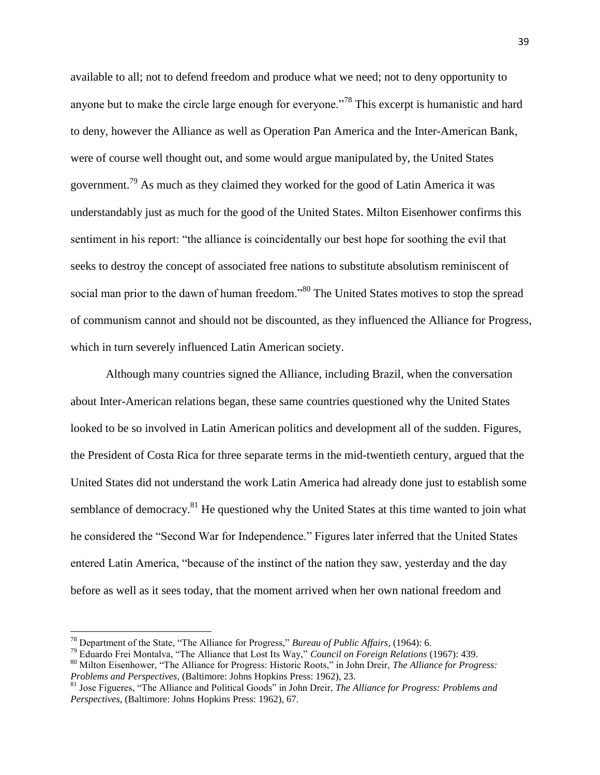available to all; not to defend freedom and produce what we need; not to deny opportunity to anyone but to make the circle large enough for everyone.<sup>778</sup> This excerpt is humanistic and hard to deny, however the Alliance as well as Operation Pan America and the Inter-American Bank, were of course well thought out, and some would argue manipulated by, the United States government.<sup>79</sup> As much as they claimed they worked for the good of Latin America it was understandably just as much for the good of the United States. Milton Eisenhower confirms this sentiment in his report: "the alliance is coincidentally our best hope for soothing the evil that seeks to destroy the concept of associated free nations to substitute absolutism reminiscent of social man prior to the dawn of human freedom."<sup>80</sup> The United States motives to stop the spread of communism cannot and should not be discounted, as they influenced the Alliance for Progress, which in turn severely influenced Latin American society.

Although many countries signed the Alliance, including Brazil, when the conversation about Inter-American relations began, these same countries questioned why the United States looked to be so involved in Latin American politics and development all of the sudden. Figures, the President of Costa Rica for three separate terms in the mid-twentieth century, argued that the United States did not understand the work Latin America had already done just to establish some semblance of democracy.<sup>81</sup> He questioned why the United States at this time wanted to join what he considered the "Second War for Independence." Figures later inferred that the United States entered Latin America, "because of the instinct of the nation they saw, yesterday and the day before as well as it sees today, that the moment arrived when her own national freedom and

<sup>78</sup> Department of the State, "The Alliance for Progress," *Bureau of Public Affairs*, (1964): 6.

<sup>79</sup> Eduardo Frei Montalva, "The Alliance that Lost Its Way," *Council on Foreign Relations* (1967): 439.

<sup>80</sup> Milton Eisenhower, "The Alliance for Progress: Historic Roots," in John Dreir, *The Alliance for Progress: Problems and Perspectives,* (Baltimore: Johns Hopkins Press: 1962), 23.

<sup>81</sup> Jose Figueres, "The Alliance and Political Goods" in John Dreir, *The Alliance for Progress: Problems and Perspectives,* (Baltimore: Johns Hopkins Press: 1962), 67.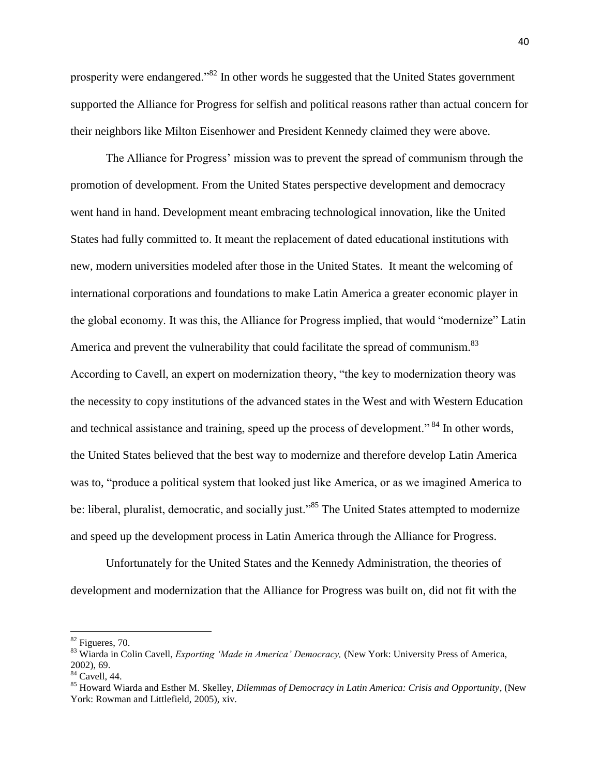prosperity were endangered."<sup>82</sup> In other words he suggested that the United States government supported the Alliance for Progress for selfish and political reasons rather than actual concern for their neighbors like Milton Eisenhower and President Kennedy claimed they were above.

The Alliance for Progress' mission was to prevent the spread of communism through the promotion of development. From the United States perspective development and democracy went hand in hand. Development meant embracing technological innovation, like the United States had fully committed to. It meant the replacement of dated educational institutions with new, modern universities modeled after those in the United States. It meant the welcoming of international corporations and foundations to make Latin America a greater economic player in the global economy. It was this, the Alliance for Progress implied, that would "modernize" Latin America and prevent the vulnerability that could facilitate the spread of communism.<sup>83</sup> According to Cavell, an expert on modernization theory, "the key to modernization theory was the necessity to copy institutions of the advanced states in the West and with Western Education and technical assistance and training, speed up the process of development."<sup>84</sup> In other words, the United States believed that the best way to modernize and therefore develop Latin America was to, "produce a political system that looked just like America, or as we imagined America to be: liberal, pluralist, democratic, and socially just."<sup>85</sup> The United States attempted to modernize and speed up the development process in Latin America through the Alliance for Progress.

Unfortunately for the United States and the Kennedy Administration, the theories of development and modernization that the Alliance for Progress was built on, did not fit with the

 $82$  Figueres, 70.

<sup>83</sup> Wiarda in Colin Cavell, *Exporting 'Made in America' Democracy,* (New York: University Press of America, 2002), 69.

<sup>84</sup> Cavell, 44.

<sup>85</sup> Howard Wiarda and Esther M. Skelley, *Dilemmas of Democracy in Latin America: Crisis and Opportunity*, (New York: Rowman and Littlefield, 2005), xiv.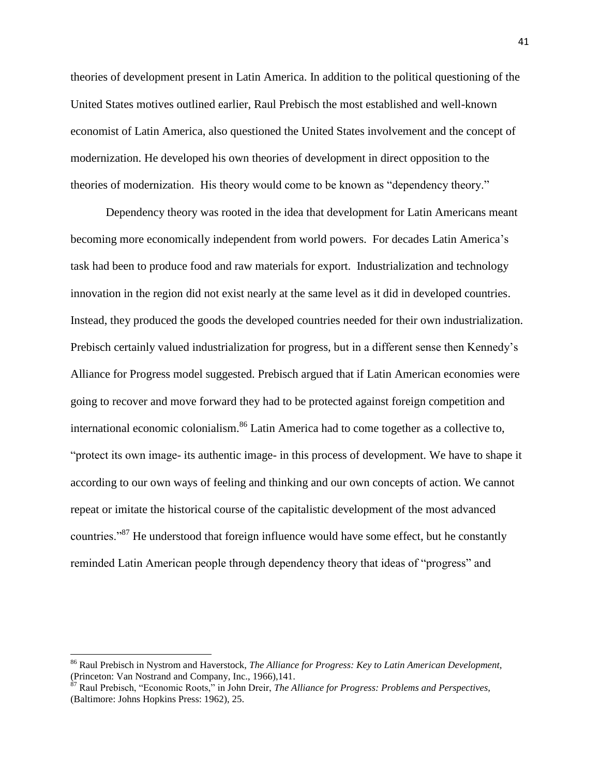theories of development present in Latin America. In addition to the political questioning of the United States motives outlined earlier, Raul Prebisch the most established and well-known economist of Latin America, also questioned the United States involvement and the concept of modernization. He developed his own theories of development in direct opposition to the theories of modernization. His theory would come to be known as "dependency theory."

Dependency theory was rooted in the idea that development for Latin Americans meant becoming more economically independent from world powers. For decades Latin America's task had been to produce food and raw materials for export. Industrialization and technology innovation in the region did not exist nearly at the same level as it did in developed countries. Instead, they produced the goods the developed countries needed for their own industrialization. Prebisch certainly valued industrialization for progress, but in a different sense then Kennedy's Alliance for Progress model suggested. Prebisch argued that if Latin American economies were going to recover and move forward they had to be protected against foreign competition and international economic colonialism.<sup>86</sup> Latin America had to come together as a collective to, "protect its own image- its authentic image- in this process of development. We have to shape it according to our own ways of feeling and thinking and our own concepts of action. We cannot repeat or imitate the historical course of the capitalistic development of the most advanced countries."<sup>87</sup> He understood that foreign influence would have some effect, but he constantly reminded Latin American people through dependency theory that ideas of "progress" and

<sup>86</sup> Raul Prebisch in Nystrom and Haverstock, *The Alliance for Progress: Key to Latin American Development,*  (Princeton: Van Nostrand and Company, Inc., 1966),141.

<sup>87</sup> Raul Prebisch, "Economic Roots," in John Dreir, *The Alliance for Progress: Problems and Perspectives,*  (Baltimore: Johns Hopkins Press: 1962), 25.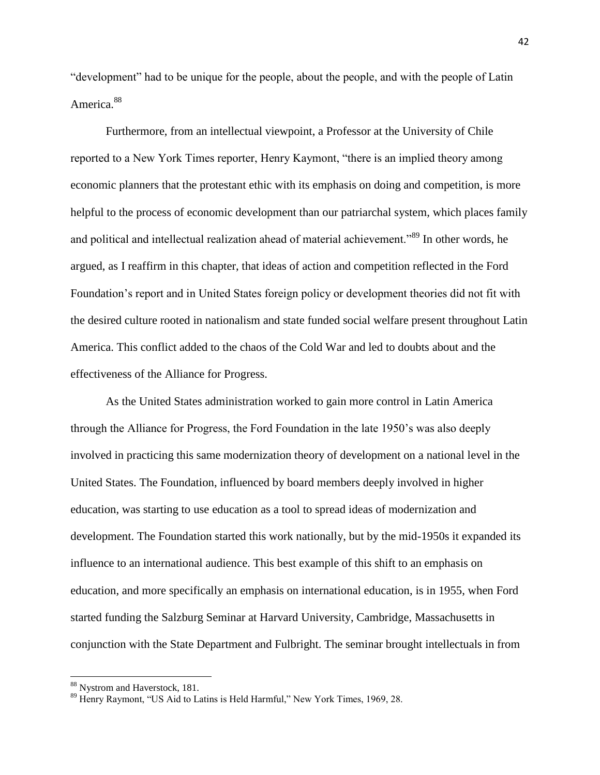"development" had to be unique for the people, about the people, and with the people of Latin America.<sup>88</sup>

Furthermore, from an intellectual viewpoint, a Professor at the University of Chile reported to a New York Times reporter, Henry Kaymont, "there is an implied theory among economic planners that the protestant ethic with its emphasis on doing and competition, is more helpful to the process of economic development than our patriarchal system, which places family and political and intellectual realization ahead of material achievement."<sup>89</sup> In other words, he argued, as I reaffirm in this chapter, that ideas of action and competition reflected in the Ford Foundation's report and in United States foreign policy or development theories did not fit with the desired culture rooted in nationalism and state funded social welfare present throughout Latin America. This conflict added to the chaos of the Cold War and led to doubts about and the effectiveness of the Alliance for Progress.

As the United States administration worked to gain more control in Latin America through the Alliance for Progress, the Ford Foundation in the late 1950's was also deeply involved in practicing this same modernization theory of development on a national level in the United States. The Foundation, influenced by board members deeply involved in higher education, was starting to use education as a tool to spread ideas of modernization and development. The Foundation started this work nationally, but by the mid-1950s it expanded its influence to an international audience. This best example of this shift to an emphasis on education, and more specifically an emphasis on international education, is in 1955, when Ford started funding the Salzburg Seminar at Harvard University, Cambridge, Massachusetts in conjunction with the State Department and Fulbright. The seminar brought intellectuals in from

<sup>88</sup> Nystrom and Haverstock, 181.

<sup>89</sup> Henry Raymont, "US Aid to Latins is Held Harmful," New York Times, 1969, 28.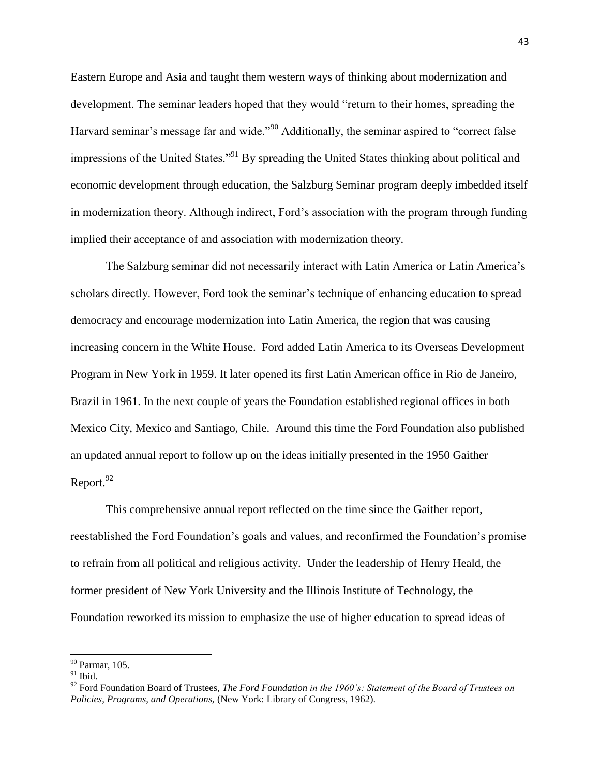Eastern Europe and Asia and taught them western ways of thinking about modernization and development. The seminar leaders hoped that they would "return to their homes, spreading the Harvard seminar's message far and wide."<sup>90</sup> Additionally, the seminar aspired to "correct false" impressions of the United States."<sup>91</sup> By spreading the United States thinking about political and economic development through education, the Salzburg Seminar program deeply imbedded itself in modernization theory. Although indirect, Ford's association with the program through funding implied their acceptance of and association with modernization theory.

The Salzburg seminar did not necessarily interact with Latin America or Latin America's scholars directly. However, Ford took the seminar's technique of enhancing education to spread democracy and encourage modernization into Latin America, the region that was causing increasing concern in the White House. Ford added Latin America to its Overseas Development Program in New York in 1959. It later opened its first Latin American office in Rio de Janeiro, Brazil in 1961. In the next couple of years the Foundation established regional offices in both Mexico City, Mexico and Santiago, Chile. Around this time the Ford Foundation also published an updated annual report to follow up on the ideas initially presented in the 1950 Gaither Report. $92$ 

This comprehensive annual report reflected on the time since the Gaither report, reestablished the Ford Foundation's goals and values, and reconfirmed the Foundation's promise to refrain from all political and religious activity. Under the leadership of Henry Heald, the former president of New York University and the Illinois Institute of Technology, the Foundation reworked its mission to emphasize the use of higher education to spread ideas of

<sup>90</sup> Parmar, 105.

 $^{91}$  Ibid.

<sup>92</sup> Ford Foundation Board of Trustees, *The Ford Foundation in the 1960's: Statement of the Board of Trustees on Policies, Programs, and Operations,* (New York: Library of Congress, 1962).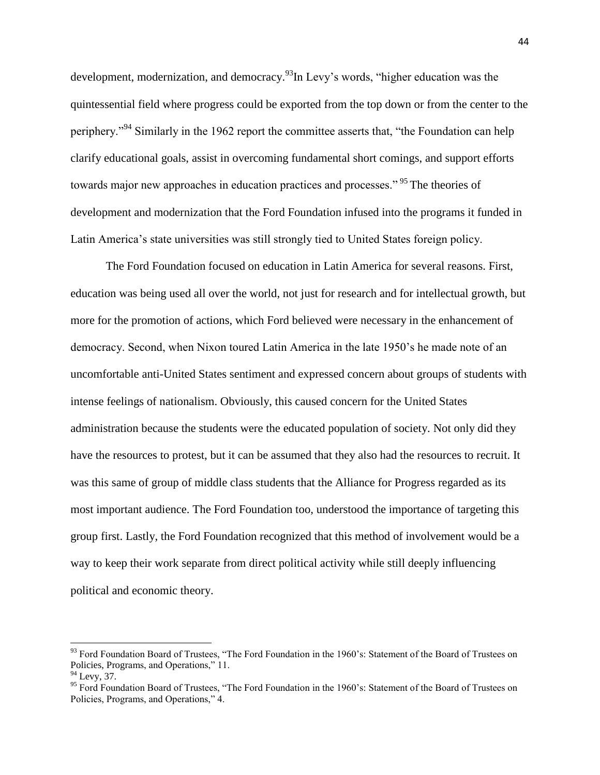development, modernization, and democracy.  $\frac{93}{9}$ In Levy's words, "higher education was the quintessential field where progress could be exported from the top down or from the center to the periphery."<sup>94</sup> Similarly in the 1962 report the committee asserts that, "the Foundation can help clarify educational goals, assist in overcoming fundamental short comings, and support efforts towards major new approaches in education practices and processes."<sup>95</sup> The theories of development and modernization that the Ford Foundation infused into the programs it funded in Latin America's state universities was still strongly tied to United States foreign policy.

The Ford Foundation focused on education in Latin America for several reasons. First, education was being used all over the world, not just for research and for intellectual growth, but more for the promotion of actions, which Ford believed were necessary in the enhancement of democracy. Second, when Nixon toured Latin America in the late 1950's he made note of an uncomfortable anti-United States sentiment and expressed concern about groups of students with intense feelings of nationalism. Obviously, this caused concern for the United States administration because the students were the educated population of society. Not only did they have the resources to protest, but it can be assumed that they also had the resources to recruit. It was this same of group of middle class students that the Alliance for Progress regarded as its most important audience. The Ford Foundation too, understood the importance of targeting this group first. Lastly, the Ford Foundation recognized that this method of involvement would be a way to keep their work separate from direct political activity while still deeply influencing political and economic theory.

 $\overline{a}$ 

<sup>&</sup>lt;sup>93</sup> Ford Foundation Board of Trustees, "The Ford Foundation in the 1960's: Statement of the Board of Trustees on Policies, Programs, and Operations," 11.

 $94$  Levy, 37.

<sup>&</sup>lt;sup>95</sup> Ford Foundation Board of Trustees, "The Ford Foundation in the 1960's: Statement of the Board of Trustees on Policies, Programs, and Operations," 4.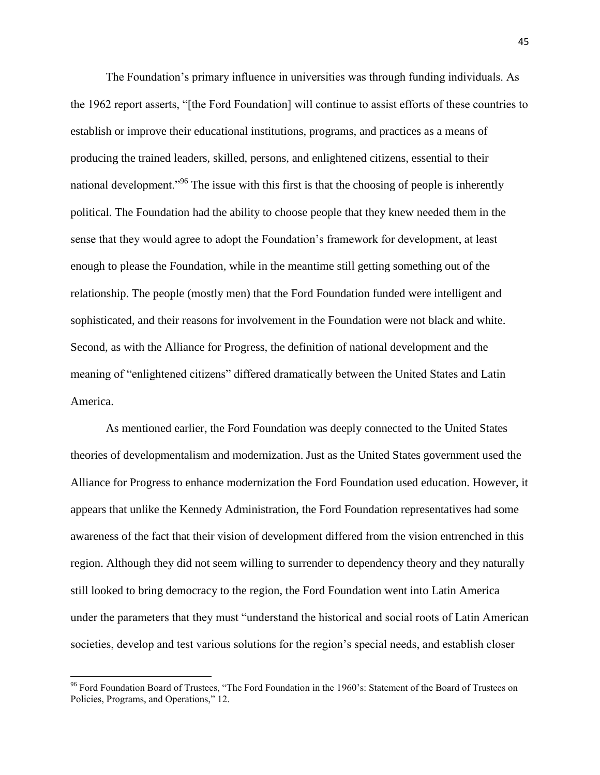The Foundation's primary influence in universities was through funding individuals. As the 1962 report asserts, "[the Ford Foundation] will continue to assist efforts of these countries to establish or improve their educational institutions, programs, and practices as a means of producing the trained leaders, skilled, persons, and enlightened citizens, essential to their national development."<sup>96</sup> The issue with this first is that the choosing of people is inherently political. The Foundation had the ability to choose people that they knew needed them in the sense that they would agree to adopt the Foundation's framework for development, at least enough to please the Foundation, while in the meantime still getting something out of the relationship. The people (mostly men) that the Ford Foundation funded were intelligent and sophisticated, and their reasons for involvement in the Foundation were not black and white. Second, as with the Alliance for Progress, the definition of national development and the meaning of "enlightened citizens" differed dramatically between the United States and Latin America.

As mentioned earlier, the Ford Foundation was deeply connected to the United States theories of developmentalism and modernization. Just as the United States government used the Alliance for Progress to enhance modernization the Ford Foundation used education. However, it appears that unlike the Kennedy Administration, the Ford Foundation representatives had some awareness of the fact that their vision of development differed from the vision entrenched in this region. Although they did not seem willing to surrender to dependency theory and they naturally still looked to bring democracy to the region, the Ford Foundation went into Latin America under the parameters that they must "understand the historical and social roots of Latin American societies, develop and test various solutions for the region's special needs, and establish closer

<sup>&</sup>lt;sup>96</sup> Ford Foundation Board of Trustees, "The Ford Foundation in the 1960's: Statement of the Board of Trustees on Policies, Programs, and Operations," 12.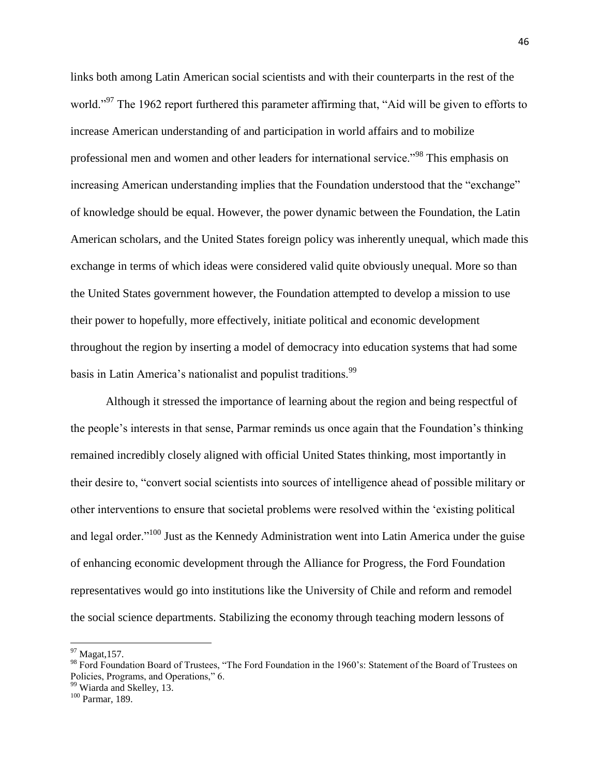links both among Latin American social scientists and with their counterparts in the rest of the world."<sup>97</sup> The 1962 report furthered this parameter affirming that, "Aid will be given to efforts to increase American understanding of and participation in world affairs and to mobilize professional men and women and other leaders for international service."<sup>98</sup> This emphasis on increasing American understanding implies that the Foundation understood that the "exchange" of knowledge should be equal. However, the power dynamic between the Foundation, the Latin American scholars, and the United States foreign policy was inherently unequal, which made this exchange in terms of which ideas were considered valid quite obviously unequal. More so than the United States government however, the Foundation attempted to develop a mission to use their power to hopefully, more effectively, initiate political and economic development throughout the region by inserting a model of democracy into education systems that had some basis in Latin America's nationalist and populist traditions.<sup>99</sup>

Although it stressed the importance of learning about the region and being respectful of the people's interests in that sense, Parmar reminds us once again that the Foundation's thinking remained incredibly closely aligned with official United States thinking, most importantly in their desire to, "convert social scientists into sources of intelligence ahead of possible military or other interventions to ensure that societal problems were resolved within the 'existing political and legal order."<sup>100</sup> Just as the Kennedy Administration went into Latin America under the guise of enhancing economic development through the Alliance for Progress, the Ford Foundation representatives would go into institutions like the University of Chile and reform and remodel the social science departments. Stabilizing the economy through teaching modern lessons of

 $\overline{a}$ 

 $97$  Magat, 157.

<sup>&</sup>lt;sup>98</sup> Ford Foundation Board of Trustees, "The Ford Foundation in the 1960's: Statement of the Board of Trustees on Policies, Programs, and Operations," 6.

<sup>&</sup>lt;sup>99</sup> Wiarda and Skelley, 13.

<sup>100</sup> Parmar, 189.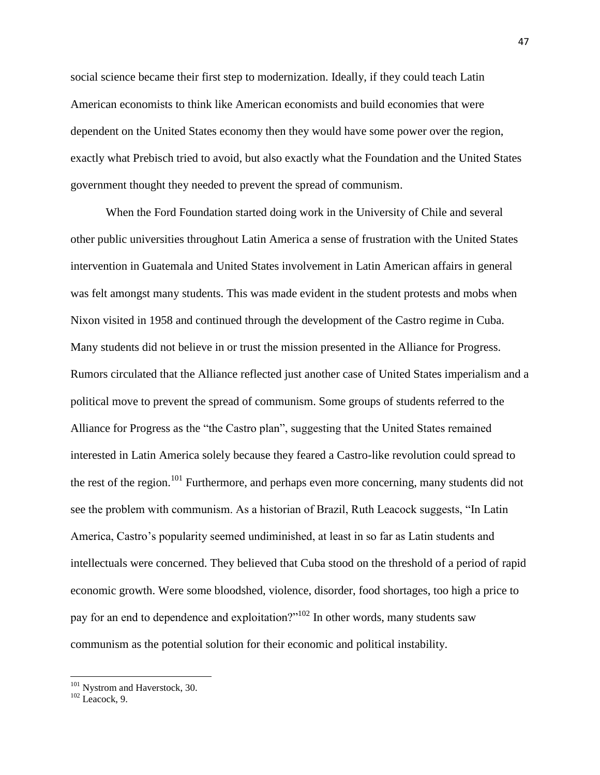social science became their first step to modernization. Ideally, if they could teach Latin American economists to think like American economists and build economies that were dependent on the United States economy then they would have some power over the region, exactly what Prebisch tried to avoid, but also exactly what the Foundation and the United States government thought they needed to prevent the spread of communism.

When the Ford Foundation started doing work in the University of Chile and several other public universities throughout Latin America a sense of frustration with the United States intervention in Guatemala and United States involvement in Latin American affairs in general was felt amongst many students. This was made evident in the student protests and mobs when Nixon visited in 1958 and continued through the development of the Castro regime in Cuba. Many students did not believe in or trust the mission presented in the Alliance for Progress. Rumors circulated that the Alliance reflected just another case of United States imperialism and a political move to prevent the spread of communism. Some groups of students referred to the Alliance for Progress as the "the Castro plan", suggesting that the United States remained interested in Latin America solely because they feared a Castro-like revolution could spread to the rest of the region.<sup>101</sup> Furthermore, and perhaps even more concerning, many students did not see the problem with communism. As a historian of Brazil, Ruth Leacock suggests, "In Latin America, Castro's popularity seemed undiminished, at least in so far as Latin students and intellectuals were concerned. They believed that Cuba stood on the threshold of a period of rapid economic growth. Were some bloodshed, violence, disorder, food shortages, too high a price to pay for an end to dependence and exploitation?"<sup>102</sup> In other words, many students saw communism as the potential solution for their economic and political instability.

<sup>&</sup>lt;sup>101</sup> Nystrom and Haverstock, 30.

 $102$  Leacock, 9.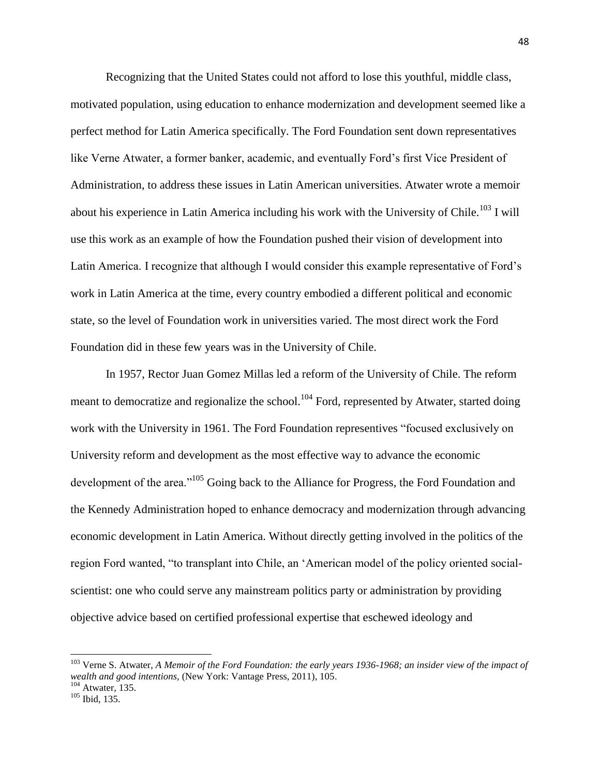Recognizing that the United States could not afford to lose this youthful, middle class, motivated population, using education to enhance modernization and development seemed like a perfect method for Latin America specifically. The Ford Foundation sent down representatives like Verne Atwater, a former banker, academic, and eventually Ford's first Vice President of Administration, to address these issues in Latin American universities. Atwater wrote a memoir about his experience in Latin America including his work with the University of Chile.<sup>103</sup> I will use this work as an example of how the Foundation pushed their vision of development into Latin America. I recognize that although I would consider this example representative of Ford's work in Latin America at the time, every country embodied a different political and economic state, so the level of Foundation work in universities varied. The most direct work the Ford Foundation did in these few years was in the University of Chile.

In 1957, Rector Juan Gomez Millas led a reform of the University of Chile. The reform meant to democratize and regionalize the school.<sup>104</sup> Ford, represented by Atwater, started doing work with the University in 1961. The Ford Foundation representives "focused exclusively on University reform and development as the most effective way to advance the economic development of the area."<sup>105</sup> Going back to the Alliance for Progress, the Ford Foundation and the Kennedy Administration hoped to enhance democracy and modernization through advancing economic development in Latin America. Without directly getting involved in the politics of the region Ford wanted, "to transplant into Chile, an 'American model of the policy oriented socialscientist: one who could serve any mainstream politics party or administration by providing objective advice based on certified professional expertise that eschewed ideology and

<sup>103</sup> Verne S. Atwater, *A Memoir of the Ford Foundation: the early years 1936-1968; an insider view of the impact of wealth and good intentions,* (New York: Vantage Press, 2011), 105.

 $104$  Atwater, 135.

<sup>105</sup> Ibid, 135.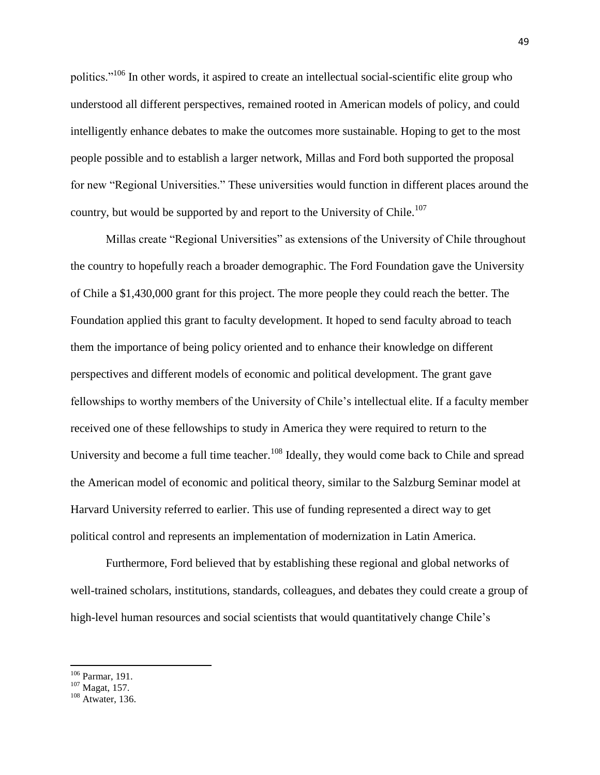politics."<sup>106</sup> In other words, it aspired to create an intellectual social-scientific elite group who understood all different perspectives, remained rooted in American models of policy, and could intelligently enhance debates to make the outcomes more sustainable. Hoping to get to the most people possible and to establish a larger network, Millas and Ford both supported the proposal for new "Regional Universities." These universities would function in different places around the country, but would be supported by and report to the University of Chile.<sup>107</sup>

Millas create "Regional Universities" as extensions of the University of Chile throughout the country to hopefully reach a broader demographic. The Ford Foundation gave the University of Chile a \$1,430,000 grant for this project. The more people they could reach the better. The Foundation applied this grant to faculty development. It hoped to send faculty abroad to teach them the importance of being policy oriented and to enhance their knowledge on different perspectives and different models of economic and political development. The grant gave fellowships to worthy members of the University of Chile's intellectual elite. If a faculty member received one of these fellowships to study in America they were required to return to the University and become a full time teacher.<sup>108</sup> Ideally, they would come back to Chile and spread the American model of economic and political theory, similar to the Salzburg Seminar model at Harvard University referred to earlier. This use of funding represented a direct way to get political control and represents an implementation of modernization in Latin America.

Furthermore, Ford believed that by establishing these regional and global networks of well-trained scholars, institutions, standards, colleagues, and debates they could create a group of high-level human resources and social scientists that would quantitatively change Chile's

<sup>&</sup>lt;sup>106</sup> Parmar, 191.

<sup>107</sup> Magat, 157.

<sup>&</sup>lt;sup>108</sup> Atwater, 136.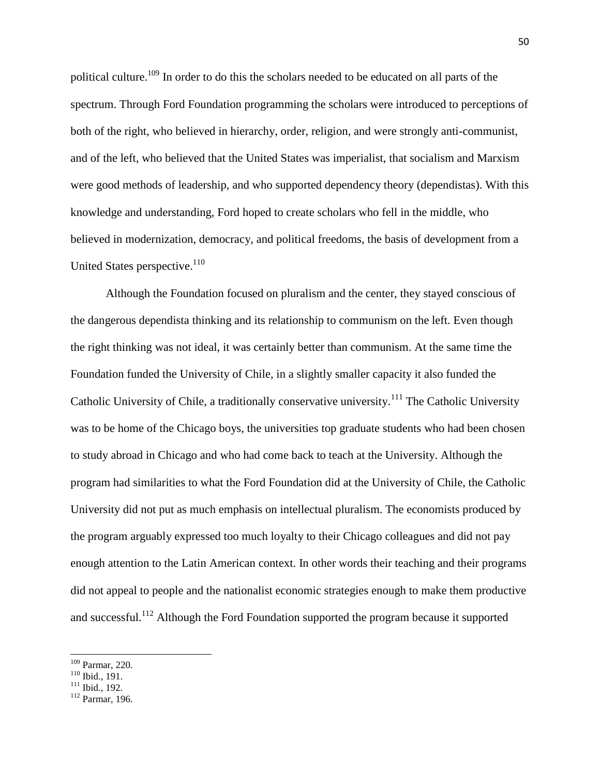political culture.<sup>109</sup> In order to do this the scholars needed to be educated on all parts of the spectrum. Through Ford Foundation programming the scholars were introduced to perceptions of both of the right, who believed in hierarchy, order, religion, and were strongly anti-communist, and of the left, who believed that the United States was imperialist, that socialism and Marxism were good methods of leadership, and who supported dependency theory (dependistas). With this knowledge and understanding, Ford hoped to create scholars who fell in the middle, who believed in modernization, democracy, and political freedoms, the basis of development from a United States perspective.<sup>110</sup>

Although the Foundation focused on pluralism and the center, they stayed conscious of the dangerous dependista thinking and its relationship to communism on the left. Even though the right thinking was not ideal, it was certainly better than communism. At the same time the Foundation funded the University of Chile, in a slightly smaller capacity it also funded the Catholic University of Chile, a traditionally conservative university.<sup>111</sup> The Catholic University was to be home of the Chicago boys, the universities top graduate students who had been chosen to study abroad in Chicago and who had come back to teach at the University. Although the program had similarities to what the Ford Foundation did at the University of Chile, the Catholic University did not put as much emphasis on intellectual pluralism. The economists produced by the program arguably expressed too much loyalty to their Chicago colleagues and did not pay enough attention to the Latin American context. In other words their teaching and their programs did not appeal to people and the nationalist economic strategies enough to make them productive and successful.<sup>112</sup> Although the Ford Foundation supported the program because it supported

<sup>109</sup> Parmar, 220.

 $110$  Ibid., 191.

 $111$  Ibid., 192.

<sup>112</sup> Parmar, 196.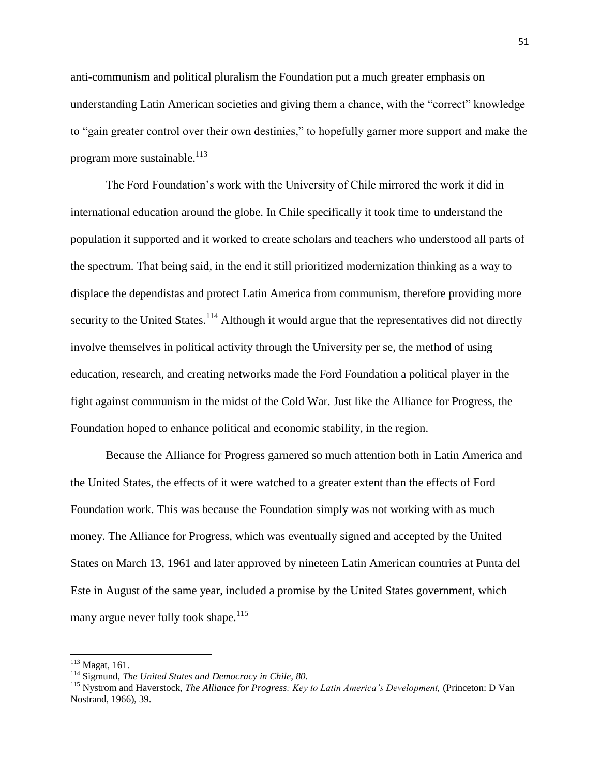anti-communism and political pluralism the Foundation put a much greater emphasis on understanding Latin American societies and giving them a chance, with the "correct" knowledge to "gain greater control over their own destinies," to hopefully garner more support and make the program more sustainable. $^{113}$ 

The Ford Foundation's work with the University of Chile mirrored the work it did in international education around the globe. In Chile specifically it took time to understand the population it supported and it worked to create scholars and teachers who understood all parts of the spectrum. That being said, in the end it still prioritized modernization thinking as a way to displace the dependistas and protect Latin America from communism, therefore providing more security to the United States.<sup>114</sup> Although it would argue that the representatives did not directly involve themselves in political activity through the University per se, the method of using education, research, and creating networks made the Ford Foundation a political player in the fight against communism in the midst of the Cold War. Just like the Alliance for Progress, the Foundation hoped to enhance political and economic stability, in the region.

Because the Alliance for Progress garnered so much attention both in Latin America and the United States, the effects of it were watched to a greater extent than the effects of Ford Foundation work. This was because the Foundation simply was not working with as much money. The Alliance for Progress, which was eventually signed and accepted by the United States on March 13, 1961 and later approved by nineteen Latin American countries at Punta del Este in August of the same year, included a promise by the United States government, which many argue never fully took shape.<sup>115</sup>

<sup>113</sup> Magat, 161.

<sup>114</sup> Sigmund, *The United States and Democracy in Chile, 80.*

<sup>&</sup>lt;sup>115</sup> Nystrom and Haverstock, *The Alliance for Progress: Key to Latin America's Development*, (Princeton: D Van Nostrand, 1966), 39.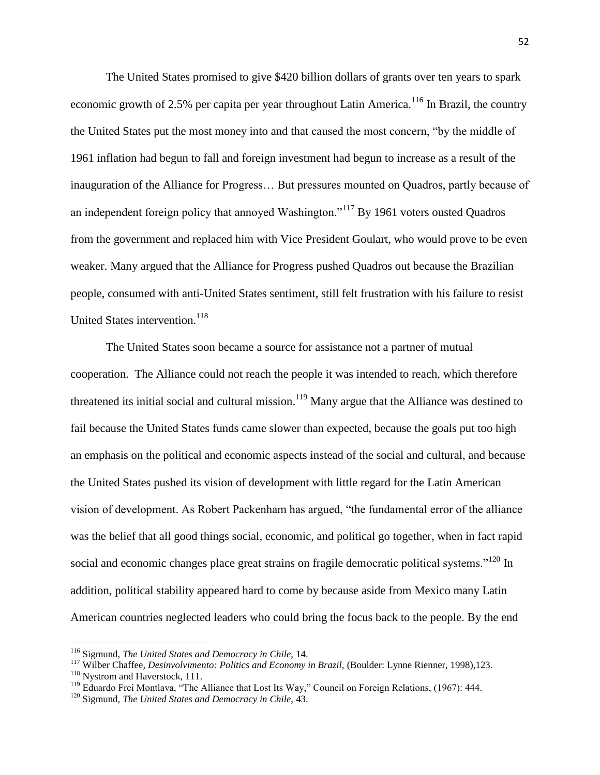The United States promised to give \$420 billion dollars of grants over ten years to spark economic growth of 2.5% per capita per year throughout Latin America.<sup>116</sup> In Brazil, the country the United States put the most money into and that caused the most concern, "by the middle of 1961 inflation had begun to fall and foreign investment had begun to increase as a result of the inauguration of the Alliance for Progress… But pressures mounted on Quadros, partly because of an independent foreign policy that annoyed Washington."<sup>117</sup> By 1961 voters ousted Quadros from the government and replaced him with Vice President Goulart, who would prove to be even weaker. Many argued that the Alliance for Progress pushed Quadros out because the Brazilian people, consumed with anti-United States sentiment, still felt frustration with his failure to resist United States intervention.<sup>118</sup>

The United States soon became a source for assistance not a partner of mutual cooperation. The Alliance could not reach the people it was intended to reach, which therefore threatened its initial social and cultural mission.<sup>119</sup> Many argue that the Alliance was destined to fail because the United States funds came slower than expected, because the goals put too high an emphasis on the political and economic aspects instead of the social and cultural, and because the United States pushed its vision of development with little regard for the Latin American vision of development. As Robert Packenham has argued, "the fundamental error of the alliance was the belief that all good things social, economic, and political go together, when in fact rapid social and economic changes place great strains on fragile democratic political systems."<sup>120</sup> In addition, political stability appeared hard to come by because aside from Mexico many Latin American countries neglected leaders who could bring the focus back to the people. By the end

 $\overline{a}$ 

<sup>116</sup> Sigmund, *The United States and Democracy in Chile,* 14.

<sup>&</sup>lt;sup>117</sup> Wilber Chaffee, *Desinvolvimento: Politics and Economy in Brazil*, (Boulder: Lynne Rienner, 1998),123.

<sup>&</sup>lt;sup>118</sup> Nystrom and Haverstock, 111.

<sup>119</sup> Eduardo Frei Montlava, "The Alliance that Lost Its Way," Council on Foreign Relations, (1967): 444.

<sup>120</sup> Sigmund, *The United States and Democracy in Chile,* 43.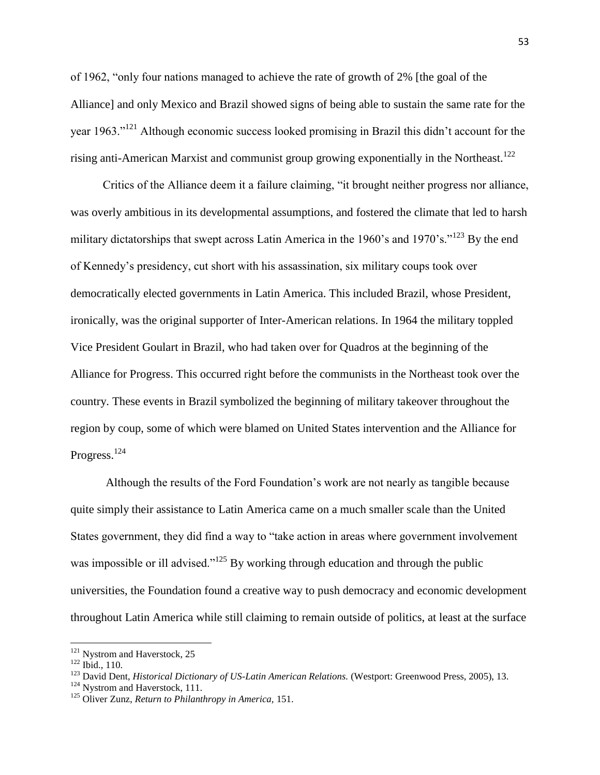of 1962, "only four nations managed to achieve the rate of growth of 2% [the goal of the Alliance] and only Mexico and Brazil showed signs of being able to sustain the same rate for the year 1963."<sup>121</sup> Although economic success looked promising in Brazil this didn't account for the rising anti-American Marxist and communist group growing exponentially in the Northeast.<sup>122</sup>

Critics of the Alliance deem it a failure claiming, "it brought neither progress nor alliance, was overly ambitious in its developmental assumptions, and fostered the climate that led to harsh military dictatorships that swept across Latin America in the 1960's and 1970's."<sup>123</sup> By the end of Kennedy's presidency, cut short with his assassination, six military coups took over democratically elected governments in Latin America. This included Brazil, whose President, ironically, was the original supporter of Inter-American relations. In 1964 the military toppled Vice President Goulart in Brazil, who had taken over for Quadros at the beginning of the Alliance for Progress. This occurred right before the communists in the Northeast took over the country. These events in Brazil symbolized the beginning of military takeover throughout the region by coup, some of which were blamed on United States intervention and the Alliance for Progress.<sup>124</sup>

Although the results of the Ford Foundation's work are not nearly as tangible because quite simply their assistance to Latin America came on a much smaller scale than the United States government, they did find a way to "take action in areas where government involvement was impossible or ill advised."<sup>125</sup> By working through education and through the public universities, the Foundation found a creative way to push democracy and economic development throughout Latin America while still claiming to remain outside of politics, at least at the surface

 $\overline{a}$ 

 $121$  Nystrom and Haverstock, 25

<sup>122</sup> Ibid., 110.

<sup>&</sup>lt;sup>123</sup> David Dent, *Historical Dictionary of US-Latin American Relations.* (Westport: Greenwood Press, 2005), 13.

<sup>&</sup>lt;sup>124</sup> Nystrom and Haverstock, 111.

<sup>125</sup> Oliver Zunz, *Return to Philanthropy in America,* 151.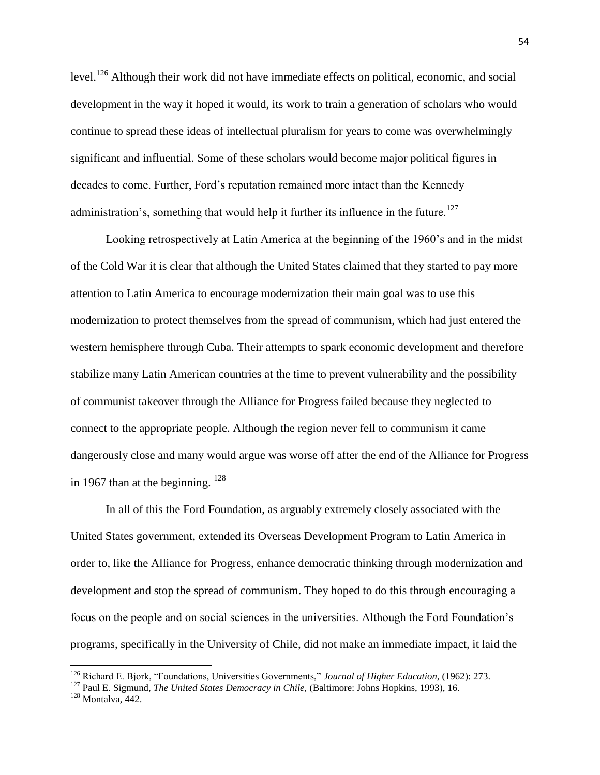level.<sup>126</sup> Although their work did not have immediate effects on political, economic, and social development in the way it hoped it would, its work to train a generation of scholars who would continue to spread these ideas of intellectual pluralism for years to come was overwhelmingly significant and influential. Some of these scholars would become major political figures in decades to come. Further, Ford's reputation remained more intact than the Kennedy administration's, something that would help it further its influence in the future.<sup>127</sup>

Looking retrospectively at Latin America at the beginning of the 1960's and in the midst of the Cold War it is clear that although the United States claimed that they started to pay more attention to Latin America to encourage modernization their main goal was to use this modernization to protect themselves from the spread of communism, which had just entered the western hemisphere through Cuba. Their attempts to spark economic development and therefore stabilize many Latin American countries at the time to prevent vulnerability and the possibility of communist takeover through the Alliance for Progress failed because they neglected to connect to the appropriate people. Although the region never fell to communism it came dangerously close and many would argue was worse off after the end of the Alliance for Progress in 1967 than at the beginning.  $^{128}$ 

In all of this the Ford Foundation, as arguably extremely closely associated with the United States government, extended its Overseas Development Program to Latin America in order to, like the Alliance for Progress, enhance democratic thinking through modernization and development and stop the spread of communism. They hoped to do this through encouraging a focus on the people and on social sciences in the universities. Although the Ford Foundation's programs, specifically in the University of Chile, did not make an immediate impact, it laid the

<sup>126</sup> Richard E. Bjork, "Foundations, Universities Governments," *Journal of Higher Education*, (1962): 273.

<sup>127</sup> Paul E. Sigmund, *The United States Democracy in Chile,* (Baltimore: Johns Hopkins, 1993), 16.

 $128$  Montalva, 442.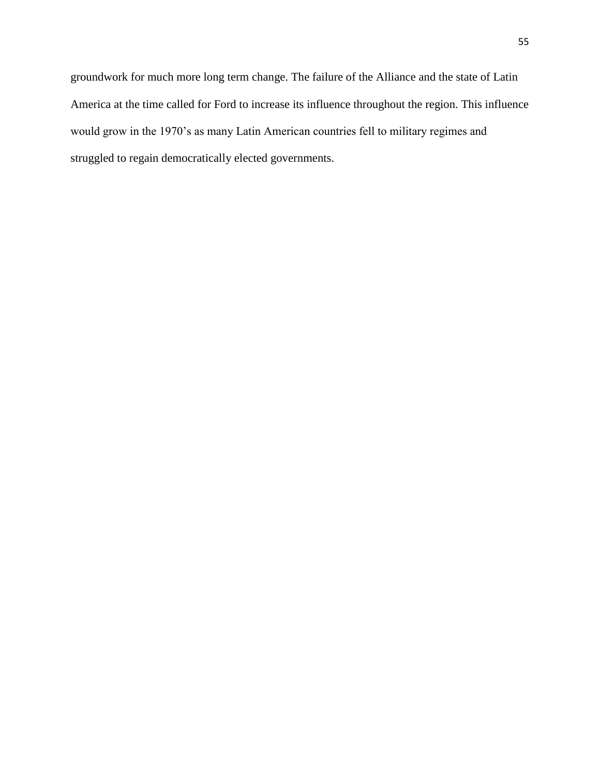groundwork for much more long term change. The failure of the Alliance and the state of Latin America at the time called for Ford to increase its influence throughout the region. This influence would grow in the 1970's as many Latin American countries fell to military regimes and struggled to regain democratically elected governments.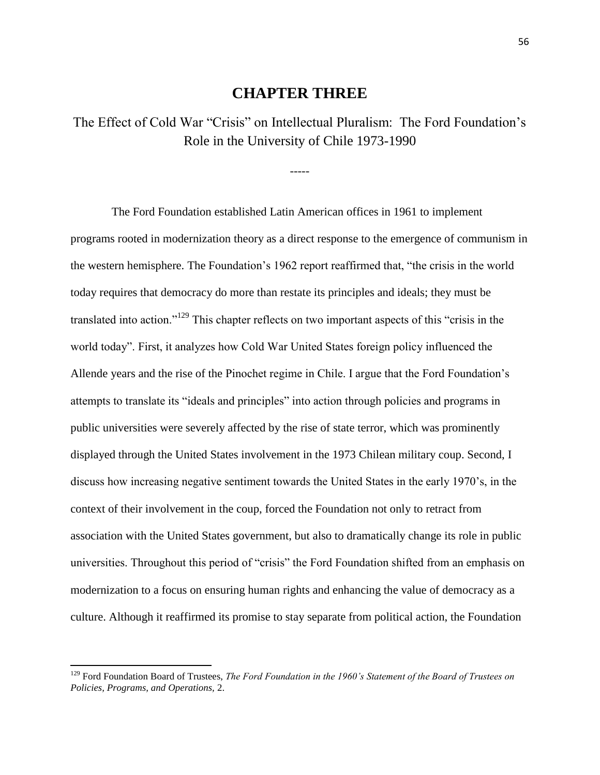## **CHAPTER THREE**

The Effect of Cold War "Crisis" on Intellectual Pluralism: The Ford Foundation's Role in the University of Chile 1973-1990

-----

 The Ford Foundation established Latin American offices in 1961 to implement programs rooted in modernization theory as a direct response to the emergence of communism in the western hemisphere. The Foundation's 1962 report reaffirmed that, "the crisis in the world today requires that democracy do more than restate its principles and ideals; they must be translated into action."<sup>129</sup> This chapter reflects on two important aspects of this "crisis in the world today". First, it analyzes how Cold War United States foreign policy influenced the Allende years and the rise of the Pinochet regime in Chile. I argue that the Ford Foundation's attempts to translate its "ideals and principles" into action through policies and programs in public universities were severely affected by the rise of state terror, which was prominently displayed through the United States involvement in the 1973 Chilean military coup. Second, I discuss how increasing negative sentiment towards the United States in the early 1970's, in the context of their involvement in the coup, forced the Foundation not only to retract from association with the United States government, but also to dramatically change its role in public universities. Throughout this period of "crisis" the Ford Foundation shifted from an emphasis on modernization to a focus on ensuring human rights and enhancing the value of democracy as a culture. Although it reaffirmed its promise to stay separate from political action, the Foundation

<sup>129</sup> Ford Foundation Board of Trustees, *The Ford Foundation in the 1960's Statement of the Board of Trustees on Policies, Programs, and Operations,* 2.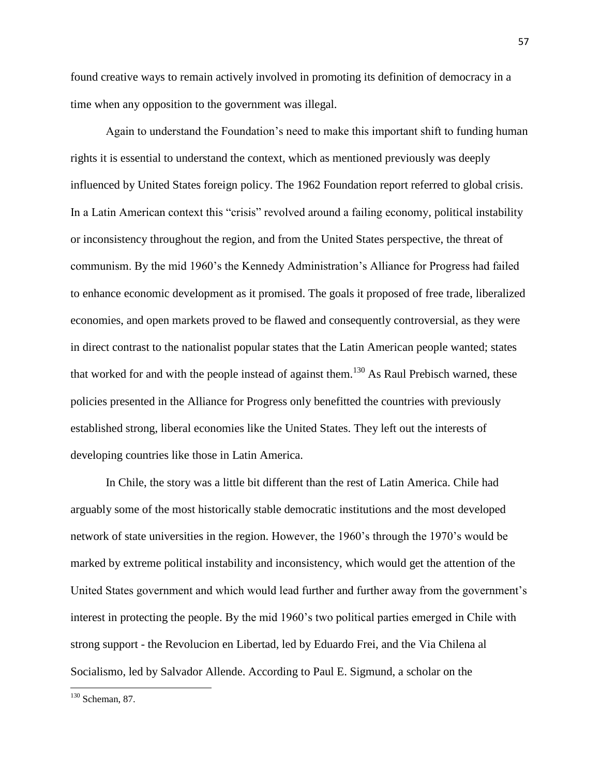found creative ways to remain actively involved in promoting its definition of democracy in a time when any opposition to the government was illegal.

Again to understand the Foundation's need to make this important shift to funding human rights it is essential to understand the context, which as mentioned previously was deeply influenced by United States foreign policy. The 1962 Foundation report referred to global crisis. In a Latin American context this "crisis" revolved around a failing economy, political instability or inconsistency throughout the region, and from the United States perspective, the threat of communism. By the mid 1960's the Kennedy Administration's Alliance for Progress had failed to enhance economic development as it promised. The goals it proposed of free trade, liberalized economies, and open markets proved to be flawed and consequently controversial, as they were in direct contrast to the nationalist popular states that the Latin American people wanted; states that worked for and with the people instead of against them.<sup>130</sup> As Raul Prebisch warned, these policies presented in the Alliance for Progress only benefitted the countries with previously established strong, liberal economies like the United States. They left out the interests of developing countries like those in Latin America.

In Chile, the story was a little bit different than the rest of Latin America. Chile had arguably some of the most historically stable democratic institutions and the most developed network of state universities in the region. However, the 1960's through the 1970's would be marked by extreme political instability and inconsistency, which would get the attention of the United States government and which would lead further and further away from the government's interest in protecting the people. By the mid 1960's two political parties emerged in Chile with strong support - the Revolucion en Libertad, led by Eduardo Frei, and the Via Chilena al Socialismo, led by Salvador Allende. According to Paul E. Sigmund, a scholar on the

 $130$  Scheman, 87.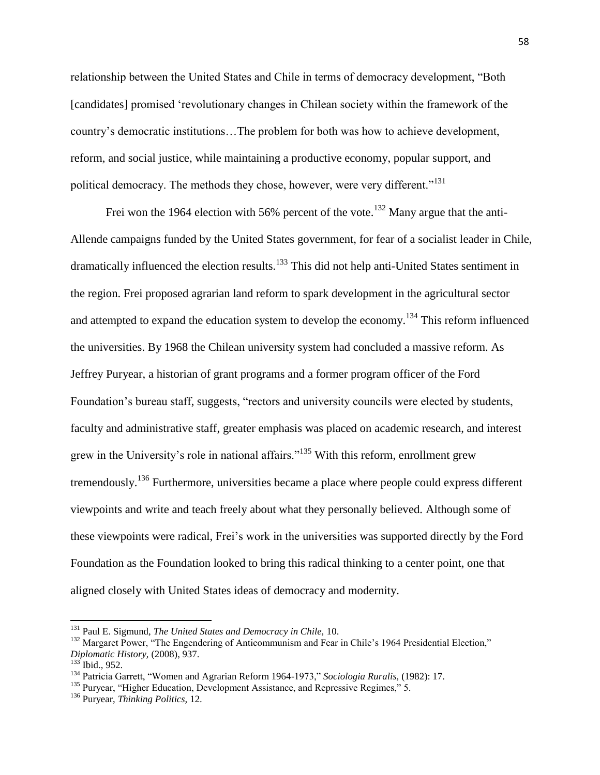relationship between the United States and Chile in terms of democracy development, "Both [candidates] promised 'revolutionary changes in Chilean society within the framework of the country's democratic institutions…The problem for both was how to achieve development, reform, and social justice, while maintaining a productive economy, popular support, and political democracy. The methods they chose, however, were very different."<sup>131</sup>

Frei won the 1964 election with 56% percent of the vote.<sup>132</sup> Many argue that the anti-Allende campaigns funded by the United States government, for fear of a socialist leader in Chile, dramatically influenced the election results.<sup>133</sup> This did not help anti-United States sentiment in the region. Frei proposed agrarian land reform to spark development in the agricultural sector and attempted to expand the education system to develop the economy.<sup>134</sup> This reform influenced the universities. By 1968 the Chilean university system had concluded a massive reform. As Jeffrey Puryear, a historian of grant programs and a former program officer of the Ford Foundation's bureau staff, suggests, "rectors and university councils were elected by students, faculty and administrative staff, greater emphasis was placed on academic research, and interest grew in the University's role in national affairs."<sup>135</sup> With this reform, enrollment grew tremendously.<sup>136</sup> Furthermore, universities became a place where people could express different viewpoints and write and teach freely about what they personally believed. Although some of these viewpoints were radical, Frei's work in the universities was supported directly by the Ford Foundation as the Foundation looked to bring this radical thinking to a center point, one that aligned closely with United States ideas of democracy and modernity.

<sup>131</sup> Paul E. Sigmund, *The United States and Democracy in Chile,* 10.

<sup>&</sup>lt;sup>132</sup> Margaret Power, "The Engendering of Anticommunism and Fear in Chile's 1964 Presidential Election," *Diplomatic History,* (2008), 937.

 $133$  Ibid., 952.

<sup>134</sup> Patricia Garrett, "Women and Agrarian Reform 1964-1973," *Sociologia Ruralis,* (1982): 17.

<sup>&</sup>lt;sup>135</sup> Puryear, "Higher Education, Development Assistance, and Repressive Regimes," 5.

<sup>136</sup> Puryear, *Thinking Politics,* 12.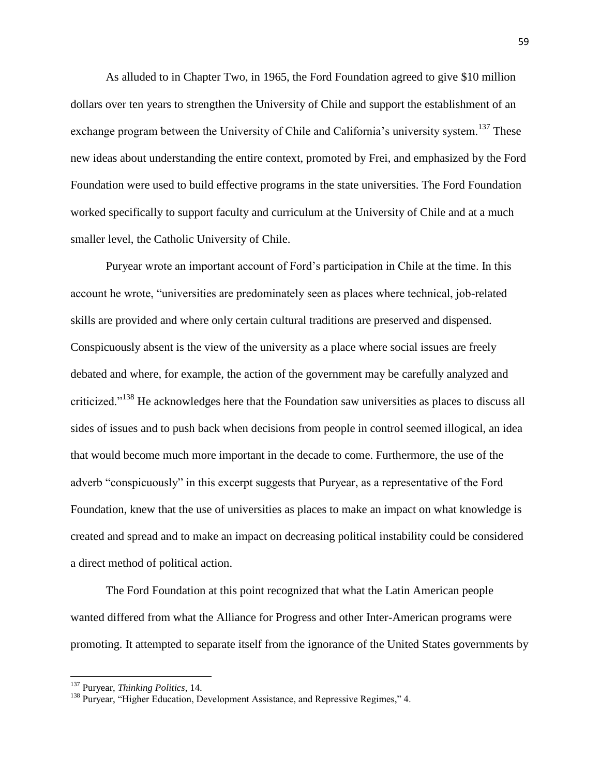As alluded to in Chapter Two, in 1965, the Ford Foundation agreed to give \$10 million dollars over ten years to strengthen the University of Chile and support the establishment of an exchange program between the University of Chile and California's university system.<sup>137</sup> These new ideas about understanding the entire context, promoted by Frei, and emphasized by the Ford Foundation were used to build effective programs in the state universities. The Ford Foundation worked specifically to support faculty and curriculum at the University of Chile and at a much smaller level, the Catholic University of Chile.

Puryear wrote an important account of Ford's participation in Chile at the time. In this account he wrote, "universities are predominately seen as places where technical, job-related skills are provided and where only certain cultural traditions are preserved and dispensed. Conspicuously absent is the view of the university as a place where social issues are freely debated and where, for example, the action of the government may be carefully analyzed and criticized."<sup>138</sup> He acknowledges here that the Foundation saw universities as places to discuss all sides of issues and to push back when decisions from people in control seemed illogical, an idea that would become much more important in the decade to come. Furthermore, the use of the adverb "conspicuously" in this excerpt suggests that Puryear, as a representative of the Ford Foundation, knew that the use of universities as places to make an impact on what knowledge is created and spread and to make an impact on decreasing political instability could be considered a direct method of political action.

The Ford Foundation at this point recognized that what the Latin American people wanted differed from what the Alliance for Progress and other Inter-American programs were promoting. It attempted to separate itself from the ignorance of the United States governments by

<sup>137</sup> Puryear, *Thinking Politics*, 14.

<sup>&</sup>lt;sup>138</sup> Puryear, "Higher Education, Development Assistance, and Repressive Regimes," 4.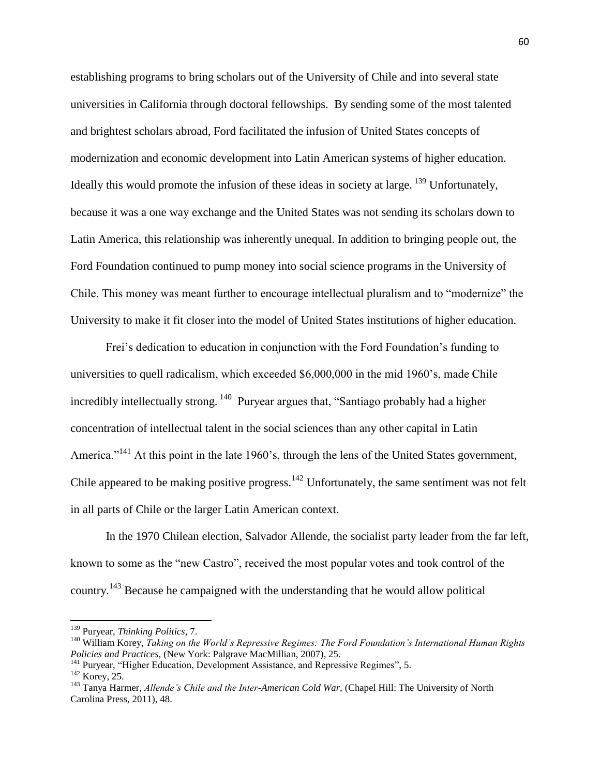establishing programs to bring scholars out of the University of Chile and into several state universities in California through doctoral fellowships. By sending some of the most talented and brightest scholars abroad, Ford facilitated the infusion of United States concepts of modernization and economic development into Latin American systems of higher education. Ideally this would promote the infusion of these ideas in society at large. <sup>139</sup> Unfortunately, because it was a one way exchange and the United States was not sending its scholars down to Latin America, this relationship was inherently unequal. In addition to bringing people out, the Ford Foundation continued to pump money into social science programs in the University of Chile. This money was meant further to encourage intellectual pluralism and to "modernize" the University to make it fit closer into the model of United States institutions of higher education.

Frei's dedication to education in conjunction with the Ford Foundation's funding to universities to quell radicalism, which exceeded \$6,000,000 in the mid 1960's, made Chile incredibly intellectually strong. <sup>140</sup> Puryear argues that, "Santiago probably had a higher concentration of intellectual talent in the social sciences than any other capital in Latin America."<sup>141</sup> At this point in the late 1960's, through the lens of the United States government, Chile appeared to be making positive progress.<sup>142</sup> Unfortunately, the same sentiment was not felt in all parts of Chile or the larger Latin American context.

In the 1970 Chilean election, Salvador Allende, the socialist party leader from the far left, known to some as the "new Castro", received the most popular votes and took control of the country.<sup>143</sup> Because he campaigned with the understanding that he would allow political

<sup>139</sup> Puryear, *Thinking Politics*, 7.

<sup>140</sup> William Korey, *Taking on the World's Repressive Regimes: The Ford Foundation's International Human Rights Policies and Practices,* (New York: Palgrave MacMillian, 2007), 25.

<sup>&</sup>lt;sup>141</sup> Puryear, "Higher Education, Development Assistance, and Repressive Regimes", 5.

<sup>&</sup>lt;sup>142</sup> Korey, 25.

<sup>&</sup>lt;sup>143</sup> Tanva Harmer, *Allende's Chile and the Inter-American Cold War*, (Chapel Hill: The University of North Carolina Press, 2011), 48.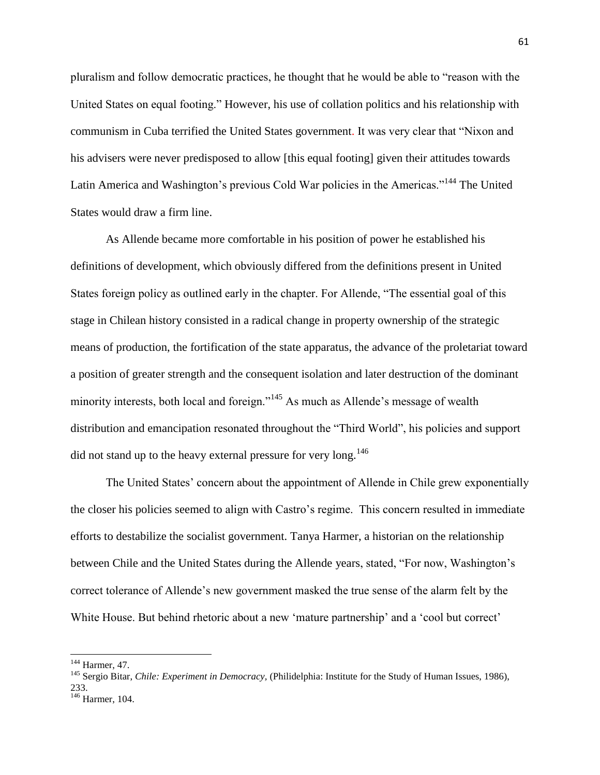pluralism and follow democratic practices, he thought that he would be able to "reason with the United States on equal footing." However, his use of collation politics and his relationship with communism in Cuba terrified the United States government. It was very clear that "Nixon and his advisers were never predisposed to allow [this equal footing] given their attitudes towards Latin America and Washington's previous Cold War policies in the Americas."<sup>144</sup> The United States would draw a firm line.

As Allende became more comfortable in his position of power he established his definitions of development, which obviously differed from the definitions present in United States foreign policy as outlined early in the chapter. For Allende, "The essential goal of this stage in Chilean history consisted in a radical change in property ownership of the strategic means of production, the fortification of the state apparatus, the advance of the proletariat toward a position of greater strength and the consequent isolation and later destruction of the dominant minority interests, both local and foreign."<sup>145</sup> As much as Allende's message of wealth distribution and emancipation resonated throughout the "Third World", his policies and support did not stand up to the heavy external pressure for very long.<sup>146</sup>

The United States' concern about the appointment of Allende in Chile grew exponentially the closer his policies seemed to align with Castro's regime. This concern resulted in immediate efforts to destabilize the socialist government. Tanya Harmer, a historian on the relationship between Chile and the United States during the Allende years, stated, "For now, Washington's correct tolerance of Allende's new government masked the true sense of the alarm felt by the White House. But behind rhetoric about a new 'mature partnership' and a 'cool but correct'

<sup>&</sup>lt;sup>144</sup> Harmer, 47.

<sup>145</sup> Sergio Bitar, *Chile: Experiment in Democracy,* (Philidelphia: Institute for the Study of Human Issues, 1986), 233.

 $146$  Harmer, 104.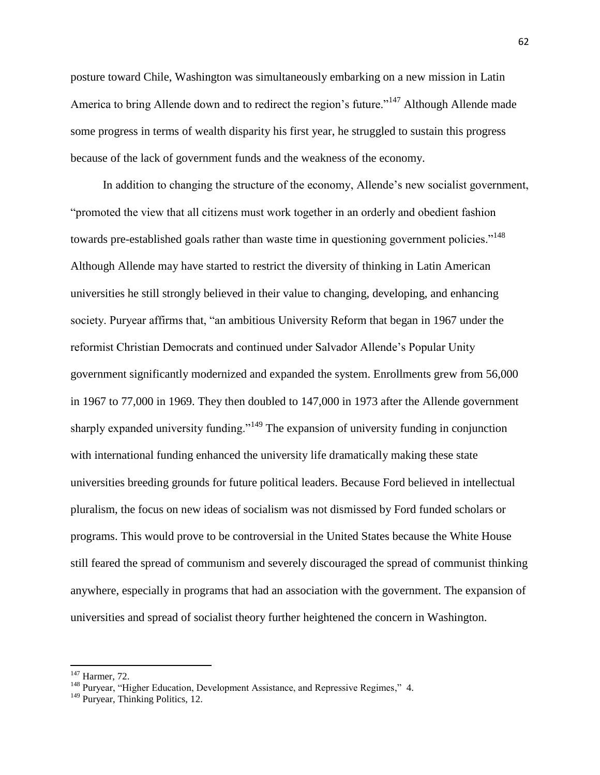posture toward Chile, Washington was simultaneously embarking on a new mission in Latin America to bring Allende down and to redirect the region's future."<sup>147</sup> Although Allende made some progress in terms of wealth disparity his first year, he struggled to sustain this progress because of the lack of government funds and the weakness of the economy.

In addition to changing the structure of the economy, Allende's new socialist government, "promoted the view that all citizens must work together in an orderly and obedient fashion towards pre-established goals rather than waste time in questioning government policies."<sup>148</sup> Although Allende may have started to restrict the diversity of thinking in Latin American universities he still strongly believed in their value to changing, developing, and enhancing society. Puryear affirms that, "an ambitious University Reform that began in 1967 under the reformist Christian Democrats and continued under Salvador Allende's Popular Unity government significantly modernized and expanded the system. Enrollments grew from 56,000 in 1967 to 77,000 in 1969. They then doubled to 147,000 in 1973 after the Allende government sharply expanded university funding.<sup>"149</sup> The expansion of university funding in conjunction with international funding enhanced the university life dramatically making these state universities breeding grounds for future political leaders. Because Ford believed in intellectual pluralism, the focus on new ideas of socialism was not dismissed by Ford funded scholars or programs. This would prove to be controversial in the United States because the White House still feared the spread of communism and severely discouraged the spread of communist thinking anywhere, especially in programs that had an association with the government. The expansion of universities and spread of socialist theory further heightened the concern in Washington.

 $147$  Harmer, 72.

<sup>&</sup>lt;sup>148</sup> Puryear, "Higher Education, Development Assistance, and Repressive Regimes," 4.

<sup>&</sup>lt;sup>149</sup> Puryear, Thinking Politics, 12.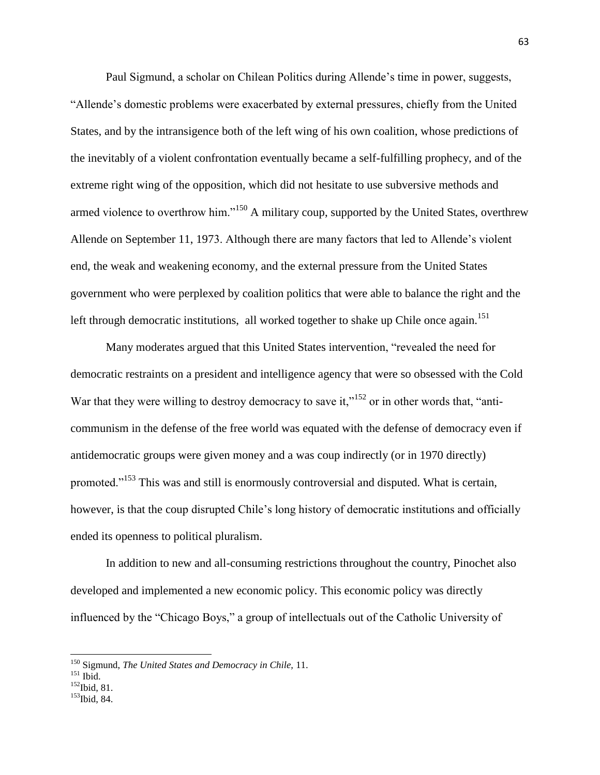Paul Sigmund, a scholar on Chilean Politics during Allende's time in power, suggests, "Allende's domestic problems were exacerbated by external pressures, chiefly from the United States, and by the intransigence both of the left wing of his own coalition, whose predictions of the inevitably of a violent confrontation eventually became a self-fulfilling prophecy, and of the extreme right wing of the opposition, which did not hesitate to use subversive methods and armed violence to overthrow him."<sup>150</sup> A military coup, supported by the United States, overthrew Allende on September 11, 1973. Although there are many factors that led to Allende's violent end, the weak and weakening economy, and the external pressure from the United States government who were perplexed by coalition politics that were able to balance the right and the left through democratic institutions, all worked together to shake up Chile once again.<sup>151</sup>

Many moderates argued that this United States intervention, "revealed the need for democratic restraints on a president and intelligence agency that were so obsessed with the Cold War that they were willing to destroy democracy to save it," $152$  or in other words that, "anticommunism in the defense of the free world was equated with the defense of democracy even if antidemocratic groups were given money and a was coup indirectly (or in 1970 directly) promoted."<sup>153</sup> This was and still is enormously controversial and disputed. What is certain, however, is that the coup disrupted Chile's long history of democratic institutions and officially ended its openness to political pluralism.

In addition to new and all-consuming restrictions throughout the country, Pinochet also developed and implemented a new economic policy. This economic policy was directly influenced by the "Chicago Boys," a group of intellectuals out of the Catholic University of

- $^{152}$ Ibid, 81.
- <sup>153</sup>Ibid, 84.

<sup>150</sup> Sigmund, *The United States and Democracy in Chile,* 11.

 $^{151}$  Ibid.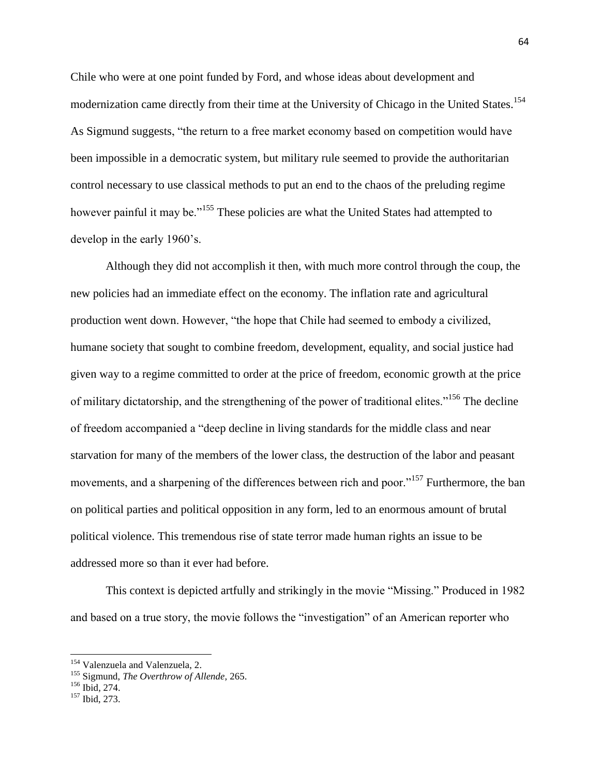Chile who were at one point funded by Ford, and whose ideas about development and modernization came directly from their time at the University of Chicago in the United States.<sup>154</sup> As Sigmund suggests, "the return to a free market economy based on competition would have been impossible in a democratic system, but military rule seemed to provide the authoritarian control necessary to use classical methods to put an end to the chaos of the preluding regime however painful it may be."<sup>155</sup> These policies are what the United States had attempted to develop in the early 1960's.

Although they did not accomplish it then, with much more control through the coup, the new policies had an immediate effect on the economy. The inflation rate and agricultural production went down. However, "the hope that Chile had seemed to embody a civilized, humane society that sought to combine freedom, development, equality, and social justice had given way to a regime committed to order at the price of freedom, economic growth at the price of military dictatorship, and the strengthening of the power of traditional elites."<sup>156</sup> The decline of freedom accompanied a "deep decline in living standards for the middle class and near starvation for many of the members of the lower class, the destruction of the labor and peasant movements, and a sharpening of the differences between rich and poor."<sup>157</sup> Furthermore, the ban on political parties and political opposition in any form, led to an enormous amount of brutal political violence. This tremendous rise of state terror made human rights an issue to be addressed more so than it ever had before.

This context is depicted artfully and strikingly in the movie "Missing." Produced in 1982 and based on a true story, the movie follows the "investigation" of an American reporter who

<sup>&</sup>lt;sup>154</sup> Valenzuela and Valenzuela, 2.

<sup>155</sup> Sigmund, *The Overthrow of Allende,* 265.

<sup>156</sup> Ibid*,* 274.

<sup>157</sup> Ibid, 273.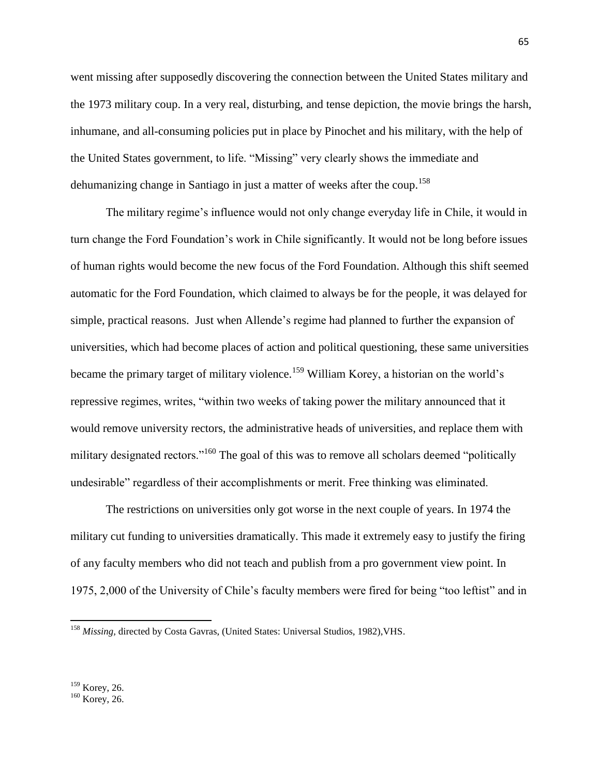went missing after supposedly discovering the connection between the United States military and the 1973 military coup. In a very real, disturbing, and tense depiction, the movie brings the harsh, inhumane, and all-consuming policies put in place by Pinochet and his military, with the help of the United States government, to life. "Missing" very clearly shows the immediate and dehumanizing change in Santiago in just a matter of weeks after the coup.<sup>158</sup>

The military regime's influence would not only change everyday life in Chile, it would in turn change the Ford Foundation's work in Chile significantly. It would not be long before issues of human rights would become the new focus of the Ford Foundation. Although this shift seemed automatic for the Ford Foundation, which claimed to always be for the people, it was delayed for simple, practical reasons. Just when Allende's regime had planned to further the expansion of universities, which had become places of action and political questioning, these same universities became the primary target of military violence.<sup>159</sup> William Korey, a historian on the world's repressive regimes, writes, "within two weeks of taking power the military announced that it would remove university rectors, the administrative heads of universities, and replace them with military designated rectors."<sup>160</sup> The goal of this was to remove all scholars deemed "politically undesirable" regardless of their accomplishments or merit. Free thinking was eliminated.

The restrictions on universities only got worse in the next couple of years. In 1974 the military cut funding to universities dramatically. This made it extremely easy to justify the firing of any faculty members who did not teach and publish from a pro government view point. In 1975, 2,000 of the University of Chile's faculty members were fired for being "too leftist" and in

<sup>158</sup> *Missing,* directed by Costa Gavras, (United States: Universal Studios, 1982),VHS.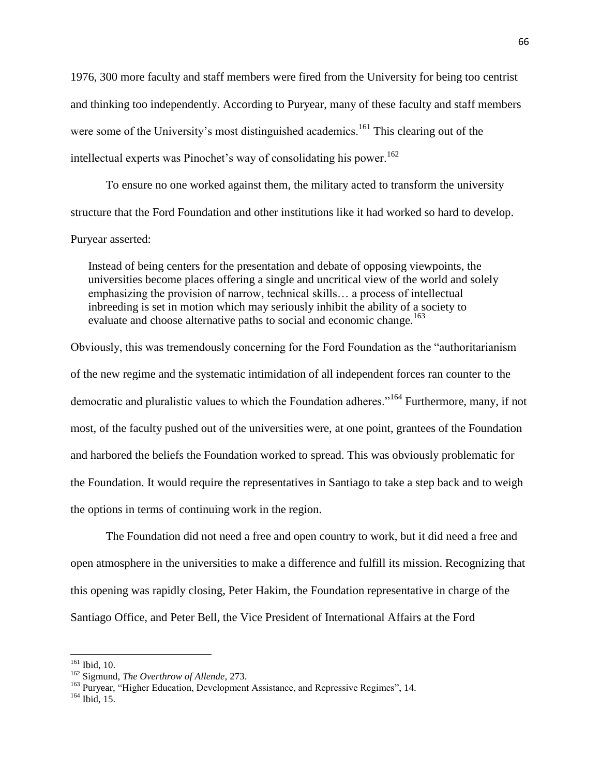1976, 300 more faculty and staff members were fired from the University for being too centrist and thinking too independently. According to Puryear, many of these faculty and staff members were some of the University's most distinguished academics.<sup>161</sup> This clearing out of the intellectual experts was Pinochet's way of consolidating his power.<sup>162</sup>

To ensure no one worked against them, the military acted to transform the university structure that the Ford Foundation and other institutions like it had worked so hard to develop.

## Puryear asserted:

Instead of being centers for the presentation and debate of opposing viewpoints, the universities become places offering a single and uncritical view of the world and solely emphasizing the provision of narrow, technical skills… a process of intellectual inbreeding is set in motion which may seriously inhibit the ability of a society to evaluate and choose alternative paths to social and economic change.<sup>163</sup>

Obviously, this was tremendously concerning for the Ford Foundation as the "authoritarianism of the new regime and the systematic intimidation of all independent forces ran counter to the democratic and pluralistic values to which the Foundation adheres."<sup>164</sup> Furthermore, many, if not most, of the faculty pushed out of the universities were, at one point, grantees of the Foundation and harbored the beliefs the Foundation worked to spread. This was obviously problematic for the Foundation. It would require the representatives in Santiago to take a step back and to weigh the options in terms of continuing work in the region.

The Foundation did not need a free and open country to work, but it did need a free and open atmosphere in the universities to make a difference and fulfill its mission. Recognizing that this opening was rapidly closing, Peter Hakim, the Foundation representative in charge of the Santiago Office, and Peter Bell, the Vice President of International Affairs at the Ford

<sup>161</sup> Ibid, 10.

<sup>162</sup> Sigmund, *The Overthrow of Allende,* 273.

<sup>&</sup>lt;sup>163</sup> Purvear, "Higher Education, Development Assistance, and Repressive Regimes", 14.

<sup>164</sup> Ibid, 15.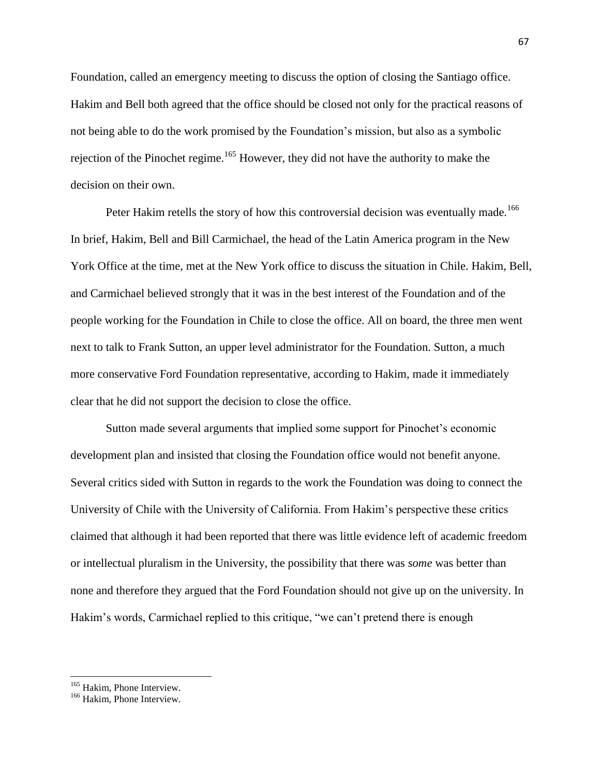Foundation, called an emergency meeting to discuss the option of closing the Santiago office. Hakim and Bell both agreed that the office should be closed not only for the practical reasons of not being able to do the work promised by the Foundation's mission, but also as a symbolic rejection of the Pinochet regime.<sup>165</sup> However, they did not have the authority to make the decision on their own.

Peter Hakim retells the story of how this controversial decision was eventually made.<sup>166</sup> In brief, Hakim, Bell and Bill Carmichael, the head of the Latin America program in the New York Office at the time, met at the New York office to discuss the situation in Chile. Hakim, Bell, and Carmichael believed strongly that it was in the best interest of the Foundation and of the people working for the Foundation in Chile to close the office. All on board, the three men went next to talk to Frank Sutton, an upper level administrator for the Foundation. Sutton, a much more conservative Ford Foundation representative, according to Hakim, made it immediately clear that he did not support the decision to close the office.

Sutton made several arguments that implied some support for Pinochet's economic development plan and insisted that closing the Foundation office would not benefit anyone. Several critics sided with Sutton in regards to the work the Foundation was doing to connect the University of Chile with the University of California. From Hakim's perspective these critics claimed that although it had been reported that there was little evidence left of academic freedom or intellectual pluralism in the University, the possibility that there was *some* was better than none and therefore they argued that the Ford Foundation should not give up on the university. In Hakim's words, Carmichael replied to this critique, "we can't pretend there is enough

<sup>&</sup>lt;sup>165</sup> Hakim, Phone Interview.

<sup>&</sup>lt;sup>166</sup> Hakim, Phone Interview.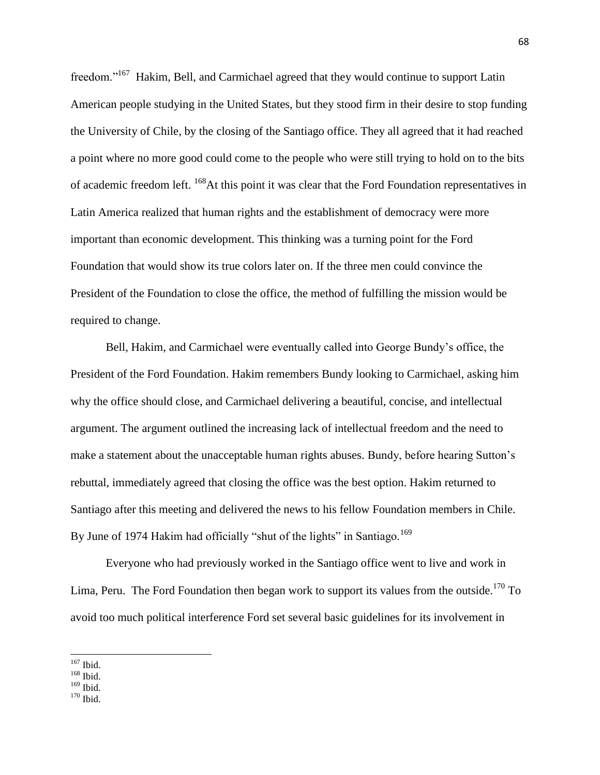freedom."<sup>167</sup> Hakim, Bell, and Carmichael agreed that they would continue to support Latin American people studying in the United States, but they stood firm in their desire to stop funding the University of Chile, by the closing of the Santiago office. They all agreed that it had reached a point where no more good could come to the people who were still trying to hold on to the bits of academic freedom left. <sup>168</sup>At this point it was clear that the Ford Foundation representatives in Latin America realized that human rights and the establishment of democracy were more important than economic development. This thinking was a turning point for the Ford Foundation that would show its true colors later on. If the three men could convince the President of the Foundation to close the office, the method of fulfilling the mission would be required to change.

Bell, Hakim, and Carmichael were eventually called into George Bundy's office, the President of the Ford Foundation. Hakim remembers Bundy looking to Carmichael, asking him why the office should close, and Carmichael delivering a beautiful, concise, and intellectual argument. The argument outlined the increasing lack of intellectual freedom and the need to make a statement about the unacceptable human rights abuses. Bundy, before hearing Sutton's rebuttal, immediately agreed that closing the office was the best option. Hakim returned to Santiago after this meeting and delivered the news to his fellow Foundation members in Chile. By June of 1974 Hakim had officially "shut of the lights" in Santiago.<sup>169</sup>

Everyone who had previously worked in the Santiago office went to live and work in Lima, Peru. The Ford Foundation then began work to support its values from the outside.<sup>170</sup> To avoid too much political interference Ford set several basic guidelines for its involvement in

 $170$  Ibid.

 $\overline{\phantom{a}}$ <sup>167</sup> Ibid.

 $168$  Ibid.

 $169$  Ibid.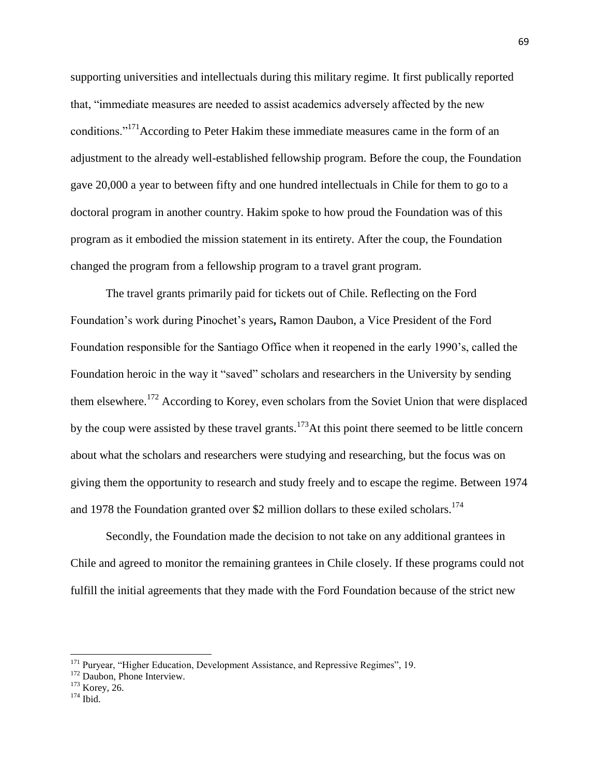supporting universities and intellectuals during this military regime. It first publically reported that, "immediate measures are needed to assist academics adversely affected by the new conditions.<sup>"171</sup>According to Peter Hakim these immediate measures came in the form of an adjustment to the already well-established fellowship program. Before the coup, the Foundation gave 20,000 a year to between fifty and one hundred intellectuals in Chile for them to go to a doctoral program in another country. Hakim spoke to how proud the Foundation was of this program as it embodied the mission statement in its entirety. After the coup, the Foundation changed the program from a fellowship program to a travel grant program.

The travel grants primarily paid for tickets out of Chile. Reflecting on the Ford Foundation's work during Pinochet's years**,** Ramon Daubon, a Vice President of the Ford Foundation responsible for the Santiago Office when it reopened in the early 1990's, called the Foundation heroic in the way it "saved" scholars and researchers in the University by sending them elsewhere.<sup>172</sup> According to Korey, even scholars from the Soviet Union that were displaced by the coup were assisted by these travel grants.<sup>173</sup>At this point there seemed to be little concern about what the scholars and researchers were studying and researching, but the focus was on giving them the opportunity to research and study freely and to escape the regime. Between 1974 and 1978 the Foundation granted over \$2 million dollars to these exiled scholars.<sup>174</sup>

Secondly, the Foundation made the decision to not take on any additional grantees in Chile and agreed to monitor the remaining grantees in Chile closely. If these programs could not fulfill the initial agreements that they made with the Ford Foundation because of the strict new

<sup>&</sup>lt;sup>171</sup> Puryear, "Higher Education, Development Assistance, and Repressive Regimes", 19.

<sup>&</sup>lt;sup>172</sup> Daubon, Phone Interview.

<sup>&</sup>lt;sup>173</sup> Korey, 26.

 $174$  Ibid.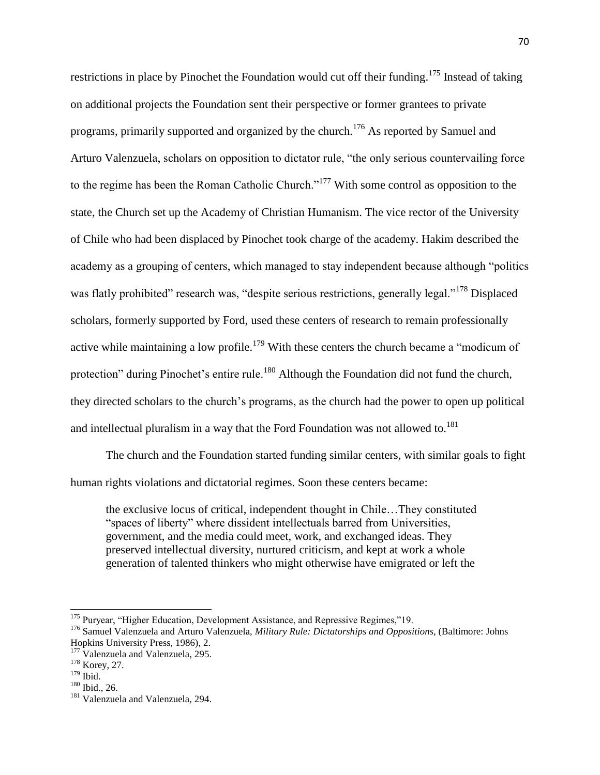restrictions in place by Pinochet the Foundation would cut off their funding.<sup>175</sup> Instead of taking on additional projects the Foundation sent their perspective or former grantees to private programs, primarily supported and organized by the church.<sup>176</sup> As reported by Samuel and Arturo Valenzuela, scholars on opposition to dictator rule, "the only serious countervailing force to the regime has been the Roman Catholic Church."<sup>177</sup> With some control as opposition to the state, the Church set up the Academy of Christian Humanism. The vice rector of the University of Chile who had been displaced by Pinochet took charge of the academy. Hakim described the academy as a grouping of centers, which managed to stay independent because although "politics was flatly prohibited" research was, "despite serious restrictions, generally legal."<sup>178</sup> Displaced scholars, formerly supported by Ford, used these centers of research to remain professionally active while maintaining a low profile.<sup>179</sup> With these centers the church became a "modicum of protection" during Pinochet's entire rule.<sup>180</sup> Although the Foundation did not fund the church, they directed scholars to the church's programs, as the church had the power to open up political and intellectual pluralism in a way that the Ford Foundation was not allowed to.<sup>181</sup>

The church and the Foundation started funding similar centers, with similar goals to fight human rights violations and dictatorial regimes. Soon these centers became:

the exclusive locus of critical, independent thought in Chile…They constituted "spaces of liberty" where dissident intellectuals barred from Universities, government, and the media could meet, work, and exchanged ideas. They preserved intellectual diversity, nurtured criticism, and kept at work a whole generation of talented thinkers who might otherwise have emigrated or left the

 $\overline{a}$ 

<sup>&</sup>lt;sup>175</sup> Puryear, "Higher Education, Development Assistance, and Repressive Regimes,"19.

<sup>&</sup>lt;sup>176</sup> Samuel Valenzuela and Arturo Valenzuela, *Military Rule: Dictatorships and Oppositions*, (Baltimore: Johns Hopkins University Press, 1986), 2.

<sup>&</sup>lt;sup>177</sup> Valenzuela and Valenzuela, 295.

<sup>178</sup> Korey, 27.

 $179$  Ibid.

<sup>180</sup> Ibid., 26.

<sup>&</sup>lt;sup>181</sup> Valenzuela and Valenzuela, 294.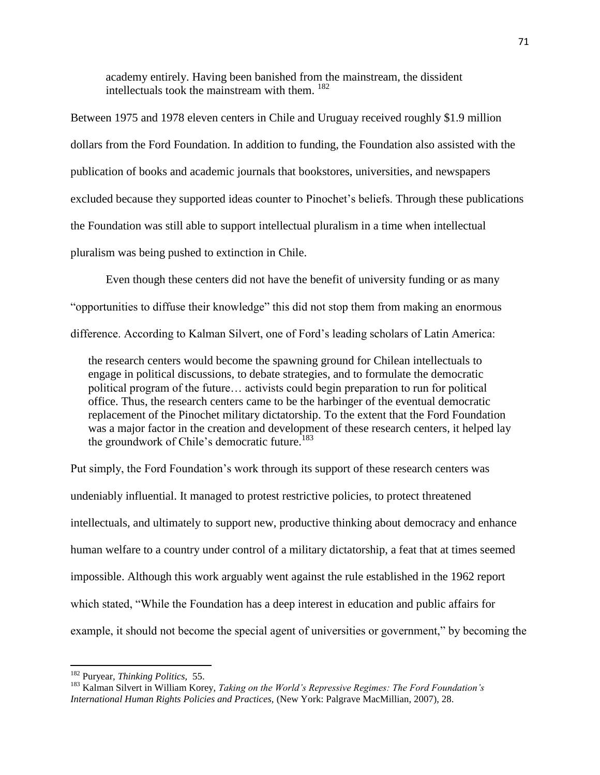academy entirely. Having been banished from the mainstream, the dissident intellectuals took the mainstream with them. <sup>182</sup>

Between 1975 and 1978 eleven centers in Chile and Uruguay received roughly \$1.9 million dollars from the Ford Foundation. In addition to funding, the Foundation also assisted with the publication of books and academic journals that bookstores, universities, and newspapers excluded because they supported ideas counter to Pinochet's beliefs. Through these publications the Foundation was still able to support intellectual pluralism in a time when intellectual pluralism was being pushed to extinction in Chile.

Even though these centers did not have the benefit of university funding or as many "opportunities to diffuse their knowledge" this did not stop them from making an enormous difference. According to Kalman Silvert, one of Ford's leading scholars of Latin America:

the research centers would become the spawning ground for Chilean intellectuals to engage in political discussions, to debate strategies, and to formulate the democratic political program of the future… activists could begin preparation to run for political office. Thus, the research centers came to be the harbinger of the eventual democratic replacement of the Pinochet military dictatorship. To the extent that the Ford Foundation was a major factor in the creation and development of these research centers, it helped lay the groundwork of Chile's democratic future.<sup>183</sup>

Put simply, the Ford Foundation's work through its support of these research centers was undeniably influential. It managed to protest restrictive policies, to protect threatened intellectuals, and ultimately to support new, productive thinking about democracy and enhance human welfare to a country under control of a military dictatorship, a feat that at times seemed impossible. Although this work arguably went against the rule established in the 1962 report which stated, "While the Foundation has a deep interest in education and public affairs for example, it should not become the special agent of universities or government," by becoming the

<sup>182</sup> Puryear, *Thinking Politics,* 55.

<sup>183</sup> Kalman Silvert in William Korey, *Taking on the World's Repressive Regimes: The Ford Foundation's International Human Rights Policies and Practices,* (New York: Palgrave MacMillian, 2007), 28.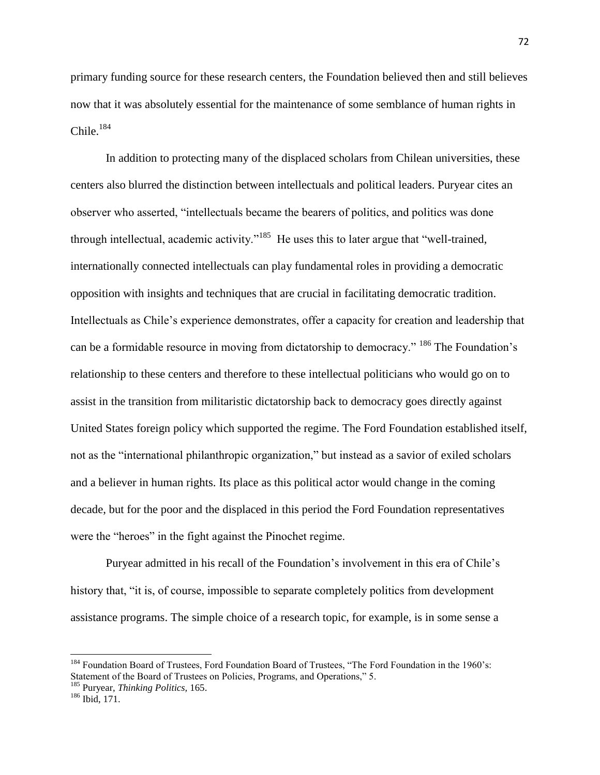primary funding source for these research centers, the Foundation believed then and still believes now that it was absolutely essential for the maintenance of some semblance of human rights in Chile. 184

In addition to protecting many of the displaced scholars from Chilean universities, these centers also blurred the distinction between intellectuals and political leaders. Puryear cites an observer who asserted, "intellectuals became the bearers of politics, and politics was done through intellectual, academic activity."<sup>185</sup> He uses this to later argue that "well-trained, internationally connected intellectuals can play fundamental roles in providing a democratic opposition with insights and techniques that are crucial in facilitating democratic tradition. Intellectuals as Chile's experience demonstrates, offer a capacity for creation and leadership that can be a formidable resource in moving from dictatorship to democracy." <sup>186</sup> The Foundation's relationship to these centers and therefore to these intellectual politicians who would go on to assist in the transition from militaristic dictatorship back to democracy goes directly against United States foreign policy which supported the regime. The Ford Foundation established itself, not as the "international philanthropic organization," but instead as a savior of exiled scholars and a believer in human rights. Its place as this political actor would change in the coming decade, but for the poor and the displaced in this period the Ford Foundation representatives were the "heroes" in the fight against the Pinochet regime.

Puryear admitted in his recall of the Foundation's involvement in this era of Chile's history that, "it is, of course, impossible to separate completely politics from development assistance programs. The simple choice of a research topic, for example, is in some sense a

<sup>&</sup>lt;sup>184</sup> Foundation Board of Trustees, Ford Foundation Board of Trustees, "The Ford Foundation in the 1960's: Statement of the Board of Trustees on Policies, Programs, and Operations," 5.

<sup>185</sup> Puryear, *Thinking Politics,* 165.

<sup>186</sup> Ibid, 171.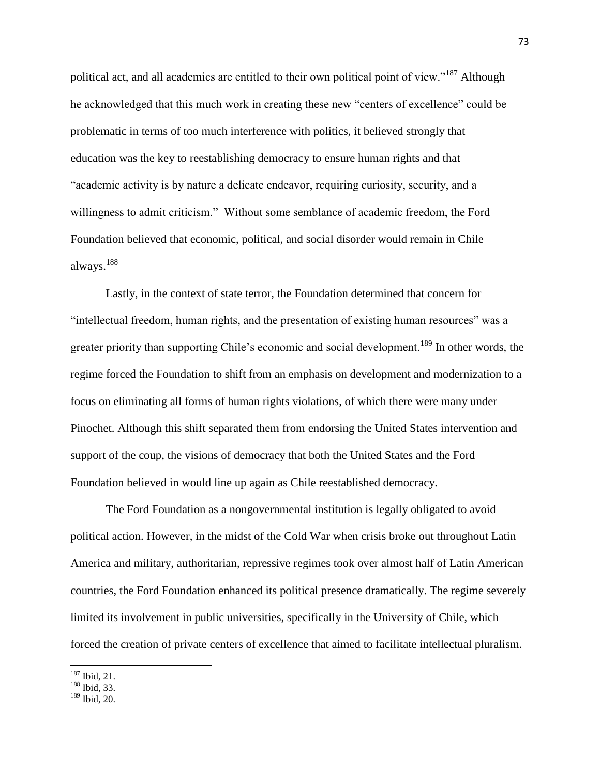political act, and all academics are entitled to their own political point of view."<sup>187</sup> Although he acknowledged that this much work in creating these new "centers of excellence" could be problematic in terms of too much interference with politics, it believed strongly that education was the key to reestablishing democracy to ensure human rights and that "academic activity is by nature a delicate endeavor, requiring curiosity, security, and a willingness to admit criticism." Without some semblance of academic freedom, the Ford Foundation believed that economic, political, and social disorder would remain in Chile always.<sup>188</sup>

Lastly, in the context of state terror, the Foundation determined that concern for "intellectual freedom, human rights, and the presentation of existing human resources" was a greater priority than supporting Chile's economic and social development.<sup>189</sup> In other words, the regime forced the Foundation to shift from an emphasis on development and modernization to a focus on eliminating all forms of human rights violations, of which there were many under Pinochet. Although this shift separated them from endorsing the United States intervention and support of the coup, the visions of democracy that both the United States and the Ford Foundation believed in would line up again as Chile reestablished democracy.

The Ford Foundation as a nongovernmental institution is legally obligated to avoid political action. However, in the midst of the Cold War when crisis broke out throughout Latin America and military, authoritarian, repressive regimes took over almost half of Latin American countries, the Ford Foundation enhanced its political presence dramatically. The regime severely limited its involvement in public universities, specifically in the University of Chile, which forced the creation of private centers of excellence that aimed to facilitate intellectual pluralism.

 $\overline{\phantom{a}}$ <sup>187</sup> Ibid, 21.

<sup>188</sup> Ibid, 33.

<sup>189</sup> Ibid, 20.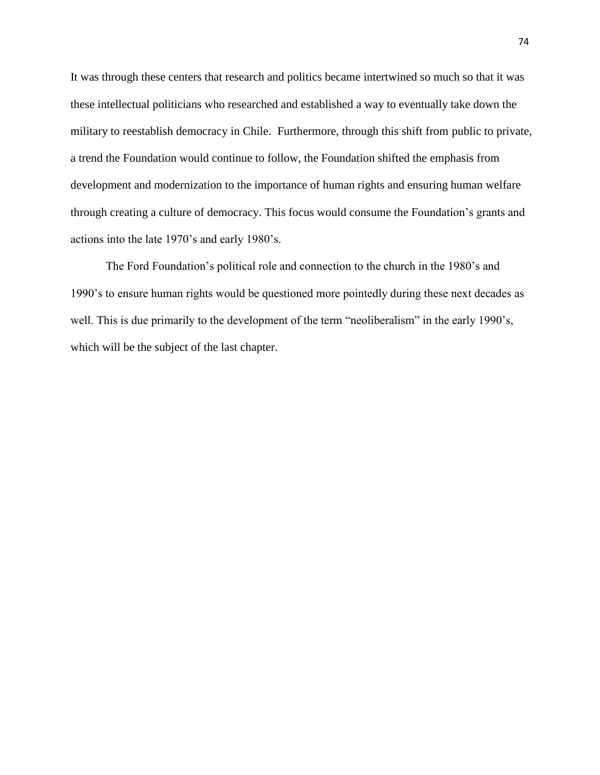It was through these centers that research and politics became intertwined so much so that it was these intellectual politicians who researched and established a way to eventually take down the military to reestablish democracy in Chile. Furthermore, through this shift from public to private, a trend the Foundation would continue to follow, the Foundation shifted the emphasis from development and modernization to the importance of human rights and ensuring human welfare through creating a culture of democracy. This focus would consume the Foundation's grants and actions into the late 1970's and early 1980's.

The Ford Foundation's political role and connection to the church in the 1980's and 1990's to ensure human rights would be questioned more pointedly during these next decades as well. This is due primarily to the development of the term "neoliberalism" in the early 1990's, which will be the subject of the last chapter.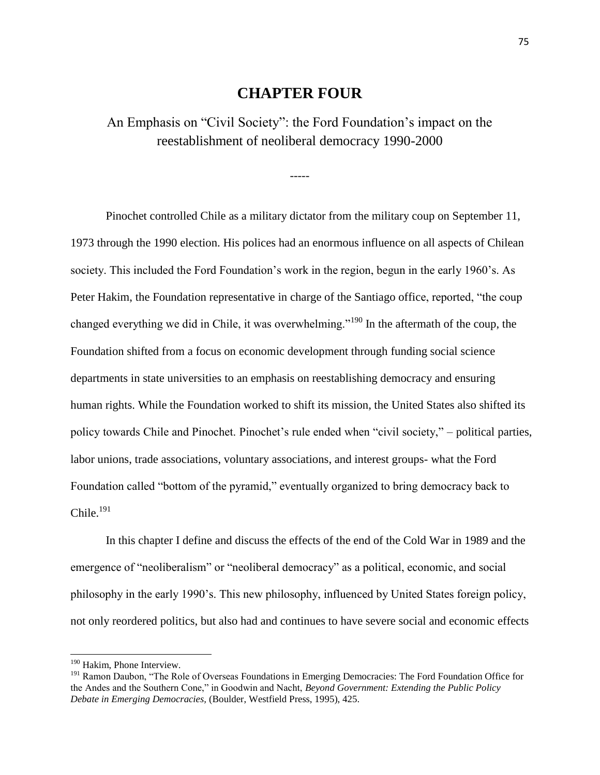## **CHAPTER FOUR**

An Emphasis on "Civil Society": the Ford Foundation's impact on the reestablishment of neoliberal democracy 1990-2000

-----

Pinochet controlled Chile as a military dictator from the military coup on September 11, 1973 through the 1990 election. His polices had an enormous influence on all aspects of Chilean society. This included the Ford Foundation's work in the region, begun in the early 1960's. As Peter Hakim, the Foundation representative in charge of the Santiago office, reported, "the coup changed everything we did in Chile, it was overwhelming."<sup>190</sup> In the aftermath of the coup, the Foundation shifted from a focus on economic development through funding social science departments in state universities to an emphasis on reestablishing democracy and ensuring human rights. While the Foundation worked to shift its mission, the United States also shifted its policy towards Chile and Pinochet. Pinochet's rule ended when "civil society," – political parties, labor unions, trade associations, voluntary associations, and interest groups- what the Ford Foundation called "bottom of the pyramid," eventually organized to bring democracy back to  $Chile.<sup>191</sup>$ 

In this chapter I define and discuss the effects of the end of the Cold War in 1989 and the emergence of "neoliberalism" or "neoliberal democracy" as a political, economic, and social philosophy in the early 1990's. This new philosophy, influenced by United States foreign policy, not only reordered politics, but also had and continues to have severe social and economic effects

<sup>&</sup>lt;sup>190</sup> Hakim, Phone Interview.

<sup>&</sup>lt;sup>191</sup> Ramon Daubon, "The Role of Overseas Foundations in Emerging Democracies: The Ford Foundation Office for the Andes and the Southern Cone," in Goodwin and Nacht, *Beyond Government: Extending the Public Policy Debate in Emerging Democracies,* (Boulder, Westfield Press, 1995), 425.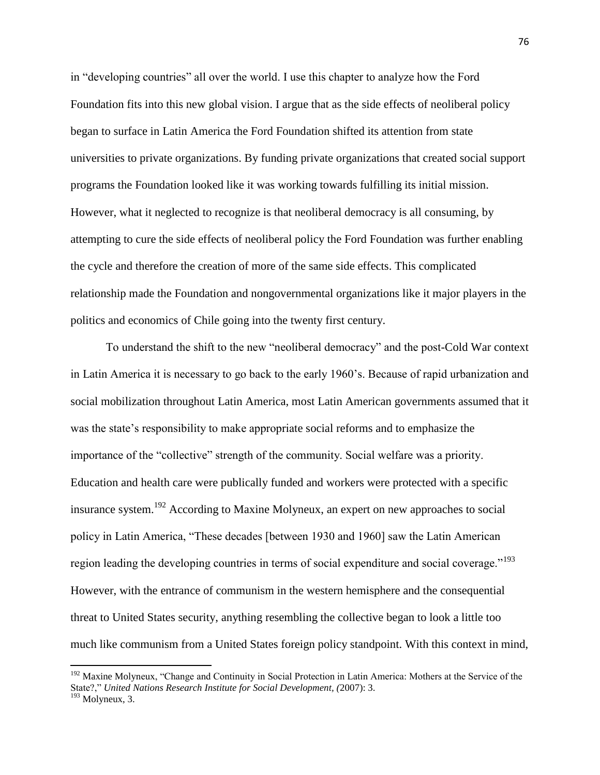in "developing countries" all over the world. I use this chapter to analyze how the Ford Foundation fits into this new global vision. I argue that as the side effects of neoliberal policy began to surface in Latin America the Ford Foundation shifted its attention from state universities to private organizations. By funding private organizations that created social support programs the Foundation looked like it was working towards fulfilling its initial mission. However, what it neglected to recognize is that neoliberal democracy is all consuming, by attempting to cure the side effects of neoliberal policy the Ford Foundation was further enabling the cycle and therefore the creation of more of the same side effects. This complicated relationship made the Foundation and nongovernmental organizations like it major players in the politics and economics of Chile going into the twenty first century.

To understand the shift to the new "neoliberal democracy" and the post-Cold War context in Latin America it is necessary to go back to the early 1960's. Because of rapid urbanization and social mobilization throughout Latin America, most Latin American governments assumed that it was the state's responsibility to make appropriate social reforms and to emphasize the importance of the "collective" strength of the community. Social welfare was a priority. Education and health care were publically funded and workers were protected with a specific insurance system.<sup>192</sup> According to Maxine Molyneux, an expert on new approaches to social policy in Latin America, "These decades [between 1930 and 1960] saw the Latin American region leading the developing countries in terms of social expenditure and social coverage."<sup>193</sup> However, with the entrance of communism in the western hemisphere and the consequential threat to United States security, anything resembling the collective began to look a little too much like communism from a United States foreign policy standpoint. With this context in mind,

<sup>&</sup>lt;sup>192</sup> Maxine Molyneux, "Change and Continuity in Social Protection in Latin America: Mothers at the Service of the State?," *United Nations Research Institute for Social Development, (*2007): 3.  $193$  Molyneux, 3.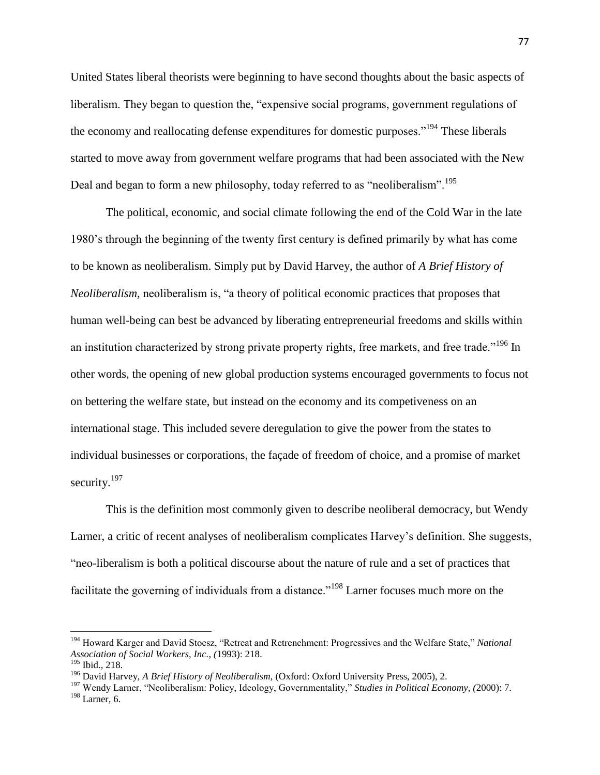United States liberal theorists were beginning to have second thoughts about the basic aspects of liberalism. They began to question the, "expensive social programs, government regulations of the economy and reallocating defense expenditures for domestic purposes."<sup>194</sup> These liberals started to move away from government welfare programs that had been associated with the New Deal and began to form a new philosophy, today referred to as "neoliberalism".<sup>195</sup>

The political, economic, and social climate following the end of the Cold War in the late 1980's through the beginning of the twenty first century is defined primarily by what has come to be known as neoliberalism. Simply put by David Harvey, the author of *A Brief History of Neoliberalism,* neoliberalism is, "a theory of political economic practices that proposes that human well-being can best be advanced by liberating entrepreneurial freedoms and skills within an institution characterized by strong private property rights, free markets, and free trade."<sup>196</sup> In other words, the opening of new global production systems encouraged governments to focus not on bettering the welfare state, but instead on the economy and its competiveness on an international stage. This included severe deregulation to give the power from the states to individual businesses or corporations, the façade of freedom of choice, and a promise of market security. $197$ 

This is the definition most commonly given to describe neoliberal democracy, but Wendy Larner, a critic of recent analyses of neoliberalism complicates Harvey's definition. She suggests, "neo-liberalism is both a political discourse about the nature of rule and a set of practices that facilitate the governing of individuals from a distance."<sup>198</sup> Larner focuses much more on the

l

<sup>194</sup> Howard Karger and David Stoesz, "Retreat and Retrenchment: Progressives and the Welfare State," *National Association of Social Workers, Inc., (*1993): 218.

<sup>195</sup> Ibid., 218.

<sup>196</sup> David Harvey, *A Brief History of Neoliberalism,* (Oxford: Oxford University Press, 2005), 2.

<sup>197</sup> Wendy Larner, "Neoliberalism: Policy, Ideology, Governmentality," *Studies in Political Economy, (*2000): 7. <sup>198</sup> Larner, 6.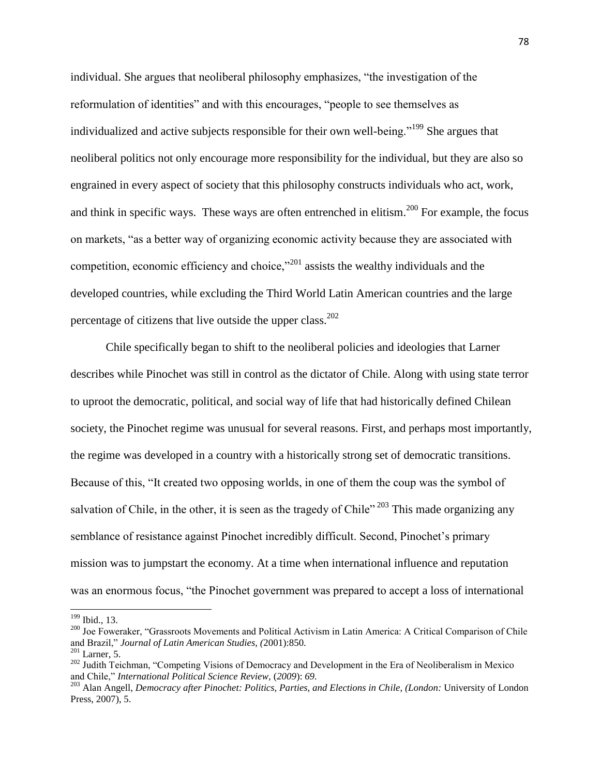individual. She argues that neoliberal philosophy emphasizes, "the investigation of the reformulation of identities" and with this encourages, "people to see themselves as individualized and active subjects responsible for their own well-being."<sup>199</sup> She argues that neoliberal politics not only encourage more responsibility for the individual, but they are also so engrained in every aspect of society that this philosophy constructs individuals who act, work, and think in specific ways. These ways are often entrenched in elitism.<sup>200</sup> For example, the focus on markets, "as a better way of organizing economic activity because they are associated with competition, economic efficiency and choice, $^{201}$  assists the wealthy individuals and the developed countries, while excluding the Third World Latin American countries and the large percentage of citizens that live outside the upper class. $202$ 

Chile specifically began to shift to the neoliberal policies and ideologies that Larner describes while Pinochet was still in control as the dictator of Chile. Along with using state terror to uproot the democratic, political, and social way of life that had historically defined Chilean society, the Pinochet regime was unusual for several reasons. First, and perhaps most importantly, the regime was developed in a country with a historically strong set of democratic transitions. Because of this, "It created two opposing worlds, in one of them the coup was the symbol of salvation of Chile, in the other, it is seen as the tragedy of Chile"  $^{203}$  This made organizing any semblance of resistance against Pinochet incredibly difficult. Second, Pinochet's primary mission was to jumpstart the economy. At a time when international influence and reputation was an enormous focus, "the Pinochet government was prepared to accept a loss of international

 $\overline{a}$ 

<sup>199</sup> Ibid., 13.

<sup>&</sup>lt;sup>200</sup> Joe Foweraker, "Grassroots Movements and Political Activism in Latin America: A Critical Comparison of Chile and Brazil," *Journal of Latin American Studies, (*2001):850.

 $201$  Larner, 5.

<sup>&</sup>lt;sup>202</sup> Judith Teichman, "Competing Visions of Democracy and Development in the Era of Neoliberalism in Mexico and Chile," *International Political Science Review,* (*2009*): *69.*

<sup>203</sup> Alan Angell, *Democracy after Pinochet: Politics, Parties, and Elections in Chile, (London:* University of London Press, 2007), 5.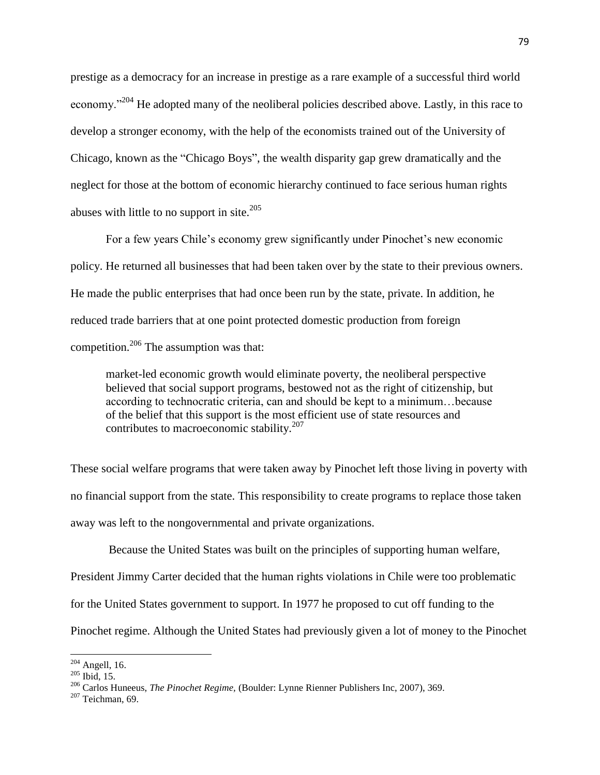prestige as a democracy for an increase in prestige as a rare example of a successful third world economy."<sup>204</sup> He adopted many of the neoliberal policies described above. Lastly, in this race to develop a stronger economy, with the help of the economists trained out of the University of Chicago, known as the "Chicago Boys", the wealth disparity gap grew dramatically and the neglect for those at the bottom of economic hierarchy continued to face serious human rights abuses with little to no support in site.<sup>205</sup>

For a few years Chile's economy grew significantly under Pinochet's new economic policy. He returned all businesses that had been taken over by the state to their previous owners. He made the public enterprises that had once been run by the state, private. In addition, he reduced trade barriers that at one point protected domestic production from foreign competition.<sup>206</sup> The assumption was that:

market-led economic growth would eliminate poverty, the neoliberal perspective believed that social support programs, bestowed not as the right of citizenship, but according to technocratic criteria, can and should be kept to a minimum…because of the belief that this support is the most efficient use of state resources and contributes to macroeconomic stability.<sup>207</sup>

These social welfare programs that were taken away by Pinochet left those living in poverty with no financial support from the state. This responsibility to create programs to replace those taken away was left to the nongovernmental and private organizations.

Because the United States was built on the principles of supporting human welfare,

President Jimmy Carter decided that the human rights violations in Chile were too problematic

for the United States government to support. In 1977 he proposed to cut off funding to the

Pinochet regime. Although the United States had previously given a lot of money to the Pinochet

 $204$  Angell, 16.

 $^{205}$  Ibid, 15.

<sup>206</sup> Carlos Huneeus, *The Pinochet Regime,* (Boulder: Lynne Rienner Publishers Inc, 2007), 369.

 $207$  Teichman, 69.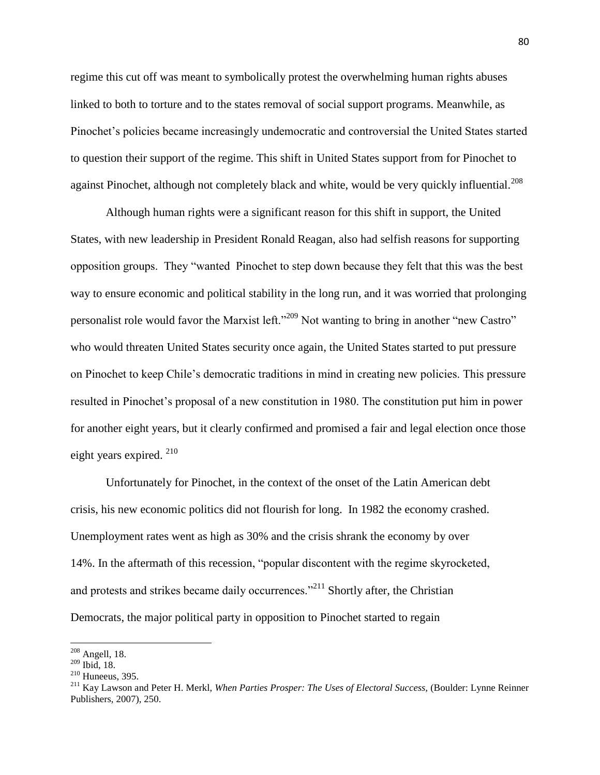regime this cut off was meant to symbolically protest the overwhelming human rights abuses linked to both to torture and to the states removal of social support programs. Meanwhile, as Pinochet's policies became increasingly undemocratic and controversial the United States started to question their support of the regime. This shift in United States support from for Pinochet to against Pinochet, although not completely black and white, would be very quickly influential.<sup>208</sup>

Although human rights were a significant reason for this shift in support, the United States, with new leadership in President Ronald Reagan, also had selfish reasons for supporting opposition groups. They "wanted Pinochet to step down because they felt that this was the best way to ensure economic and political stability in the long run, and it was worried that prolonging personalist role would favor the Marxist left."<sup>209</sup> Not wanting to bring in another "new Castro" who would threaten United States security once again, the United States started to put pressure on Pinochet to keep Chile's democratic traditions in mind in creating new policies. This pressure resulted in Pinochet's proposal of a new constitution in 1980. The constitution put him in power for another eight years, but it clearly confirmed and promised a fair and legal election once those eight years expired. <sup>210</sup>

Unfortunately for Pinochet, in the context of the onset of the Latin American debt crisis, his new economic politics did not flourish for long. In 1982 the economy crashed. Unemployment rates went as high as 30% and the crisis shrank the economy by over 14%. In the aftermath of this recession, "popular discontent with the regime skyrocketed, and protests and strikes became daily occurrences."<sup>211</sup> Shortly after, the Christian Democrats, the major political party in opposition to Pinochet started to regain

 $\overline{a}$ 

 $208$  Angell, 18.

 $209$  Ibid, 18.

 $210$  Huneeus, 395.

<sup>211</sup> Kay Lawson and Peter H. Merkl, *When Parties Prosper: The Uses of Electoral Success,* (Boulder: Lynne Reinner Publishers, 2007), 250.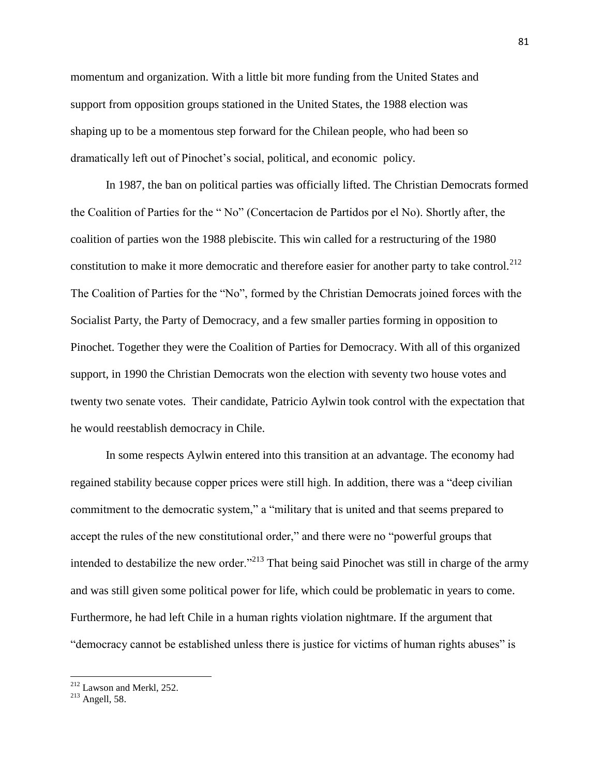momentum and organization. With a little bit more funding from the United States and support from opposition groups stationed in the United States, the 1988 election was shaping up to be a momentous step forward for the Chilean people, who had been so dramatically left out of Pinochet's social, political, and economic policy.

In 1987, the ban on political parties was officially lifted. The Christian Democrats formed the Coalition of Parties for the " No" (Concertacion de Partidos por el No). Shortly after, the coalition of parties won the 1988 plebiscite. This win called for a restructuring of the 1980 constitution to make it more democratic and therefore easier for another party to take control.<sup>212</sup> The Coalition of Parties for the "No", formed by the Christian Democrats joined forces with the Socialist Party, the Party of Democracy, and a few smaller parties forming in opposition to Pinochet. Together they were the Coalition of Parties for Democracy. With all of this organized support, in 1990 the Christian Democrats won the election with seventy two house votes and twenty two senate votes. Their candidate, Patricio Aylwin took control with the expectation that he would reestablish democracy in Chile.

In some respects Aylwin entered into this transition at an advantage. The economy had regained stability because copper prices were still high. In addition, there was a "deep civilian commitment to the democratic system," a "military that is united and that seems prepared to accept the rules of the new constitutional order," and there were no "powerful groups that intended to destabilize the new order."<sup>213</sup> That being said Pinochet was still in charge of the army and was still given some political power for life, which could be problematic in years to come. Furthermore, he had left Chile in a human rights violation nightmare. If the argument that "democracy cannot be established unless there is justice for victims of human rights abuses" is

 $212$  Lawson and Merkl, 252.

 $^{213}$  Angell, 58.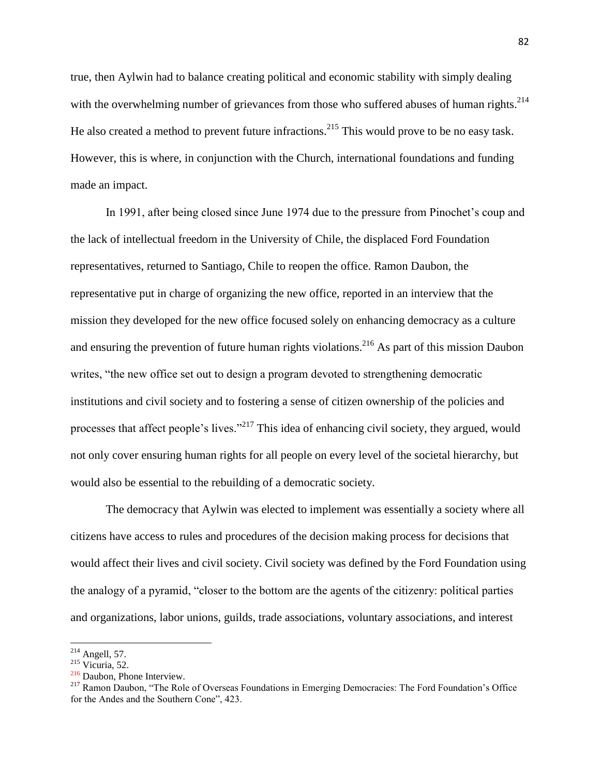true, then Aylwin had to balance creating political and economic stability with simply dealing with the overwhelming number of grievances from those who suffered abuses of human rights.<sup>214</sup> He also created a method to prevent future infractions.<sup>215</sup> This would prove to be no easy task. However, this is where, in conjunction with the Church, international foundations and funding made an impact.

In 1991, after being closed since June 1974 due to the pressure from Pinochet's coup and the lack of intellectual freedom in the University of Chile, the displaced Ford Foundation representatives, returned to Santiago, Chile to reopen the office. Ramon Daubon, the representative put in charge of organizing the new office, reported in an interview that the mission they developed for the new office focused solely on enhancing democracy as a culture and ensuring the prevention of future human rights violations. <sup>216</sup> As part of this mission Daubon writes, "the new office set out to design a program devoted to strengthening democratic institutions and civil society and to fostering a sense of citizen ownership of the policies and processes that affect people's lives."<sup>217</sup> This idea of enhancing civil society, they argued, would not only cover ensuring human rights for all people on every level of the societal hierarchy, but would also be essential to the rebuilding of a democratic society.

The democracy that Aylwin was elected to implement was essentially a society where all citizens have access to rules and procedures of the decision making process for decisions that would affect their lives and civil society. Civil society was defined by the Ford Foundation using the analogy of a pyramid, "closer to the bottom are the agents of the citizenry: political parties and organizations, labor unions, guilds, trade associations, voluntary associations, and interest

 $\overline{a}$  $214$  Angell, 57.

 $215$  Vicuria, 52.

<sup>216</sup> Daubon, Phone Interview.

<sup>&</sup>lt;sup>217</sup> Ramon Daubon, "The Role of Overseas Foundations in Emerging Democracies: The Ford Foundation's Office for the Andes and the Southern Cone", 423.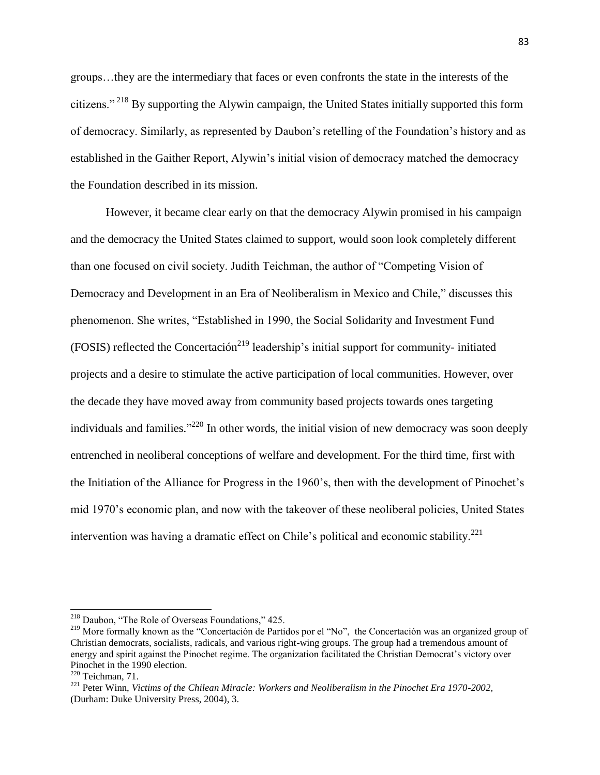groups…they are the intermediary that faces or even confronts the state in the interests of the citizens." <sup>218</sup> By supporting the Alywin campaign, the United States initially supported this form of democracy. Similarly, as represented by Daubon's retelling of the Foundation's history and as established in the Gaither Report, Alywin's initial vision of democracy matched the democracy the Foundation described in its mission.

However, it became clear early on that the democracy Alywin promised in his campaign and the democracy the United States claimed to support, would soon look completely different than one focused on civil society. Judith Teichman, the author of "Competing Vision of Democracy and Development in an Era of Neoliberalism in Mexico and Chile," discusses this phenomenon. She writes, "Established in 1990, the Social Solidarity and Investment Fund  $(FOSIS)$  reflected the Concertación<sup>219</sup> leadership's initial support for community- initiated projects and a desire to stimulate the active participation of local communities. However, over the decade they have moved away from community based projects towards ones targeting individuals and families.<sup>"220</sup> In other words, the initial vision of new democracy was soon deeply entrenched in neoliberal conceptions of welfare and development. For the third time, first with the Initiation of the Alliance for Progress in the 1960's, then with the development of Pinochet's mid 1970's economic plan, and now with the takeover of these neoliberal policies, United States intervention was having a dramatic effect on Chile's political and economic stability.<sup>221</sup>

 $\overline{a}$ 

<sup>&</sup>lt;sup>218</sup> Daubon, "The Role of Overseas Foundations," 425.

<sup>&</sup>lt;sup>219</sup> More formally known as the "Concertación de Partidos por el "No", the Concertación was an organized group of Christian democrats, socialists, radicals, and various right-wing groups. The group had a tremendous amount of energy and spirit against the Pinochet regime. The organization facilitated the Christian Democrat's victory over Pinochet in the 1990 election.

 $220$  Teichman, 71.

<sup>221</sup> Peter Winn, *Victims of the Chilean Miracle: Workers and Neoliberalism in the Pinochet Era 1970-2002,*  (Durham: Duke University Press, 2004), 3.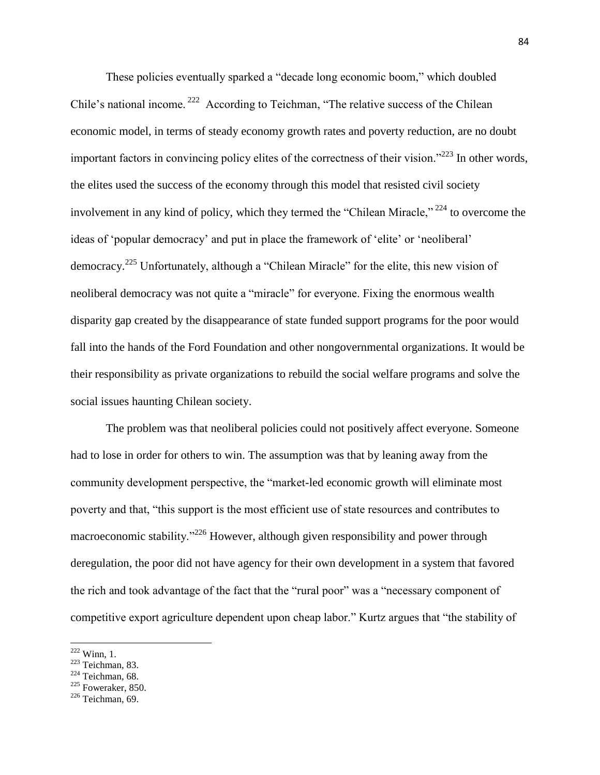These policies eventually sparked a "decade long economic boom," which doubled Chile's national income.<sup>222</sup> According to Teichman, "The relative success of the Chilean economic model, in terms of steady economy growth rates and poverty reduction, are no doubt important factors in convincing policy elites of the correctness of their vision."<sup>223</sup> In other words, the elites used the success of the economy through this model that resisted civil society involvement in any kind of policy, which they termed the "Chilean Miracle,"  $^{224}$  to overcome the ideas of 'popular democracy' and put in place the framework of 'elite' or 'neoliberal' democracy.<sup>225</sup> Unfortunately, although a "Chilean Miracle" for the elite, this new vision of neoliberal democracy was not quite a "miracle" for everyone. Fixing the enormous wealth disparity gap created by the disappearance of state funded support programs for the poor would fall into the hands of the Ford Foundation and other nongovernmental organizations. It would be their responsibility as private organizations to rebuild the social welfare programs and solve the social issues haunting Chilean society.

The problem was that neoliberal policies could not positively affect everyone. Someone had to lose in order for others to win. The assumption was that by leaning away from the community development perspective, the "market-led economic growth will eliminate most poverty and that, "this support is the most efficient use of state resources and contributes to macroeconomic stability."<sup>226</sup> However, although given responsibility and power through deregulation, the poor did not have agency for their own development in a system that favored the rich and took advantage of the fact that the "rural poor" was a "necessary component of competitive export agriculture dependent upon cheap labor." Kurtz argues that "the stability of

 $\overline{a}$ 

 $222$  Winn, 1.

<sup>223</sup> Teichman, 83.

 $224$  Teichman, 68.

 $225$  Foweraker, 850.

 $226$  Teichman, 69.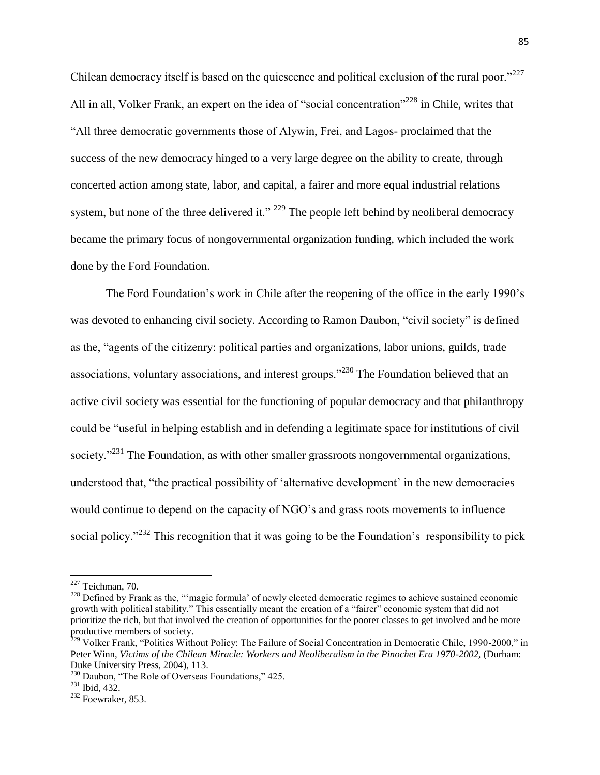Chilean democracy itself is based on the quiescence and political exclusion of the rural poor."<sup>227</sup> All in all, Volker Frank, an expert on the idea of "social concentration"<sup>228</sup> in Chile, writes that "All three democratic governments those of Alywin, Frei, and Lagos- proclaimed that the success of the new democracy hinged to a very large degree on the ability to create, through concerted action among state, labor, and capital, a fairer and more equal industrial relations system, but none of the three delivered it."  $^{229}$  The people left behind by neoliberal democracy became the primary focus of nongovernmental organization funding, which included the work done by the Ford Foundation.

The Ford Foundation's work in Chile after the reopening of the office in the early 1990's was devoted to enhancing civil society. According to Ramon Daubon, "civil society" is defined as the, "agents of the citizenry: political parties and organizations, labor unions, guilds, trade associations, voluntary associations, and interest groups."<sup>230</sup> The Foundation believed that an active civil society was essential for the functioning of popular democracy and that philanthropy could be "useful in helping establish and in defending a legitimate space for institutions of civil society."<sup>231</sup> The Foundation, as with other smaller grassroots nongovernmental organizations, understood that, "the practical possibility of 'alternative development' in the new democracies would continue to depend on the capacity of NGO's and grass roots movements to influence social policy.<sup> $232$ </sup> This recognition that it was going to be the Foundation's responsibility to pick

 $227$  Teichman, 70.

<sup>&</sup>lt;sup>228</sup> Defined by Frank as the, "'magic formula' of newly elected democratic regimes to achieve sustained economic growth with political stability." This essentially meant the creation of a "fairer" economic system that did not prioritize the rich, but that involved the creation of opportunities for the poorer classes to get involved and be more productive members of society.

<sup>&</sup>lt;sup>229</sup> Volker Frank, "Politics Without Policy: The Failure of Social Concentration in Democratic Chile, 1990-2000," in Peter Winn, *Victims of the Chilean Miracle: Workers and Neoliberalism in the Pinochet Era 1970-2002*, (Durham: Duke University Press, 2004), 113.

<sup>&</sup>lt;sup>230</sup> Daubon, "The Role of Overseas Foundations," 425.

<sup>231</sup> Ibid, 432.

<sup>232</sup> Foewraker, 853.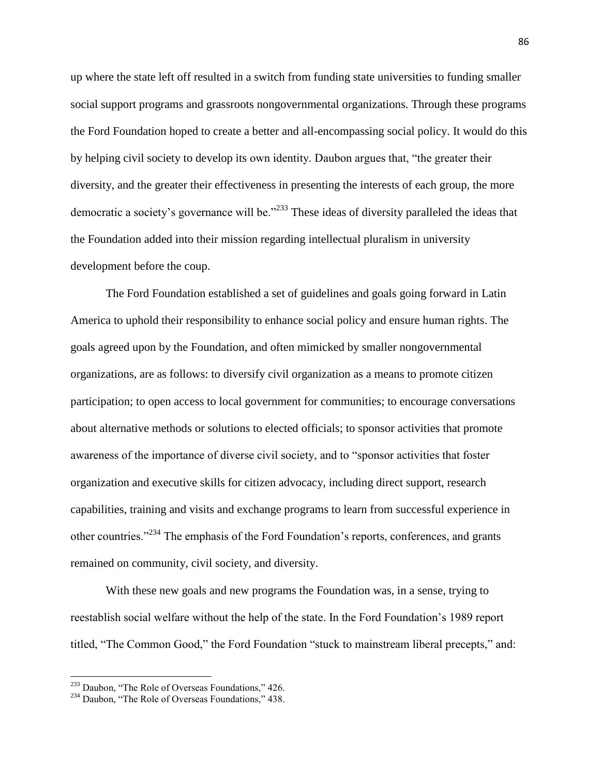up where the state left off resulted in a switch from funding state universities to funding smaller social support programs and grassroots nongovernmental organizations. Through these programs the Ford Foundation hoped to create a better and all-encompassing social policy. It would do this by helping civil society to develop its own identity. Daubon argues that, "the greater their diversity, and the greater their effectiveness in presenting the interests of each group, the more democratic a society's governance will be."<sup>233</sup> These ideas of diversity paralleled the ideas that the Foundation added into their mission regarding intellectual pluralism in university development before the coup.

The Ford Foundation established a set of guidelines and goals going forward in Latin America to uphold their responsibility to enhance social policy and ensure human rights. The goals agreed upon by the Foundation, and often mimicked by smaller nongovernmental organizations, are as follows: to diversify civil organization as a means to promote citizen participation; to open access to local government for communities; to encourage conversations about alternative methods or solutions to elected officials; to sponsor activities that promote awareness of the importance of diverse civil society, and to "sponsor activities that foster organization and executive skills for citizen advocacy, including direct support, research capabilities, training and visits and exchange programs to learn from successful experience in other countries."<sup>234</sup> The emphasis of the Ford Foundation's reports, conferences, and grants remained on community, civil society, and diversity.

With these new goals and new programs the Foundation was, in a sense, trying to reestablish social welfare without the help of the state. In the Ford Foundation's 1989 report titled, "The Common Good," the Ford Foundation "stuck to mainstream liberal precepts," and:

<sup>&</sup>lt;sup>233</sup> Daubon, "The Role of Overseas Foundations," 426.

<sup>&</sup>lt;sup>234</sup> Daubon, "The Role of Overseas Foundations," 438.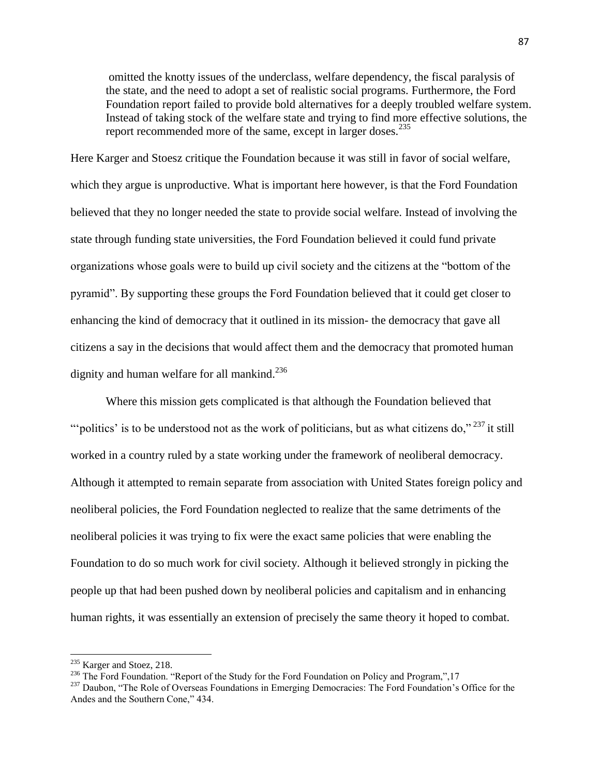omitted the knotty issues of the underclass, welfare dependency, the fiscal paralysis of the state, and the need to adopt a set of realistic social programs. Furthermore, the Ford Foundation report failed to provide bold alternatives for a deeply troubled welfare system. Instead of taking stock of the welfare state and trying to find more effective solutions, the report recommended more of the same, except in larger doses.  $235$ 

Here Karger and Stoesz critique the Foundation because it was still in favor of social welfare, which they argue is unproductive. What is important here however, is that the Ford Foundation believed that they no longer needed the state to provide social welfare. Instead of involving the state through funding state universities, the Ford Foundation believed it could fund private organizations whose goals were to build up civil society and the citizens at the "bottom of the pyramid". By supporting these groups the Ford Foundation believed that it could get closer to enhancing the kind of democracy that it outlined in its mission- the democracy that gave all citizens a say in the decisions that would affect them and the democracy that promoted human dignity and human welfare for all mankind.<sup>236</sup>

Where this mission gets complicated is that although the Foundation believed that ""politics' is to be understood not as the work of politicians, but as what citizens do,"  $237$  it still worked in a country ruled by a state working under the framework of neoliberal democracy. Although it attempted to remain separate from association with United States foreign policy and neoliberal policies, the Ford Foundation neglected to realize that the same detriments of the neoliberal policies it was trying to fix were the exact same policies that were enabling the Foundation to do so much work for civil society. Although it believed strongly in picking the people up that had been pushed down by neoliberal policies and capitalism and in enhancing human rights, it was essentially an extension of precisely the same theory it hoped to combat.

<sup>&</sup>lt;sup>235</sup> Karger and Stoez, 218.

<sup>&</sup>lt;sup>236</sup> The Ford Foundation. "Report of the Study for the Ford Foundation on Policy and Program,",17

<sup>&</sup>lt;sup>237</sup> Daubon, "The Role of Overseas Foundations in Emerging Democracies: The Ford Foundation's Office for the Andes and the Southern Cone," 434.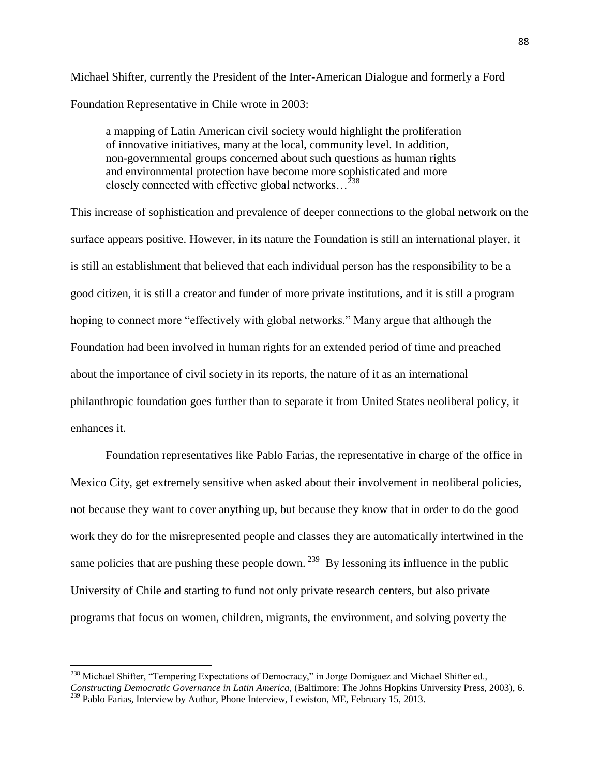Michael Shifter, currently the President of the Inter-American Dialogue and formerly a Ford Foundation Representative in Chile wrote in 2003:

a mapping of Latin American civil society would highlight the proliferation of innovative initiatives, many at the local, community level. In addition, non-governmental groups concerned about such questions as human rights and environmental protection have become more sophisticated and more closely connected with effective global networks…<sup>238</sup>

This increase of sophistication and prevalence of deeper connections to the global network on the surface appears positive. However, in its nature the Foundation is still an international player, it is still an establishment that believed that each individual person has the responsibility to be a good citizen, it is still a creator and funder of more private institutions, and it is still a program hoping to connect more "effectively with global networks." Many argue that although the Foundation had been involved in human rights for an extended period of time and preached about the importance of civil society in its reports, the nature of it as an international philanthropic foundation goes further than to separate it from United States neoliberal policy, it enhances it.

Foundation representatives like Pablo Farias, the representative in charge of the office in Mexico City, get extremely sensitive when asked about their involvement in neoliberal policies, not because they want to cover anything up, but because they know that in order to do the good work they do for the misrepresented people and classes they are automatically intertwined in the same policies that are pushing these people down.  $239$  By lessoning its influence in the public University of Chile and starting to fund not only private research centers, but also private programs that focus on women, children, migrants, the environment, and solving poverty the

<sup>&</sup>lt;sup>238</sup> Michael Shifter, "Tempering Expectations of Democracy," in Jorge Domiguez and Michael Shifter ed., *Constructing Democratic Governance in Latin America,* (Baltimore: The Johns Hopkins University Press, 2003), 6. <sup>239</sup> Pablo Farias, Interview by Author, Phone Interview, Lewiston, ME, February 15, 2013.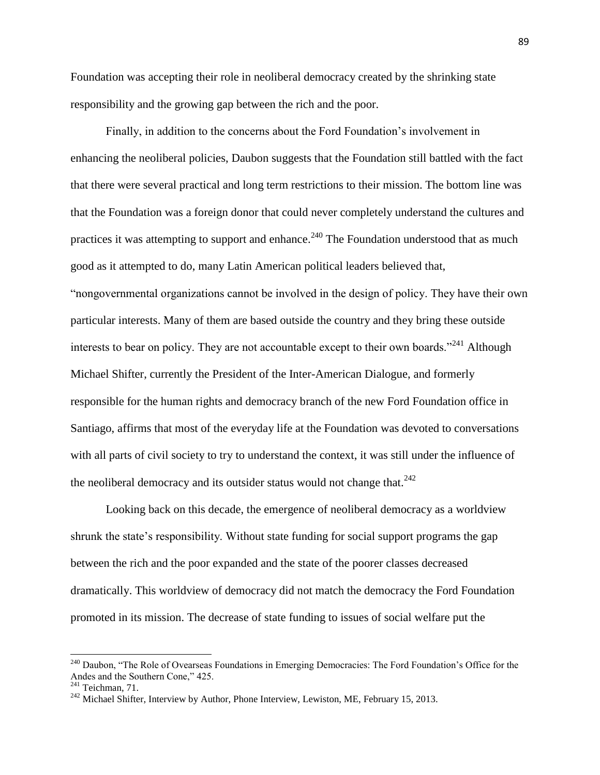Foundation was accepting their role in neoliberal democracy created by the shrinking state responsibility and the growing gap between the rich and the poor.

Finally, in addition to the concerns about the Ford Foundation's involvement in enhancing the neoliberal policies, Daubon suggests that the Foundation still battled with the fact that there were several practical and long term restrictions to their mission. The bottom line was that the Foundation was a foreign donor that could never completely understand the cultures and practices it was attempting to support and enhance.<sup>240</sup> The Foundation understood that as much good as it attempted to do, many Latin American political leaders believed that, "nongovernmental organizations cannot be involved in the design of policy. They have their own particular interests. Many of them are based outside the country and they bring these outside interests to bear on policy. They are not accountable except to their own boards."<sup>241</sup> Although Michael Shifter, currently the President of the Inter-American Dialogue, and formerly responsible for the human rights and democracy branch of the new Ford Foundation office in Santiago, affirms that most of the everyday life at the Foundation was devoted to conversations with all parts of civil society to try to understand the context, it was still under the influence of the neoliberal democracy and its outsider status would not change that. $^{242}$ 

Looking back on this decade, the emergence of neoliberal democracy as a worldview shrunk the state's responsibility. Without state funding for social support programs the gap between the rich and the poor expanded and the state of the poorer classes decreased dramatically. This worldview of democracy did not match the democracy the Ford Foundation promoted in its mission. The decrease of state funding to issues of social welfare put the

<sup>&</sup>lt;sup>240</sup> Daubon, "The Role of Ovearseas Foundations in Emerging Democracies: The Ford Foundation's Office for the Andes and the Southern Cone," 425.

 $241$  Teichman, 71.

<sup>&</sup>lt;sup>242</sup> Michael Shifter, Interview by Author, Phone Interview, Lewiston, ME, February 15, 2013.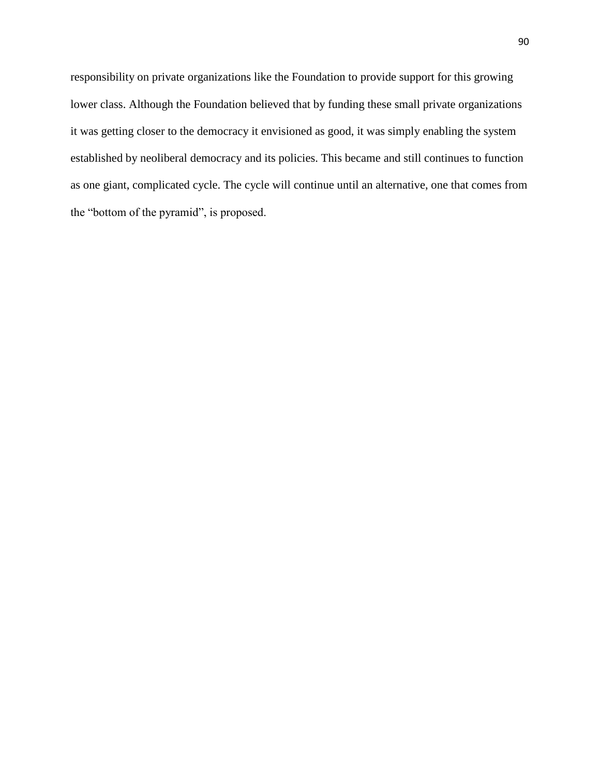responsibility on private organizations like the Foundation to provide support for this growing lower class. Although the Foundation believed that by funding these small private organizations it was getting closer to the democracy it envisioned as good, it was simply enabling the system established by neoliberal democracy and its policies. This became and still continues to function as one giant, complicated cycle. The cycle will continue until an alternative, one that comes from the "bottom of the pyramid", is proposed.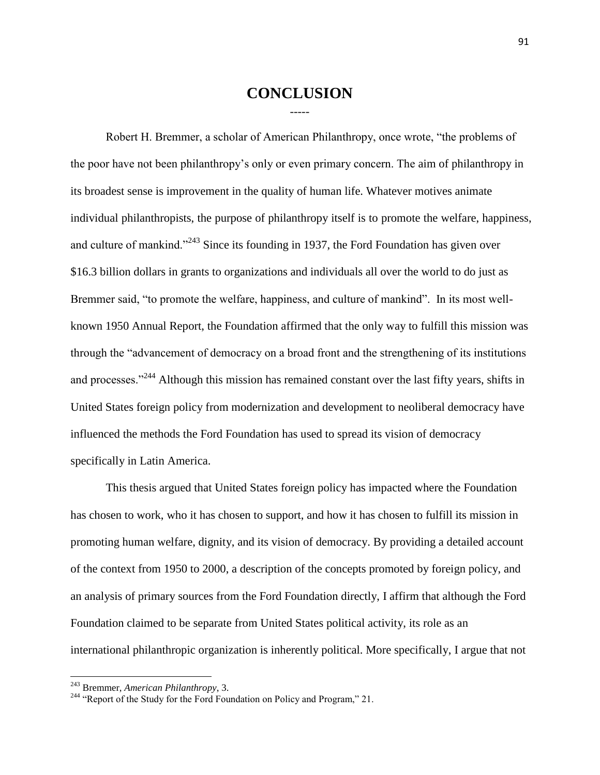## **CONCLUSION** -----

Robert H. Bremmer, a scholar of American Philanthropy, once wrote, "the problems of the poor have not been philanthropy's only or even primary concern. The aim of philanthropy in its broadest sense is improvement in the quality of human life. Whatever motives animate individual philanthropists, the purpose of philanthropy itself is to promote the welfare, happiness, and culture of mankind."<sup>243</sup> Since its founding in 1937, the Ford Foundation has given over \$16.3 billion dollars in grants to organizations and individuals all over the world to do just as Bremmer said, "to promote the welfare, happiness, and culture of mankind". In its most wellknown 1950 Annual Report, the Foundation affirmed that the only way to fulfill this mission was through the "advancement of democracy on a broad front and the strengthening of its institutions and processes."<sup>244</sup> Although this mission has remained constant over the last fifty years, shifts in United States foreign policy from modernization and development to neoliberal democracy have influenced the methods the Ford Foundation has used to spread its vision of democracy specifically in Latin America.

This thesis argued that United States foreign policy has impacted where the Foundation has chosen to work, who it has chosen to support, and how it has chosen to fulfill its mission in promoting human welfare, dignity, and its vision of democracy. By providing a detailed account of the context from 1950 to 2000, a description of the concepts promoted by foreign policy, and an analysis of primary sources from the Ford Foundation directly, I affirm that although the Ford Foundation claimed to be separate from United States political activity, its role as an international philanthropic organization is inherently political. More specifically, I argue that not

<sup>243</sup> Bremmer, *American Philanthropy*, 3.

<sup>&</sup>lt;sup>244</sup> "Report of the Study for the Ford Foundation on Policy and Program," 21.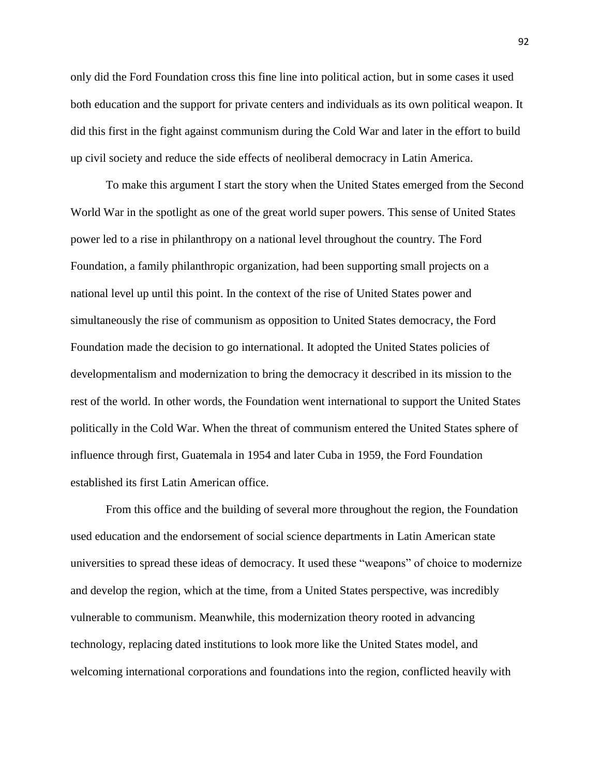only did the Ford Foundation cross this fine line into political action, but in some cases it used both education and the support for private centers and individuals as its own political weapon. It did this first in the fight against communism during the Cold War and later in the effort to build up civil society and reduce the side effects of neoliberal democracy in Latin America.

To make this argument I start the story when the United States emerged from the Second World War in the spotlight as one of the great world super powers. This sense of United States power led to a rise in philanthropy on a national level throughout the country. The Ford Foundation, a family philanthropic organization, had been supporting small projects on a national level up until this point. In the context of the rise of United States power and simultaneously the rise of communism as opposition to United States democracy, the Ford Foundation made the decision to go international. It adopted the United States policies of developmentalism and modernization to bring the democracy it described in its mission to the rest of the world. In other words, the Foundation went international to support the United States politically in the Cold War. When the threat of communism entered the United States sphere of influence through first, Guatemala in 1954 and later Cuba in 1959, the Ford Foundation established its first Latin American office.

From this office and the building of several more throughout the region, the Foundation used education and the endorsement of social science departments in Latin American state universities to spread these ideas of democracy. It used these "weapons" of choice to modernize and develop the region, which at the time, from a United States perspective, was incredibly vulnerable to communism. Meanwhile, this modernization theory rooted in advancing technology, replacing dated institutions to look more like the United States model, and welcoming international corporations and foundations into the region, conflicted heavily with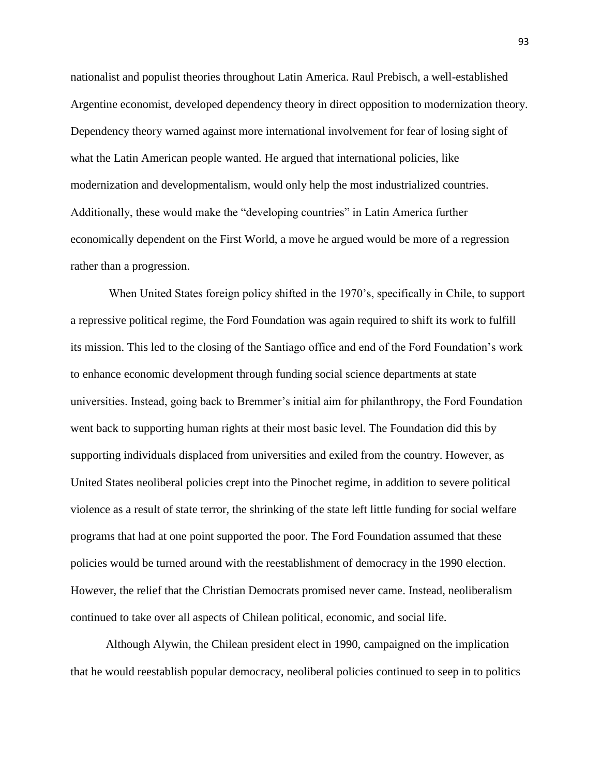nationalist and populist theories throughout Latin America. Raul Prebisch, a well-established Argentine economist, developed dependency theory in direct opposition to modernization theory. Dependency theory warned against more international involvement for fear of losing sight of what the Latin American people wanted. He argued that international policies, like modernization and developmentalism, would only help the most industrialized countries. Additionally, these would make the "developing countries" in Latin America further economically dependent on the First World, a move he argued would be more of a regression rather than a progression.

When United States foreign policy shifted in the 1970's, specifically in Chile, to support a repressive political regime, the Ford Foundation was again required to shift its work to fulfill its mission. This led to the closing of the Santiago office and end of the Ford Foundation's work to enhance economic development through funding social science departments at state universities. Instead, going back to Bremmer's initial aim for philanthropy, the Ford Foundation went back to supporting human rights at their most basic level. The Foundation did this by supporting individuals displaced from universities and exiled from the country. However, as United States neoliberal policies crept into the Pinochet regime, in addition to severe political violence as a result of state terror, the shrinking of the state left little funding for social welfare programs that had at one point supported the poor. The Ford Foundation assumed that these policies would be turned around with the reestablishment of democracy in the 1990 election. However, the relief that the Christian Democrats promised never came. Instead, neoliberalism continued to take over all aspects of Chilean political, economic, and social life.

Although Alywin, the Chilean president elect in 1990, campaigned on the implication that he would reestablish popular democracy, neoliberal policies continued to seep in to politics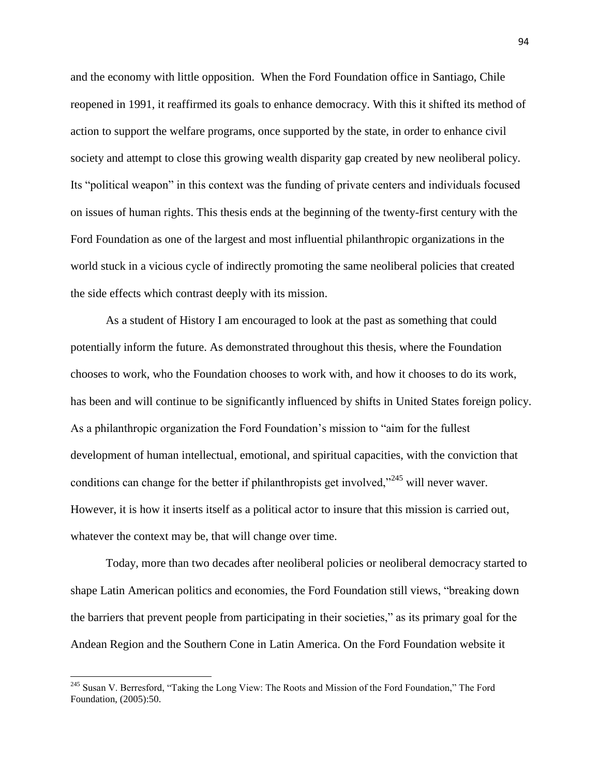and the economy with little opposition. When the Ford Foundation office in Santiago, Chile reopened in 1991, it reaffirmed its goals to enhance democracy. With this it shifted its method of action to support the welfare programs, once supported by the state, in order to enhance civil society and attempt to close this growing wealth disparity gap created by new neoliberal policy. Its "political weapon" in this context was the funding of private centers and individuals focused on issues of human rights. This thesis ends at the beginning of the twenty-first century with the Ford Foundation as one of the largest and most influential philanthropic organizations in the world stuck in a vicious cycle of indirectly promoting the same neoliberal policies that created the side effects which contrast deeply with its mission.

As a student of History I am encouraged to look at the past as something that could potentially inform the future. As demonstrated throughout this thesis, where the Foundation chooses to work, who the Foundation chooses to work with, and how it chooses to do its work, has been and will continue to be significantly influenced by shifts in United States foreign policy. As a philanthropic organization the Ford Foundation's mission to "aim for the fullest development of human intellectual, emotional, and spiritual capacities, with the conviction that conditions can change for the better if philanthropists get involved,"<sup>245</sup> will never waver. However, it is how it inserts itself as a political actor to insure that this mission is carried out, whatever the context may be, that will change over time.

Today, more than two decades after neoliberal policies or neoliberal democracy started to shape Latin American politics and economies, the Ford Foundation still views, "breaking down the barriers that prevent people from participating in their societies," as its primary goal for the Andean Region and the Southern Cone in Latin America. On the Ford Foundation website it

<sup>&</sup>lt;sup>245</sup> Susan V. Berresford, "Taking the Long View: The Roots and Mission of the Ford Foundation," The Ford Foundation, (2005):50.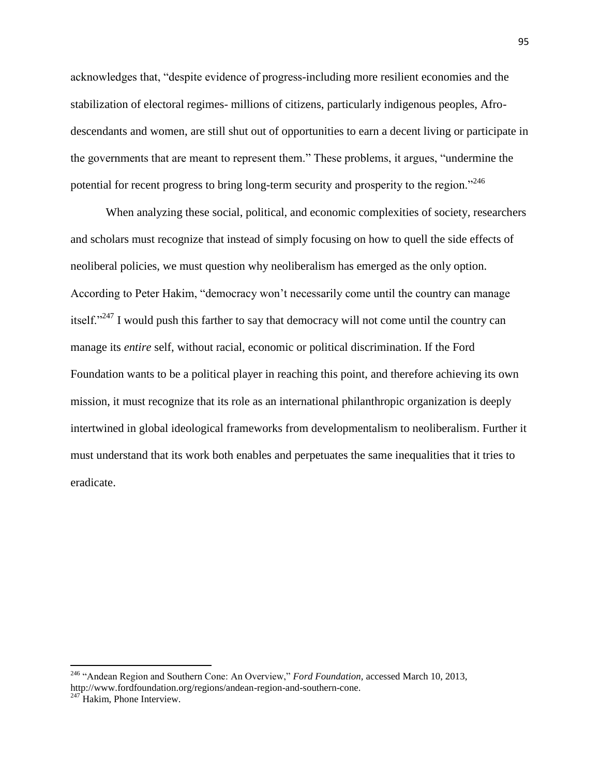acknowledges that, "despite evidence of progress-including more resilient economies and the stabilization of electoral regimes- millions of citizens, particularly indigenous peoples, Afrodescendants and women, are still shut out of opportunities to earn a decent living or participate in the governments that are meant to represent them." These problems, it argues, "undermine the potential for recent progress to bring long-term security and prosperity to the region."<sup>246</sup>

When analyzing these social, political, and economic complexities of society, researchers and scholars must recognize that instead of simply focusing on how to quell the side effects of neoliberal policies, we must question why neoliberalism has emerged as the only option. According to Peter Hakim, "democracy won't necessarily come until the country can manage itself."<sup>247</sup> I would push this farther to say that democracy will not come until the country can manage its *entire* self, without racial, economic or political discrimination. If the Ford Foundation wants to be a political player in reaching this point, and therefore achieving its own mission, it must recognize that its role as an international philanthropic organization is deeply intertwined in global ideological frameworks from developmentalism to neoliberalism. Further it must understand that its work both enables and perpetuates the same inequalities that it tries to eradicate.

<sup>246</sup> "Andean Region and Southern Cone: An Overview," *Ford Foundation,* accessed March 10, 2013, http://www.fordfoundation.org/regions/andean-region-and-southern-cone.

 $247$  Hakim, Phone Interview.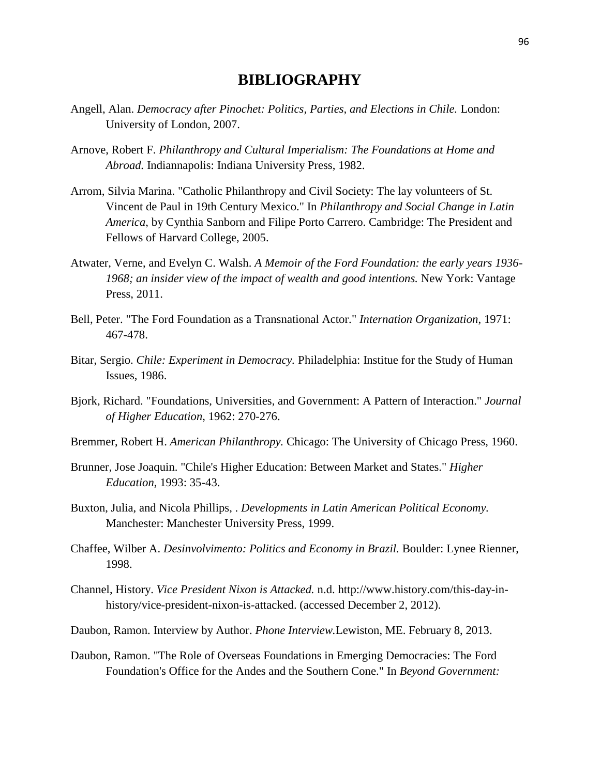## **BIBLIOGRAPHY**

- Angell, Alan. *Democracy after Pinochet: Politics, Parties, and Elections in Chile.* London: University of London, 2007.
- Arnove, Robert F. *Philanthropy and Cultural Imperialism: The Foundations at Home and Abroad.* Indiannapolis: Indiana University Press, 1982.
- Arrom, Silvia Marina. "Catholic Philanthropy and Civil Society: The lay volunteers of St. Vincent de Paul in 19th Century Mexico." In *Philanthropy and Social Change in Latin America*, by Cynthia Sanborn and Filipe Porto Carrero. Cambridge: The President and Fellows of Harvard College, 2005.
- Atwater, Verne, and Evelyn C. Walsh. *A Memoir of the Ford Foundation: the early years 1936- 1968; an insider view of the impact of wealth and good intentions.* New York: Vantage Press, 2011.
- Bell, Peter. "The Ford Foundation as a Transnational Actor." *Internation Organization*, 1971: 467-478.
- Bitar, Sergio. *Chile: Experiment in Democracy.* Philadelphia: Institue for the Study of Human Issues, 1986.
- Bjork, Richard. "Foundations, Universities, and Government: A Pattern of Interaction." *Journal of Higher Education*, 1962: 270-276.
- Bremmer, Robert H. *American Philanthropy.* Chicago: The University of Chicago Press, 1960.
- Brunner, Jose Joaquin. "Chile's Higher Education: Between Market and States." *Higher Education*, 1993: 35-43.
- Buxton, Julia, and Nicola Phillips, . *Developments in Latin American Political Economy.* Manchester: Manchester University Press, 1999.
- Chaffee, Wilber A. *Desinvolvimento: Politics and Economy in Brazil.* Boulder: Lynee Rienner, 1998.
- Channel, History. *Vice President Nixon is Attacked.* n.d. http://www.history.com/this-day-inhistory/vice-president-nixon-is-attacked. (accessed December 2, 2012).
- Daubon, Ramon. Interview by Author. *Phone Interview.*Lewiston, ME. February 8, 2013.
- Daubon, Ramon. "The Role of Overseas Foundations in Emerging Democracies: The Ford Foundation's Office for the Andes and the Southern Cone." In *Beyond Government:*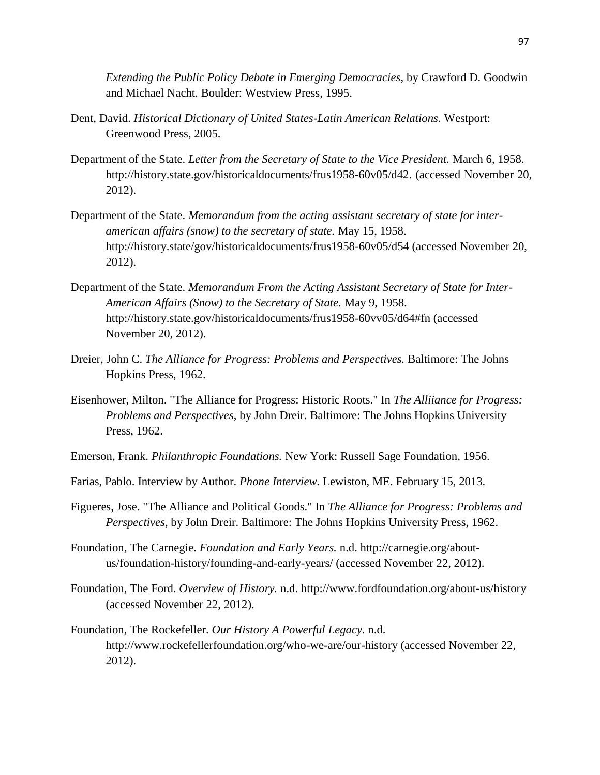*Extending the Public Policy Debate in Emerging Democracies*, by Crawford D. Goodwin and Michael Nacht. Boulder: Westview Press, 1995.

- Dent, David. *Historical Dictionary of United States-Latin American Relations.* Westport: Greenwood Press, 2005.
- Department of the State. *Letter from the Secretary of State to the Vice President.* March 6, 1958. http://history.state.gov/historicaldocuments/frus1958-60v05/d42. (accessed November 20, 2012).
- Department of the State. *Memorandum from the acting assistant secretary of state for interamerican affairs (snow) to the secretary of state.* May 15, 1958. http://history.state/gov/historicaldocuments/frus1958-60v05/d54 (accessed November 20, 2012).
- Department of the State. *Memorandum From the Acting Assistant Secretary of State for Inter-American Affairs (Snow) to the Secretary of State.* May 9, 1958. http://history.state.gov/historicaldocuments/frus1958-60vv05/d64#fn (accessed November 20, 2012).
- Dreier, John C. *The Alliance for Progress: Problems and Perspectives.* Baltimore: The Johns Hopkins Press, 1962.
- Eisenhower, Milton. "The Alliance for Progress: Historic Roots." In *The Alliiance for Progress: Problems and Perspectives*, by John Dreir. Baltimore: The Johns Hopkins University Press, 1962.
- Emerson, Frank. *Philanthropic Foundations.* New York: Russell Sage Foundation, 1956.
- Farias, Pablo. Interview by Author. *Phone Interview.* Lewiston, ME. February 15, 2013.
- Figueres, Jose. "The Alliance and Political Goods." In *The Alliance for Progress: Problems and Perspectives*, by John Dreir. Baltimore: The Johns Hopkins University Press, 1962.
- Foundation, The Carnegie. *Foundation and Early Years.* n.d. http://carnegie.org/aboutus/foundation-history/founding-and-early-years/ (accessed November 22, 2012).
- Foundation, The Ford. *Overview of History.* n.d. http://www.fordfoundation.org/about-us/history (accessed November 22, 2012).
- Foundation, The Rockefeller. *Our History A Powerful Legacy.* n.d. http://www.rockefellerfoundation.org/who-we-are/our-history (accessed November 22, 2012).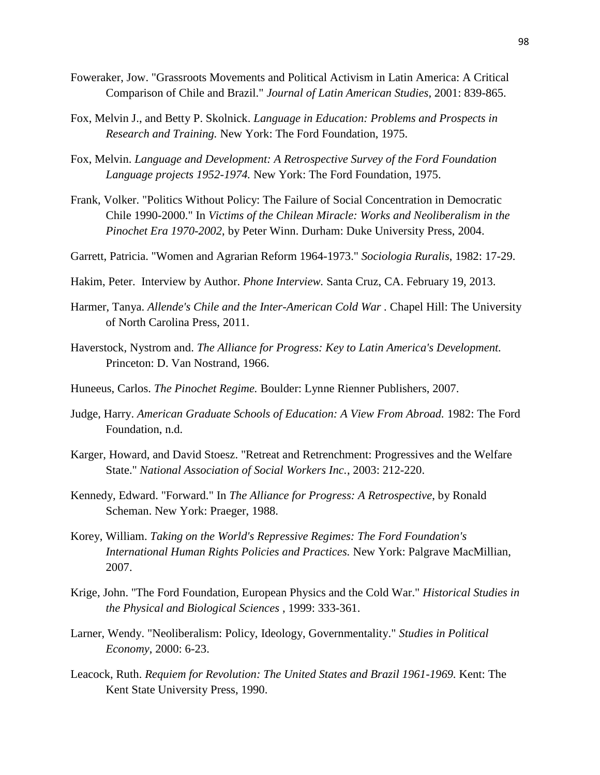- Foweraker, Jow. "Grassroots Movements and Political Activism in Latin America: A Critical Comparison of Chile and Brazil." *Journal of Latin American Studies*, 2001: 839-865.
- Fox, Melvin J., and Betty P. Skolnick. *Language in Education: Problems and Prospects in Research and Training.* New York: The Ford Foundation, 1975.
- Fox, Melvin. *Language and Development: A Retrospective Survey of the Ford Foundation Language projects 1952-1974.* New York: The Ford Foundation, 1975.
- Frank, Volker. "Politics Without Policy: The Failure of Social Concentration in Democratic Chile 1990-2000." In *Victims of the Chilean Miracle: Works and Neoliberalism in the Pinochet Era 1970-2002*, by Peter Winn. Durham: Duke University Press, 2004.
- Garrett, Patricia. "Women and Agrarian Reform 1964-1973." *Sociologia Ruralis*, 1982: 17-29.
- Hakim, Peter. Interview by Author. *Phone Interview.* Santa Cruz, CA. February 19, 2013.
- Harmer, Tanya. *Allende's Chile and the Inter-American Cold War .* Chapel Hill: The University of North Carolina Press, 2011.
- Haverstock, Nystrom and. *The Alliance for Progress: Key to Latin America's Development.* Princeton: D. Van Nostrand, 1966.
- Huneeus, Carlos. *The Pinochet Regime.* Boulder: Lynne Rienner Publishers, 2007.
- Judge, Harry. *American Graduate Schools of Education: A View From Abroad.* 1982: The Ford Foundation, n.d.
- Karger, Howard, and David Stoesz. "Retreat and Retrenchment: Progressives and the Welfare State." *National Association of Social Workers Inc.*, 2003: 212-220.
- Kennedy, Edward. "Forward." In *The Alliance for Progress: A Retrospective*, by Ronald Scheman. New York: Praeger, 1988.
- Korey, William. *Taking on the World's Repressive Regimes: The Ford Foundation's International Human Rights Policies and Practices.* New York: Palgrave MacMillian, 2007.
- Krige, John. "The Ford Foundation, European Physics and the Cold War." *Historical Studies in the Physical and Biological Sciences* , 1999: 333-361.
- Larner, Wendy. "Neoliberalism: Policy, Ideology, Governmentality." *Studies in Political Economy*, 2000: 6-23.
- Leacock, Ruth. *Requiem for Revolution: The United States and Brazil 1961-1969.* Kent: The Kent State University Press, 1990.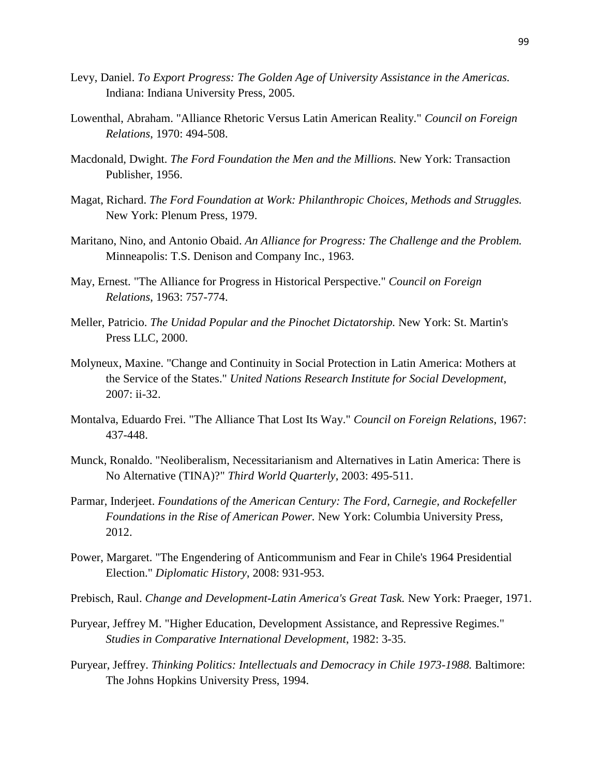- Levy, Daniel. *To Export Progress: The Golden Age of University Assistance in the Americas.* Indiana: Indiana University Press, 2005.
- Lowenthal, Abraham. "Alliance Rhetoric Versus Latin American Reality." *Council on Foreign Relations*, 1970: 494-508.
- Macdonald, Dwight. *The Ford Foundation the Men and the Millions.* New York: Transaction Publisher, 1956.
- Magat, Richard. *The Ford Foundation at Work: Philanthropic Choices, Methods and Struggles.* New York: Plenum Press, 1979.
- Maritano, Nino, and Antonio Obaid. *An Alliance for Progress: The Challenge and the Problem.* Minneapolis: T.S. Denison and Company Inc., 1963.
- May, Ernest. "The Alliance for Progress in Historical Perspective." *Council on Foreign Relations*, 1963: 757-774.
- Meller, Patricio. *The Unidad Popular and the Pinochet Dictatorship.* New York: St. Martin's Press LLC, 2000.
- Molyneux, Maxine. "Change and Continuity in Social Protection in Latin America: Mothers at the Service of the States." *United Nations Research Institute for Social Development*, 2007: ii-32.
- Montalva, Eduardo Frei. "The Alliance That Lost Its Way." *Council on Foreign Relations*, 1967: 437-448.
- Munck, Ronaldo. "Neoliberalism, Necessitarianism and Alternatives in Latin America: There is No Alternative (TINA)?" *Third World Quarterly*, 2003: 495-511.
- Parmar, Inderjeet. *Foundations of the American Century: The Ford, Carnegie, and Rockefeller Foundations in the Rise of American Power.* New York: Columbia University Press, 2012.
- Power, Margaret. "The Engendering of Anticommunism and Fear in Chile's 1964 Presidential Election." *Diplomatic History*, 2008: 931-953.

Prebisch, Raul. *Change and Development-Latin America's Great Task.* New York: Praeger, 1971.

- Puryear, Jeffrey M. "Higher Education, Development Assistance, and Repressive Regimes." *Studies in Comparative International Development*, 1982: 3-35.
- Puryear, Jeffrey. *Thinking Politics: Intellectuals and Democracy in Chile 1973-1988.* Baltimore: The Johns Hopkins University Press, 1994.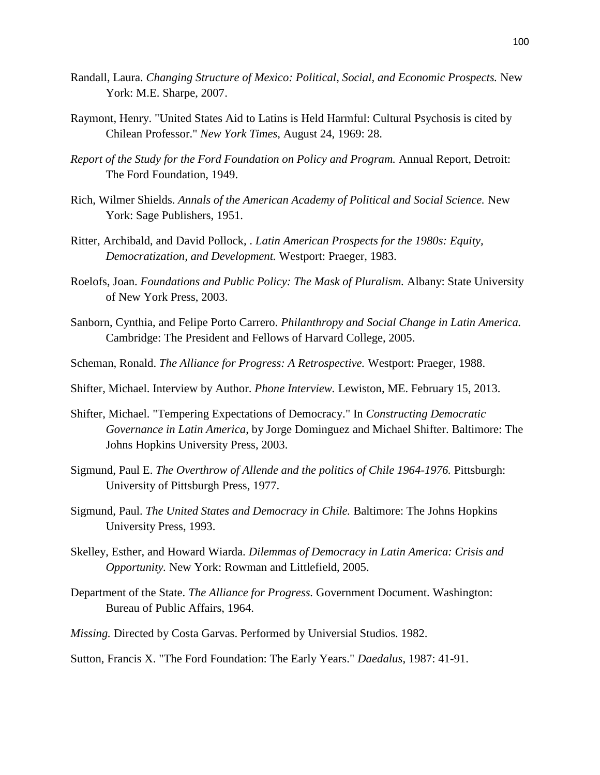- Randall, Laura. *Changing Structure of Mexico: Political, Social, and Economic Prospects.* New York: M.E. Sharpe, 2007.
- Raymont, Henry. "United States Aid to Latins is Held Harmful: Cultural Psychosis is cited by Chilean Professor." *New York Times*, August 24, 1969: 28.
- *Report of the Study for the Ford Foundation on Policy and Program.* Annual Report, Detroit: The Ford Foundation, 1949.
- Rich, Wilmer Shields. *Annals of the American Academy of Political and Social Science.* New York: Sage Publishers, 1951.
- Ritter, Archibald, and David Pollock, . *Latin American Prospects for the 1980s: Equity, Democratization, and Development.* Westport: Praeger, 1983.
- Roelofs, Joan. *Foundations and Public Policy: The Mask of Pluralism.* Albany: State University of New York Press, 2003.
- Sanborn, Cynthia, and Felipe Porto Carrero. *Philanthropy and Social Change in Latin America.* Cambridge: The President and Fellows of Harvard College, 2005.
- Scheman, Ronald. *The Alliance for Progress: A Retrospective.* Westport: Praeger, 1988.
- Shifter, Michael. Interview by Author. *Phone Interview.* Lewiston, ME. February 15, 2013.
- Shifter, Michael. "Tempering Expectations of Democracy." In *Constructing Democratic Governance in Latin America*, by Jorge Dominguez and Michael Shifter. Baltimore: The Johns Hopkins University Press, 2003.
- Sigmund, Paul E. *The Overthrow of Allende and the politics of Chile 1964-1976.* Pittsburgh: University of Pittsburgh Press, 1977.
- Sigmund, Paul. *The United States and Democracy in Chile.* Baltimore: The Johns Hopkins University Press, 1993.
- Skelley, Esther, and Howard Wiarda. *Dilemmas of Democracy in Latin America: Crisis and Opportunity.* New York: Rowman and Littlefield, 2005.
- Department of the State. *The Alliance for Progress.* Government Document. Washington: Bureau of Public Affairs, 1964.
- *Missing.* Directed by Costa Garvas. Performed by Universial Studios. 1982.
- Sutton, Francis X. "The Ford Foundation: The Early Years." *Daedalus*, 1987: 41-91.